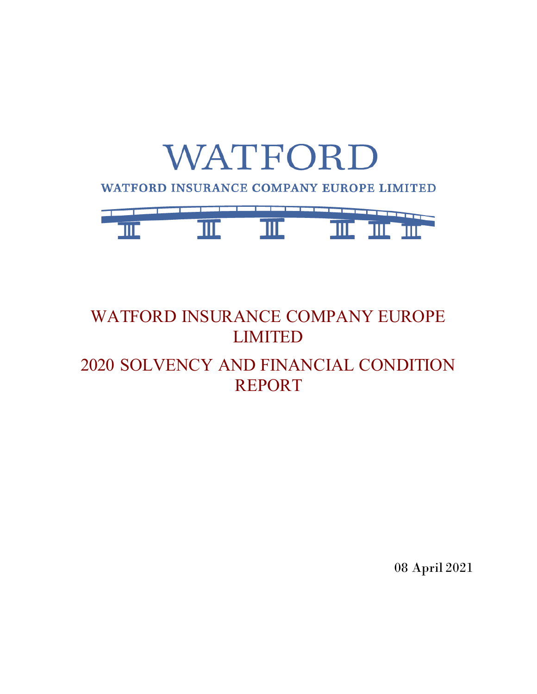

# WATFORD INSURANCE COMPANY EUROPE LIMITED 2020 SOLVENCY AND FINANCIAL CONDITION REPORT

08 April 2021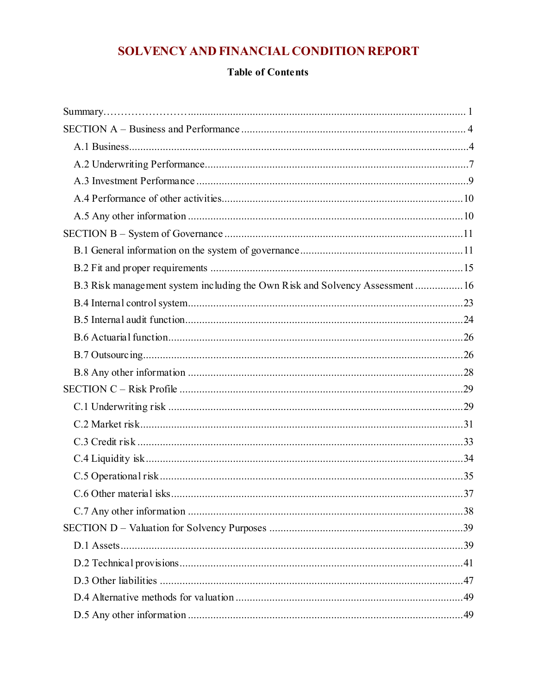## SOLVENCY AND FINANCIAL CONDITION REPORT

### **Table of Contents**

| B.3 Risk management system including the Own Risk and Solvency Assessment  16 |  |
|-------------------------------------------------------------------------------|--|
|                                                                               |  |
|                                                                               |  |
|                                                                               |  |
|                                                                               |  |
|                                                                               |  |
|                                                                               |  |
|                                                                               |  |
|                                                                               |  |
|                                                                               |  |
|                                                                               |  |
|                                                                               |  |
|                                                                               |  |
|                                                                               |  |
|                                                                               |  |
|                                                                               |  |
|                                                                               |  |
|                                                                               |  |
|                                                                               |  |
|                                                                               |  |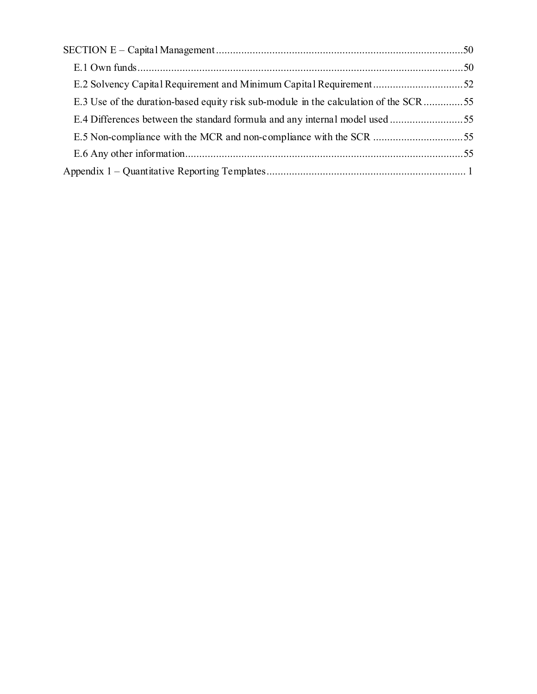| E.2 Solvency Capital Requirement and Minimum Capital Requirement52                   |  |
|--------------------------------------------------------------------------------------|--|
| E.3 Use of the duration-based equity risk sub-module in the calculation of the SCR55 |  |
| E.4 Differences between the standard formula and any internal model used55           |  |
|                                                                                      |  |
|                                                                                      |  |
|                                                                                      |  |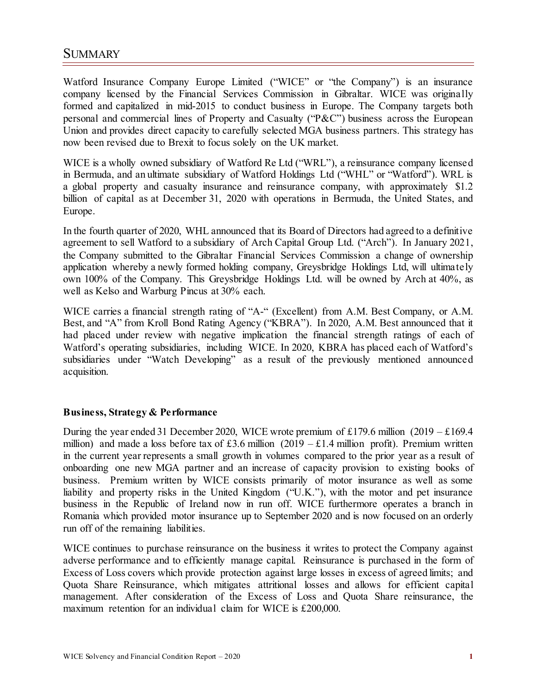## <span id="page-3-0"></span>SUMMARY……………………

Watford Insurance Company Europe Limited ("WICE" or "the Company") is an insurance company licensed by the Financial Services Commission in Gibraltar. WICE was originally formed and capitalized in mid-2015 to conduct business in Europe. The Company targets both personal and commercial lines of Property and Casualty ("P&C") business across the European Union and provides direct capacity to carefully selected MGA business partners. This strategy has now been revised due to Brexit to focus solely on the UK market.

WICE is a wholly owned subsidiary of Watford Re Ltd ("WRL"), a reinsurance company licensed in Bermuda, and an ultimate subsidiary of Watford Holdings Ltd ("WHL" or "Watford"). WRL is a global property and casualty insurance and reinsurance company, with approximately \$1.2 billion of capital as at December 31, 2020 with operations in Bermuda, the United States, and Europe.

In the fourth quarter of 2020, WHL announced that its Board of Directors had agreed to a definitive agreement to sell Watford to a subsidiary of Arch Capital Group Ltd. ("Arch"). In January 2021, the Company submitted to the Gibraltar Financial Services Commission a change of ownership application whereby a newly formed holding company, Greysbridge Holdings Ltd, will ultimately own 100% of the Company. This Greysbridge Holdings Ltd. will be owned by Arch at 40%, as well as Kelso and Warburg Pincus at 30% each.

WICE carries a financial strength rating of "A-" (Excellent) from A.M. Best Company, or A.M. Best, and "A" from Kroll Bond Rating Agency ("KBRA"). In 2020, A.M. Best announced that it had placed under review with negative implication the financial strength ratings of each of Watford's operating subsidiaries, including WICE. In 2020, KBRA has placed each of Watford's subsidiaries under "Watch Developing" as a result of the previously mentioned announced acquisition.

#### **Business, Strategy & Performance**

During the year ended 31 December 2020, WICE wrote premium of £179.6 million  $(2019 - \text{\textsterling}169.4)$ million) and made a loss before tax of £3.6 million (2019 – £1.4 million profit). Premium written in the current year represents a small growth in volumes compared to the prior year as a result of onboarding one new MGA partner and an increase of capacity provision to existing books of business. Premium written by WICE consists primarily of motor insurance as well as some liability and property risks in the United Kingdom ("U.K."), with the motor and pet insurance business in the Republic of Ireland now in run off. WICE furthermore operates a branch in Romania which provided motor insurance up to September 2020 and is now focused on an orderly run off of the remaining liabilities.

WICE continues to purchase reinsurance on the business it writes to protect the Company against adverse performance and to efficiently manage capital. Reinsurance is purchased in the form of Excess of Loss covers which provide protection against large losses in excess of agreed limits; and Quota Share Reinsurance, which mitigates attritional losses and allows for efficient capital management. After consideration of the Excess of Loss and Quota Share reinsurance, the maximum retention for an individual claim for WICE is £200,000.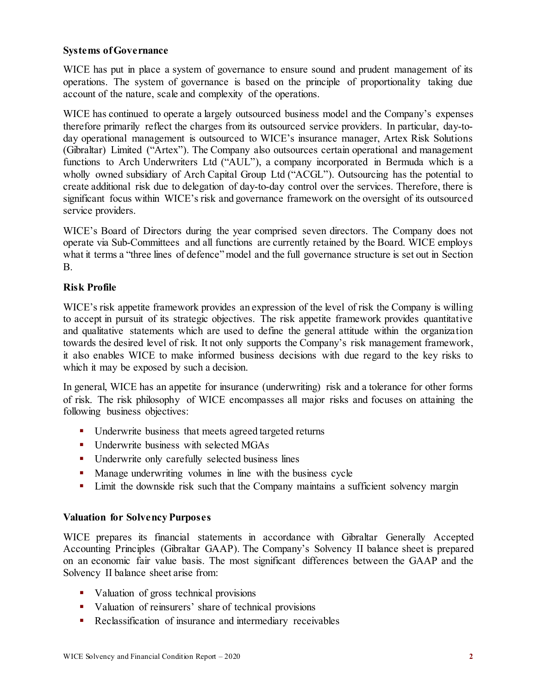#### **Systems of Governance**

WICE has put in place a system of governance to ensure sound and prudent management of its operations. The system of governance is based on the principle of proportionality taking due account of the nature, scale and complexity of the operations.

WICE has continued to operate a largely outsourced business model and the Company's expenses therefore primarily reflect the charges from its outsourced service providers. In particular, day-today operational management is outsourced to WICE's insurance manager, Artex Risk Solutions (Gibraltar) Limited ("Artex"). The Company also outsources certain operational and management functions to Arch Underwriters Ltd ("AUL"), a company incorporated in Bermuda which is a wholly owned subsidiary of Arch Capital Group Ltd ("ACGL"). Outsourcing has the potential to create additional risk due to delegation of day-to-day control over the services. Therefore, there is significant focus within WICE's risk and governance framework on the oversight of its outsourced service providers.

WICE's Board of Directors during the year comprised seven directors. The Company does not operate via Sub-Committees and all functions are currently retained by the Board. WICE employs what it terms a "three lines of defence" model and the full governance structure is set out in Section B.

#### **Risk Profile**

WICE's risk appetite framework provides an expression of the level of risk the Company is willing to accept in pursuit of its strategic objectives. The risk appetite framework provides quantitative and qualitative statements which are used to define the general attitude within the organization towards the desired level of risk. It not only supports the Company's risk management framework, it also enables WICE to make informed business decisions with due regard to the key risks to which it may be exposed by such a decision.

In general, WICE has an appetite for insurance (underwriting) risk and a tolerance for other forms of risk. The risk philosophy of WICE encompasses all major risks and focuses on attaining the following business objectives:

- **•** Underwrite business that meets agreed targeted returns
- Underwrite business with selected MGAs
- **Underwrite only carefully selected business lines**
- **Manage underwriting volumes in line with the business cycle**
- **EXECUTE:** Limit the downside risk such that the Company maintains a sufficient solvency margin

#### **Valuation for Solvency Purposes**

WICE prepares its financial statements in accordance with Gibraltar Generally Accepted Accounting Principles (Gibraltar GAAP). The Company's Solvency II balance sheet is prepared on an economic fair value basis. The most significant differences between the GAAP and the Solvency II balance sheet arise from:

- Valuation of gross technical provisions
- Valuation of reinsurers' share of technical provisions
- Reclassification of insurance and intermediary receivables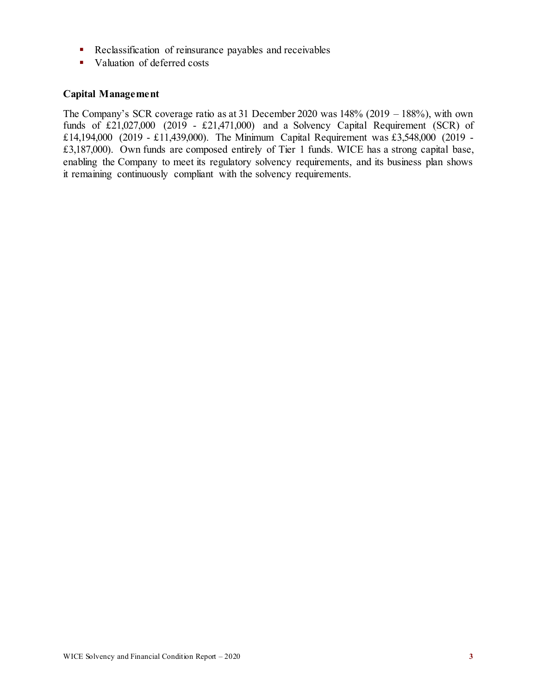- Reclassification of reinsurance payables and receivables
- valuation of deferred costs

#### **Capital Management**

The Company's SCR coverage ratio as at 31 December 2020 was 148% (2019 – 188%), with own funds of  $£21,027,000$  (2019 - £21,471,000) and a Solvency Capital Requirement (SCR) of £14,194,000 (2019 - £11,439,000). The Minimum Capital Requirement was £3,548,000 (2019 - £3,187,000). Own funds are composed entirely of Tier 1 funds. WICE has a strong capital base, enabling the Company to meet its regulatory solvency requirements, and its business plan shows it remaining continuously compliant with the solvency requirements.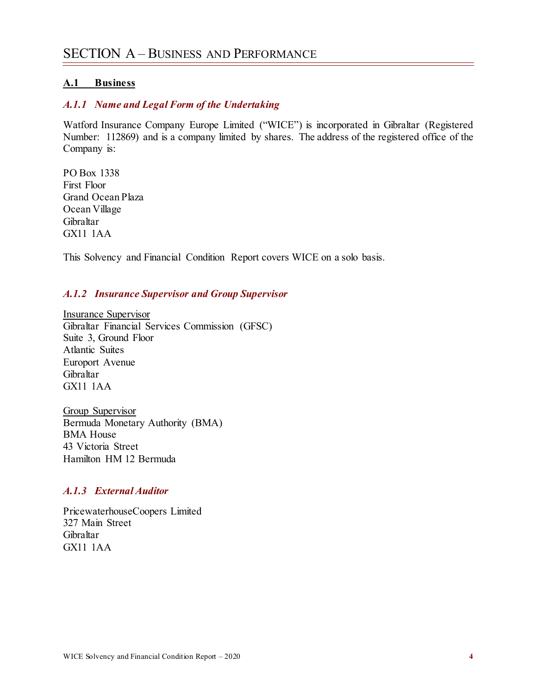#### <span id="page-6-1"></span><span id="page-6-0"></span>**A.1 Business**

#### *A.1.1 Name and Legal Form of the Undertaking*

Watford Insurance Company Europe Limited ("WICE") is incorporated in Gibraltar (Registered Number: 112869) and is a company limited by shares. The address of the registered office of the Company is:

PO Box 1338 First Floor Grand Ocean Plaza Ocean Village Gibraltar GX11 1AA

This Solvency and Financial Condition Report covers WICE on a solo basis.

#### *A.1.2 Insurance Supervisor and Group Supervisor*

Insurance Supervisor Gibraltar Financial Services Commission (GFSC) Suite 3, Ground Floor Atlantic Suites Europort Avenue Gibraltar GX11 1AA

Group Supervisor Bermuda Monetary Authority (BMA) BMA House 43 Victoria Street Hamilton HM 12 Bermuda

#### *A.1.3 External Auditor*

PricewaterhouseCoopers Limited 327 Main Street Gibraltar GX11 1AA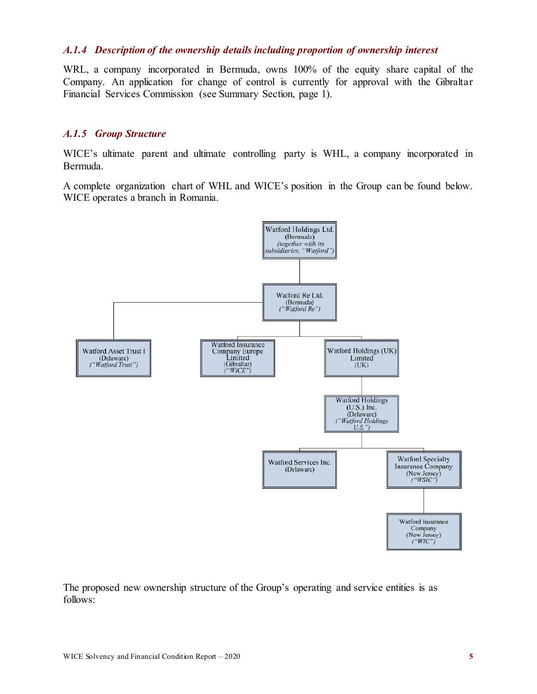#### *A.1.4 Description of the ownership details including proportion of ownership interest*

WRL, a company incorporated in Bermuda, owns 100% of the equity share capital of the Company. An application for change of control is currently for approval with the Gibraltar Financial Services Commission (see Summary Section, page 1).

#### *A.1.5 Group Structure*

WICE's ultimate parent and ultimate controlling party is WHL, a company incorporated in Bermuda.

A complete organization chart of WHL and WICE's position in the Group can be found below. WICE operates a branch in Romania.



The proposed new ownership structure of the Group's operating and service entities is as follows: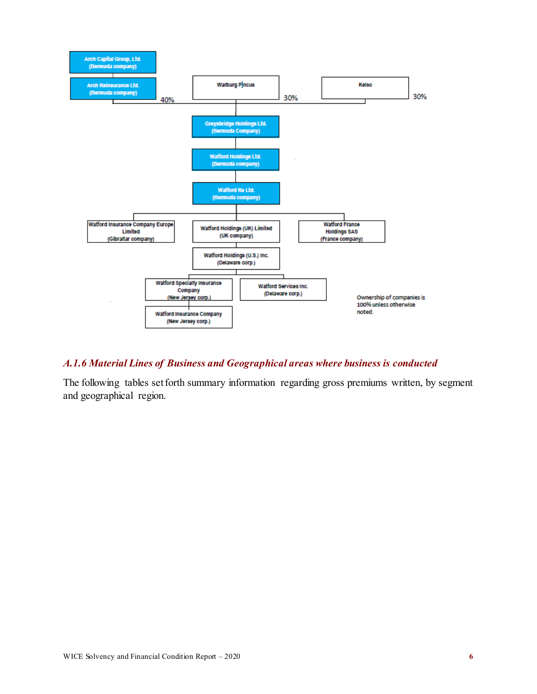

### *A.1.6 Material Lines of Business and Geographical areas where business is conducted*

The following tables set forth summary information regarding gross premiums written, by segment and geographical region.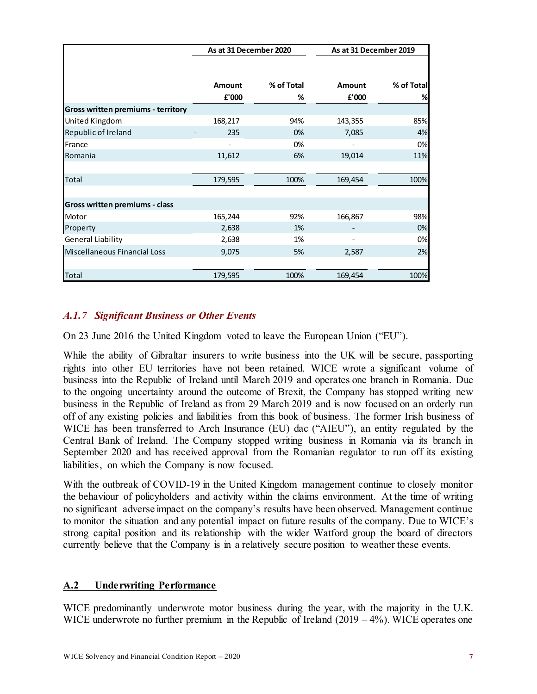|                                           | As at 31 December 2020 |                 |                        | As at 31 December 2019 |
|-------------------------------------------|------------------------|-----------------|------------------------|------------------------|
|                                           | <b>Amount</b><br>£'000 | % of Total<br>% | <b>Amount</b><br>£'000 | % of Total<br>%        |
| <b>Gross written premiums - territory</b> |                        |                 |                        |                        |
| United Kingdom                            | 168,217                | 94%             | 143,355                | 85%                    |
| Republic of Ireland                       | 235                    | 0%              | 7,085                  | 4%                     |
| France                                    |                        | 0%              |                        | 0%                     |
| Romania                                   | 11,612                 | 6%              | 19,014                 | 11%                    |
|                                           |                        |                 |                        |                        |
| Total                                     | 179,595                | 100%            | 169,454                | 100%                   |
|                                           |                        |                 |                        |                        |
| Gross written premiums - class            |                        |                 |                        |                        |
| Motor                                     | 165,244                | 92%             | 166,867                | 98%                    |
| Property                                  | 2,638                  | 1%              |                        | 0%                     |
| General Liability                         | 2,638                  | 1%              |                        | 0%                     |
| Miscellaneous Financial Loss              | 9,075                  | 5%              | 2,587                  | 2%                     |
|                                           |                        |                 |                        |                        |
| Total                                     | 179,595                | 100%            | 169,454                | 100%                   |

### *A.1.7 Significant Business or Other Events*

On 23 June 2016 the United Kingdom voted to leave the European Union ("EU").

While the ability of Gibraltar insurers to write business into the UK will be secure, passporting rights into other EU territories have not been retained. WICE wrote a significant volume of business into the Republic of Ireland until March 2019 and operates one branch in Romania. Due to the ongoing uncertainty around the outcome of Brexit, the Company has stopped writing new business in the Republic of Ireland as from 29 March 2019 and is now focused on an orderly run off of any existing policies and liabilities from this book of business. The former Irish business of WICE has been transferred to Arch Insurance (EU) dac ("AIEU"), an entity regulated by the Central Bank of Ireland. The Company stopped writing business in Romania via its branch in September 2020 and has received approval from the Romanian regulator to run off its existing liabilities, on which the Company is now focused.

With the outbreak of COVID-19 in the United Kingdom management continue to closely monitor the behaviour of policyholders and activity within the claims environment. At the time of writing no significant adverse impact on the company's results have been observed. Management continue to monitor the situation and any potential impact on future results of the company. Due to WICE's strong capital position and its relationship with the wider Watford group the board of directors currently believe that the Company is in a relatively secure position to weather these events.

#### <span id="page-9-0"></span>**A.2 Underwriting Performance**

WICE predominantly underwrote motor business during the year, with the majority in the U.K. WICE underwrote no further premium in the Republic of Ireland (2019 – 4%). WICE operates one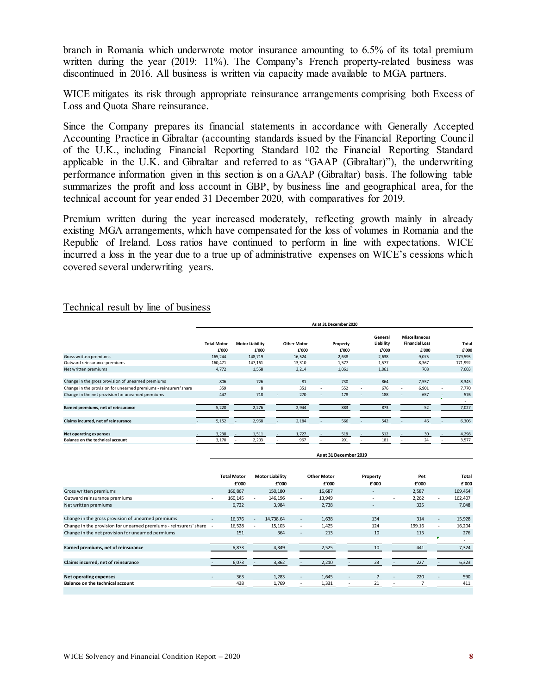branch in Romania which underwrote motor insurance amounting to 6.5% of its total premium written during the year (2019: 11%). The Company's French property-related business was discontinued in 2016. All business is written via capacity made available to MGA partners.

WICE mitigates its risk through appropriate reinsurance arrangements comprising both Excess of Loss and Quota Share reinsurance.

Since the Company prepares its financial statements in accordance with Generally Accepted Accounting Practice in Gibraltar (accounting standards issued by the Financial Reporting Council of the U.K., including Financial Reporting Standard 102 the Financial Reporting Standard applicable in the U.K. and Gibraltar and referred to as "GAAP (Gibraltar)"), the underwriting performance information given in this section is on a GAAP (Gibraltar) basis. The following table summarizes the profit and loss account in GBP, by business line and geographical area, for the technical account for year ended 31 December 2020, with comparatives for 2019.

Premium written during the year increased moderately, reflecting growth mainly in already existing MGA arrangements, which have compensated for the loss of volumes in Romania and the Republic of Ireland. Loss ratios have continued to perform in line with expectations. WICE incurred a loss in the year due to a true up of administrative expenses on WICE's cessions which covered several underwriting years.

#### Technical result by line of business

|                                                                   | As at 31 December 2020      |                                     |                             |        |                   |                          |                               |        |                                                 |                          |                |
|-------------------------------------------------------------------|-----------------------------|-------------------------------------|-----------------------------|--------|-------------------|--------------------------|-------------------------------|--------|-------------------------------------------------|--------------------------|----------------|
|                                                                   | <b>Total Motor</b><br>£'000 | <b>Motor Liability</b><br>£'000     | <b>Other Motor</b><br>£'000 |        | Property<br>£'000 |                          | General<br>Liability<br>£'000 |        | Miscellaneous<br><b>Financial Loss</b><br>£'000 |                          | Total<br>£'000 |
| Gross written premiums                                            | 165,244                     | 148,719                             | 16,524                      |        | 2,638             |                          | 2,638                         |        | 9,075                                           |                          | 179,595        |
| Outward reinsurance premiums                                      | 160,471                     | 147,161<br>$\overline{\phantom{a}}$ | 13,310                      |        | 1,577             | $\overline{\phantom{a}}$ | 1,577                         | ٠      | 8,367                                           |                          | 171,992        |
| Net written premiums                                              | 4,772                       | 1,558                               | 3,214                       |        | 1,061             |                          | 1,061                         |        | 708                                             |                          | 7,603          |
|                                                                   |                             |                                     |                             |        |                   |                          |                               |        |                                                 |                          |                |
| Change in the gross provision of unearned premiums                | 806                         | 726                                 | 81                          | ٠      | 730               | $\overline{\phantom{a}}$ | 864                           | ٠      | 7,557                                           | $\overline{\phantom{a}}$ | 8,345          |
| Change in the provision for unearned premiums - reinsurers' share | 359                         | 8                                   | 351                         | $\sim$ | 552               | $\overline{\phantom{a}}$ | 676                           | $\sim$ | 6,901                                           | ۰                        | 7,770          |
| Change in the net provision for unearned permiums                 | 447                         | 718                                 | 270                         | -      | 178               | ٠                        | 188                           | ٠      | 657                                             |                          | 576            |
|                                                                   |                             |                                     |                             |        |                   |                          |                               |        |                                                 |                          | ۰              |
| Earned premiums, net of reinsurance                               | 5,220                       | 2,276                               | 2,944                       |        | 883               |                          | 873                           |        | 52                                              |                          | 7,027          |
|                                                                   |                             |                                     |                             |        |                   |                          |                               |        |                                                 |                          |                |
| Claims incurred, net of reinsurance                               | 5,152                       | 2,968                               | 2,184                       |        | 566               |                          | 542                           |        | 46                                              |                          | 6,306          |
|                                                                   |                             |                                     |                             |        |                   |                          |                               |        |                                                 |                          |                |
| <b>Net operating expenses</b>                                     | 3,238                       | 1,511                               | 1,727                       |        | 518               |                          | 512                           |        | 30                                              |                          | 4,298          |
| Balance on the technical account                                  | 3,170                       | 2,203                               | 967                         |        | 201               |                          | 181                           |        | 24                                              |                          | 3,577          |
|                                                                   |                             |                                     |                             |        |                   |                          |                               |        |                                                 |                          |                |

**As at 31 December 2019**

|                                                                   | <b>Total Motor</b> | <b>Motor Liability</b> |                          | <b>Other Motor</b> | Property                 | Pet    |                          | Total   |
|-------------------------------------------------------------------|--------------------|------------------------|--------------------------|--------------------|--------------------------|--------|--------------------------|---------|
|                                                                   | £'000              | £'000                  |                          | £'000              | £'000                    | £'000  |                          | £'000   |
| Gross written premiums                                            | 166,867            | 150,180                |                          | 16,687             | $\overline{\phantom{a}}$ | 2,587  |                          | 169,454 |
| Outward reinsurance premiums                                      | 160,145            | 146,196                | ۰                        | 13,949             | ۰                        | 2,262  | $\sim$                   | 162,407 |
| Net written premiums                                              | 6,722              | 3,984                  |                          | 2,738              | $\overline{\phantom{a}}$ | 325    |                          | 7,048   |
|                                                                   |                    |                        |                          |                    |                          |        |                          |         |
| Change in the gross provision of unearned premiums                | 16,376             | 14,738.64              | $\overline{\phantom{a}}$ | 1,638              | 134                      | 314    | $\overline{\phantom{a}}$ | 15,928  |
| Change in the provision for unearned premiums - reinsurers' share | 16,528             | 15,103                 | $\sim$                   | 1.425              | 124                      | 199.16 |                          | 16,204  |
| Change in the net provision for unearned permiums                 | 151                | 364                    | ٠                        | 213                | 10                       | 115    |                          | 276     |
|                                                                   |                    |                        |                          |                    |                          |        |                          |         |
| Earned premiums, net of reinsurance                               | 6,873              | 4,349                  |                          | 2,525              | 10                       | 441    |                          | 7,324   |
|                                                                   |                    |                        |                          |                    |                          |        |                          |         |
| Claims incurred, net of reinsurance                               | 6,073              | 3,862                  |                          | 2,210              | 23                       | 227    |                          | 6,323   |
|                                                                   |                    |                        |                          |                    |                          |        |                          |         |
| <b>Net operating expenses</b>                                     | 363                | 1,283                  |                          | 1,645              |                          | 220    |                          | 590     |
| <b>Balance on the technical account</b>                           | 438                | 1,769                  |                          | 1,331              | 21                       |        |                          | 411     |
|                                                                   |                    |                        |                          |                    |                          |        |                          |         |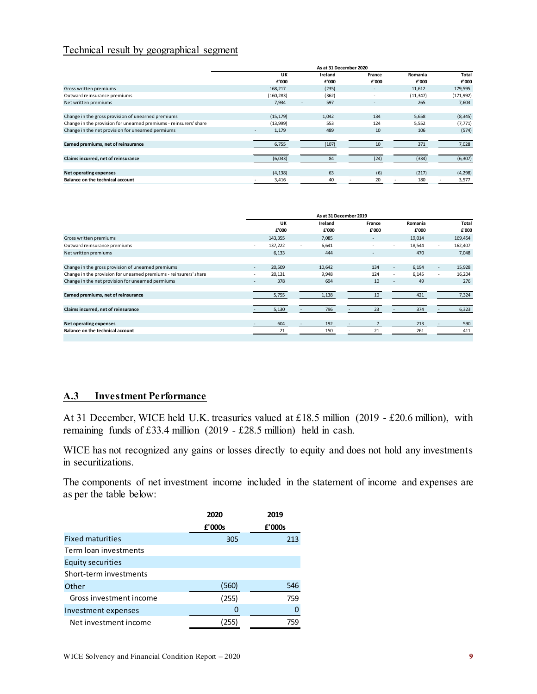#### Technical result by geographical segment

|                                                                   | As at 31 December 2020 |                                 |        |           |              |  |
|-------------------------------------------------------------------|------------------------|---------------------------------|--------|-----------|--------------|--|
|                                                                   | UK                     | Ireland                         | France | Romania   | <b>Total</b> |  |
|                                                                   | £'000                  | £'000                           | £'000  | £'000     | £'000        |  |
| Gross written premiums                                            | 168,217                | (235)                           |        | 11,612    | 179,595      |  |
| Outward reinsurance premiums                                      | (160, 283)             | (362)                           |        | (11, 347) | (171, 992)   |  |
| Net written premiums                                              | 7,934                  | 597<br>$\overline{\phantom{a}}$ |        | 265       | 7,603        |  |
|                                                                   |                        |                                 |        |           |              |  |
| Change in the gross provision of unearned premiums                | (15, 179)              | 1,042                           | 134    | 5,658     | (8, 345)     |  |
| Change in the provision for unearned premiums - reinsurers' share | (13,999)               | 553                             | 124    | 5.552     | (7, 771)     |  |
| Change in the net provision for unearned permiums                 | 1,179                  | 489                             | 10     | 106       | (574)        |  |
|                                                                   |                        |                                 |        |           |              |  |
| Earned premiums, net of reinsurance                               | 6,755                  | (107)                           | 10     | 371       | 7,028        |  |
|                                                                   |                        |                                 |        |           |              |  |
| Claims incurred, net of reinsurance                               | (6,033)                | 84                              | (24)   | (334)     | (6, 307)     |  |
|                                                                   |                        |                                 |        |           |              |  |
| <b>Net operating expenses</b>                                     | (4, 138)               | 63                              | (6)    | (217)     | (4, 298)     |  |
| <b>Balance on the technical account</b>                           | 3,416                  | 40                              | 20     | 180       | 3,577        |  |
|                                                                   |                        |                                 |        |           |              |  |

|                                                                   |        | As at 31 December 2019 |         |       |                          |    |         |        |              |
|-------------------------------------------------------------------|--------|------------------------|---------|-------|--------------------------|----|---------|--------|--------------|
|                                                                   |        | UK                     | Ireland |       | France                   |    | Romania |        | <b>Total</b> |
|                                                                   |        | £'000                  |         | £'000 | £'000                    |    | £'000   |        | £'000        |
| Gross written premiums                                            |        | 143,355                | 7,085   |       | $\overline{\phantom{a}}$ |    | 19,014  |        | 169,454      |
| Outward reinsurance premiums                                      | $\sim$ | 137,222                | 6,641   |       | $\sim$                   | ٠  | 18,544  | ٠      | 162,407      |
| Net written premiums                                              |        | 6,133                  |         | 444   | $\overline{\phantom{a}}$ |    | 470     |        | 7,048        |
|                                                                   |        |                        |         |       |                          |    |         |        |              |
| Change in the gross provision of unearned premiums                | $\sim$ | 20,509                 | 10,642  |       | 134                      | ٠  | 6,194   | $\sim$ | 15,928       |
| Change in the provision for unearned premiums - reinsurers' share |        | 20,131                 | 9,948   |       | 124                      | ۰. | 6,145   | ٠      | 16,204       |
| Change in the net provision for unearned permiums                 |        | 378                    |         | 694   | 10                       | ۰  | 49      |        | 276          |
|                                                                   |        |                        |         |       |                          |    |         |        |              |
| Earned premiums, net of reinsurance                               |        | 5,755                  | 1,138   |       | 10                       |    | 421     |        | 7,324        |
|                                                                   |        |                        |         |       |                          |    |         |        |              |
| Claims incurred, net of reinsurance                               |        | 5,130                  |         | 796   | 23                       |    | 374     |        | 6,323        |
|                                                                   |        |                        |         |       |                          |    |         |        |              |
| <b>Net operating expenses</b>                                     |        | 604                    |         | 192   |                          |    | 213     |        | 590          |
| <b>Balance on the technical account</b>                           |        | 21                     |         | 150   | 21                       |    | 261     |        | 411          |
|                                                                   |        |                        |         |       |                          |    |         |        |              |

#### <span id="page-11-0"></span>**A.3 Investment Performance**

At 31 December, WICE held U.K. treasuries valued at £18.5 million (2019 - £20.6 million), with remaining funds of £33.4 million (2019 - £28.5 million) held in cash.

WICE has not recognized any gains or losses directly to equity and does not hold any investments in securitizations.

The components of net investment income included in the statement of income and expenses are as per the table below:

|                          | 2020   | 2019   |
|--------------------------|--------|--------|
|                          | £'000s | £'000s |
| <b>Fixed maturities</b>  | 305    | 213    |
| Term Ioan investments    |        |        |
| <b>Equity securities</b> |        |        |
| Short-term investments   |        |        |
| Other                    | (560)  | 546    |
| Gross investment income  | (255)  | 759    |
| Investment expenses      | 0      | 0      |
| Net investment income    | 255    | 759    |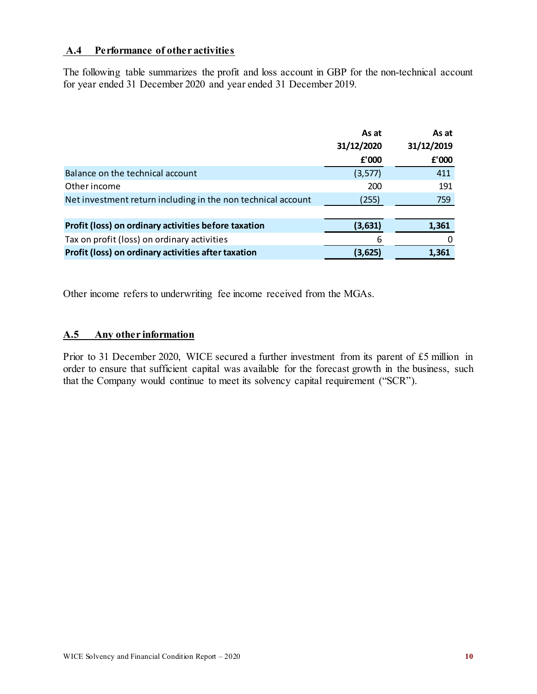#### <span id="page-12-0"></span>**A.4 Performance of other activities**

The following table summarizes the profit and loss account in GBP for the non-technical account for year ended 31 December 2020 and year ended 31 December 2019.

|                                                              | As at      | As at      |
|--------------------------------------------------------------|------------|------------|
|                                                              | 31/12/2020 | 31/12/2019 |
|                                                              | £'000      | £'000      |
| Balance on the technical account                             | (3,577)    | 411        |
| Other income                                                 | 200        | 191        |
| Net investment return including in the non technical account | (255)      | 759        |
|                                                              |            |            |
| Profit (loss) on ordinary activities before taxation         | (3,631)    | 1,361      |
| Tax on profit (loss) on ordinary activities                  | 6          | O          |
| Profit (loss) on ordinary activities after taxation          | (3,625)    | 1,361      |

Other income refers to underwriting fee income received from the MGAs.

#### <span id="page-12-1"></span>**A.5 Any other information**

Prior to 31 December 2020, WICE secured a further investment from its parent of £5 million in order to ensure that sufficient capital was available for the forecast growth in the business, such that the Company would continue to meet its solvency capital requirement ("SCR").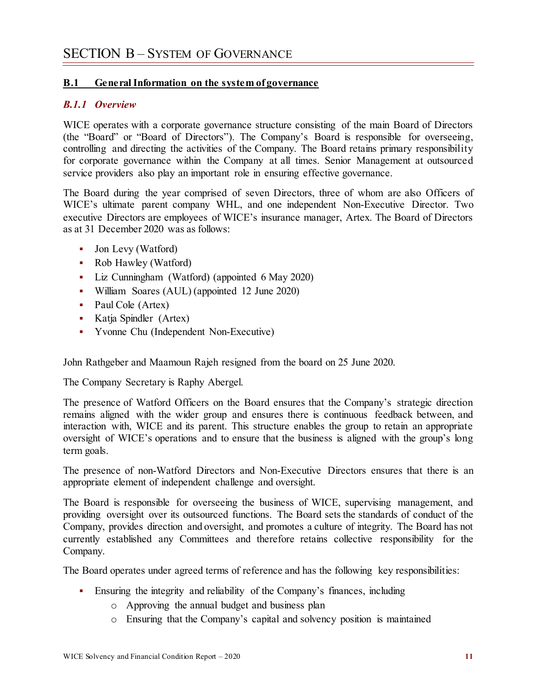#### <span id="page-13-1"></span><span id="page-13-0"></span>**B.1 General Information on the system of governance**

#### *B.1.1 Overview*

WICE operates with a corporate governance structure consisting of the main Board of Directors (the "Board" or "Board of Directors"). The Company's Board is responsible for overseeing, controlling and directing the activities of the Company. The Board retains primary responsibility for corporate governance within the Company at all times. Senior Management at outsourced service providers also play an important role in ensuring effective governance.

The Board during the year comprised of seven Directors, three of whom are also Officers of WICE's ultimate parent company WHL, and one independent Non-Executive Director. Two executive Directors are employees of WICE's insurance manager, Artex. The Board of Directors as at 31 December 2020 was as follows:

- Jon Levy (Watford)
- Rob Hawley (Watford)
- Liz Cunningham (Watford) (appointed 6 May 2020)
- William Soares (AUL) (appointed 12 June 2020)
- Paul Cole (Artex)
- Katja Spindler (Artex)
- Yvonne Chu (Independent Non-Executive)

John Rathgeber and Maamoun Rajeh resigned from the board on 25 June 2020.

The Company Secretary is Raphy Abergel.

The presence of Watford Officers on the Board ensures that the Company's strategic direction remains aligned with the wider group and ensures there is continuous feedback between, and interaction with, WICE and its parent. This structure enables the group to retain an appropriate oversight of WICE's operations and to ensure that the business is aligned with the group's long term goals.

The presence of non-Watford Directors and Non-Executive Directors ensures that there is an appropriate element of independent challenge and oversight.

The Board is responsible for overseeing the business of WICE, supervising management, and providing oversight over its outsourced functions. The Board sets the standards of conduct of the Company, provides direction and oversight, and promotes a culture of integrity. The Board has not currently established any Committees and therefore retains collective responsibility for the Company.

The Board operates under agreed terms of reference and has the following key responsibilities:

- Ensuring the integrity and reliability of the Company's finances, including
	- o Approving the annual budget and business plan
	- o Ensuring that the Company's capital and solvency position is maintained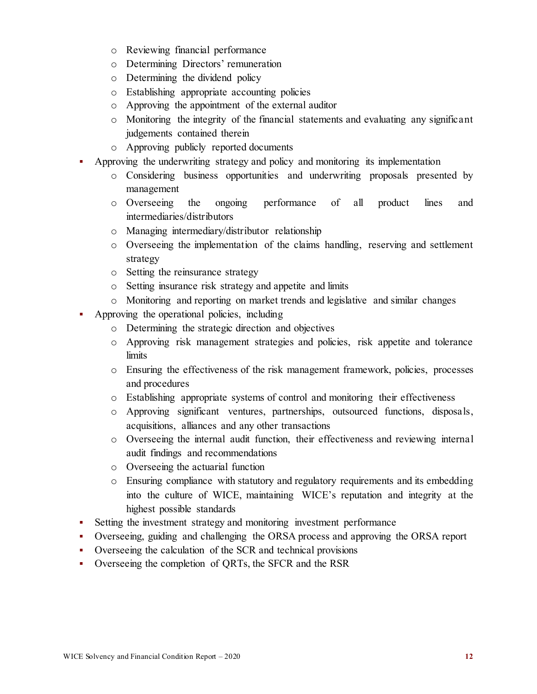- o Reviewing financial performance
- o Determining Directors' remuneration
- o Determining the dividend policy
- o Establishing appropriate accounting policies
- o Approving the appointment of the external auditor
- o Monitoring the integrity of the financial statements and evaluating any significant judgements contained therein
- o Approving publicly reported documents
- Approving the underwriting strategy and policy and monitoring its implementation
	- o Considering business opportunities and underwriting proposals presented by management
	- o Overseeing the ongoing performance of all product lines and intermediaries/distributors
	- o Managing intermediary/distributor relationship
	- o Overseeing the implementation of the claims handling, reserving and settlement strategy
	- o Setting the reinsurance strategy
	- o Setting insurance risk strategy and appetite and limits
	- o Monitoring and reporting on market trends and legislative and similar changes
- Approving the operational policies, including
	- o Determining the strategic direction and objectives
	- o Approving risk management strategies and policies, risk appetite and tolerance limits
	- o Ensuring the effectiveness of the risk management framework, policies, processes and procedures
	- o Establishing appropriate systems of control and monitoring their effectiveness
	- o Approving significant ventures, partnerships, outsourced functions, disposals, acquisitions, alliances and any other transactions
	- o Overseeing the internal audit function, their effectiveness and reviewing internal audit findings and recommendations
	- o Overseeing the actuarial function
	- o Ensuring compliance with statutory and regulatory requirements and its embedding into the culture of WICE, maintaining WICE's reputation and integrity at the highest possible standards
- Setting the investment strategy and monitoring investment performance
- Overseeing, guiding and challenging the ORSA process and approving the ORSA report
- Overseeing the calculation of the SCR and technical provisions
- Overseeing the completion of QRTs, the SFCR and the RSR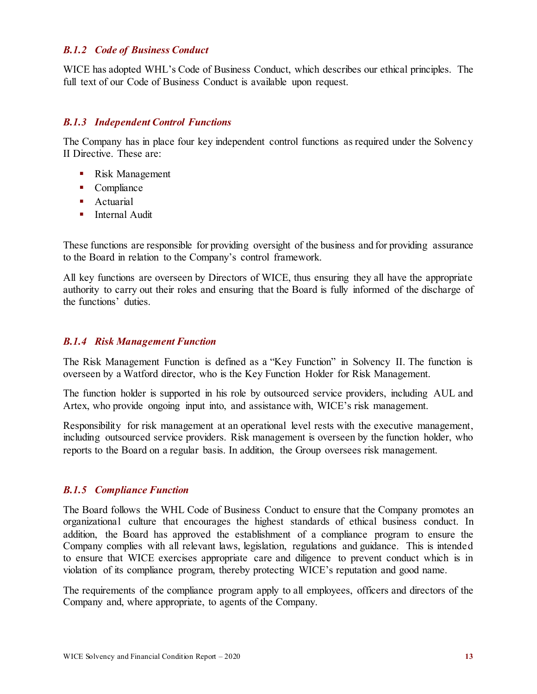#### *B.1.2 Code of Business Conduct*

WICE has adopted WHL's Code of Business Conduct, which describes our ethical principles. The full text of our Code of Business Conduct is available upon request.

#### *B.1.3 Independent Control Functions*

The Company has in place four key independent control functions as required under the Solvency II Directive. These are:

- **Risk Management**
- Compliance
- **Actuarial**
- **Internal Audit**

These functions are responsible for providing oversight of the business and for providing assurance to the Board in relation to the Company's control framework.

All key functions are overseen by Directors of WICE, thus ensuring they all have the appropriate authority to carry out their roles and ensuring that the Board is fully informed of the discharge of the functions' duties.

#### *B.1.4 Risk Management Function*

The Risk Management Function is defined as a "Key Function" in Solvency II. The function is overseen by a Watford director, who is the Key Function Holder for Risk Management.

The function holder is supported in his role by outsourced service providers, including AUL and Artex, who provide ongoing input into, and assistance with, WICE's risk management.

Responsibility for risk management at an operational level rests with the executive management, including outsourced service providers. Risk management is overseen by the function holder, who reports to the Board on a regular basis. In addition, the Group oversees risk management.

#### *B.1.5 Compliance Function*

The Board follows the WHL Code of Business Conduct to ensure that the Company promotes an organizational culture that encourages the highest standards of ethical business conduct. In addition, the Board has approved the establishment of a compliance program to ensure the Company complies with all relevant laws, legislation, regulations and guidance. This is intended to ensure that WICE exercises appropriate care and diligence to prevent conduct which is in violation of its compliance program, thereby protecting WICE's reputation and good name.

The requirements of the compliance program apply to all employees, officers and directors of the Company and, where appropriate, to agents of the Company.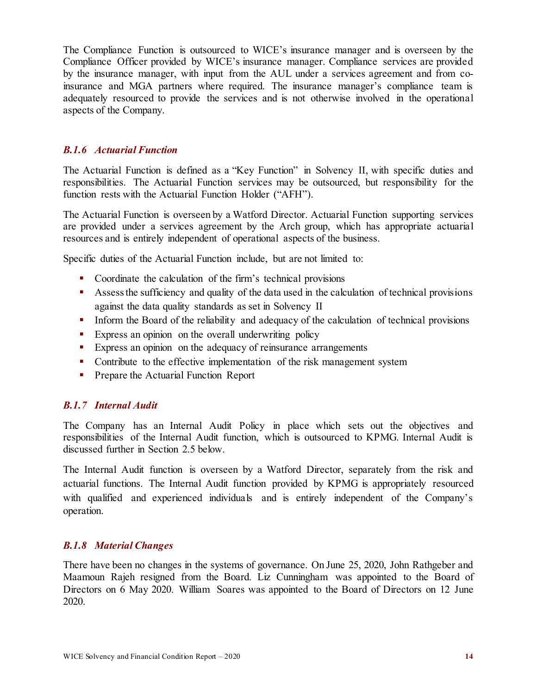The Compliance Function is outsourced to WICE's insurance manager and is overseen by the Compliance Officer provided by WICE's insurance manager. Compliance services are provided by the insurance manager, with input from the AUL under a services agreement and from coinsurance and MGA partners where required. The insurance manager's compliance team is adequately resourced to provide the services and is not otherwise involved in the operational aspects of the Company.

#### *B.1.6 Actuarial Function*

The Actuarial Function is defined as a "Key Function" in Solvency II, with specific duties and responsibilities. The Actuarial Function services may be outsourced, but responsibility for the function rests with the Actuarial Function Holder ("AFH").

The Actuarial Function is overseen by a Watford Director. Actuarial Function supporting services are provided under a services agreement by the Arch group, which has appropriate actuarial resources and is entirely independent of operational aspects of the business.

Specific duties of the Actuarial Function include, but are not limited to:

- Coordinate the calculation of the firm's technical provisions
- Assess the sufficiency and quality of the data used in the calculation of technical provisions against the data quality standards as set in Solvency II
- Inform the Board of the reliability and adequacy of the calculation of technical provisions
- **Express an opinion on the overall underwriting policy**
- Express an opinion on the adequacy of reinsurance arrangements
- Contribute to the effective implementation of the risk management system
- **Prepare the Actuarial Function Report**

#### *B.1.7 Internal Audit*

The Company has an Internal Audit Policy in place which sets out the objectives and responsibilities of the Internal Audit function, which is outsourced to KPMG. Internal Audit is discussed further in Section 2.5 below.

The Internal Audit function is overseen by a Watford Director, separately from the risk and actuarial functions. The Internal Audit function provided by KPMG is appropriately resourced with qualified and experienced individuals and is entirely independent of the Company's operation.

#### *B.1.8 Material Changes*

There have been no changes in the systems of governance. On June 25, 2020, John Rathgeber and Maamoun Rajeh resigned from the Board. Liz Cunningham was appointed to the Board of Directors on 6 May 2020. William Soares was appointed to the Board of Directors on 12 June 2020.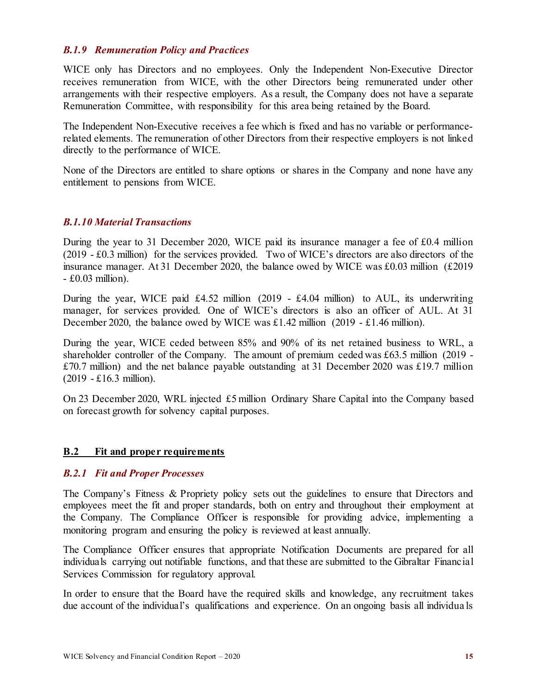#### *B.1.9 Remuneration Policy and Practices*

WICE only has Directors and no employees. Only the Independent Non-Executive Director receives remuneration from WICE, with the other Directors being remunerated under other arrangements with their respective employers. As a result, the Company does not have a separate Remuneration Committee, with responsibility for this area being retained by the Board.

The Independent Non-Executive receives a fee which is fixed and has no variable or performancerelated elements. The remuneration of other Directors from their respective employers is not linked directly to the performance of WICE.

None of the Directors are entitled to share options or shares in the Company and none have any entitlement to pensions from WICE.

#### *B.1.10 Material Transactions*

During the year to 31 December 2020, WICE paid its insurance manager a fee of £0.4 million (2019 - £0.3 million) for the services provided. Two of WICE's directors are also directors of the insurance manager. At 31 December 2020, the balance owed by WICE was £0.03 million (£2019 - £0.03 million).

During the year, WICE paid £4.52 million (2019 - £4.04 million) to AUL, its underwriting manager, for services provided. One of WICE's directors is also an officer of AUL. At 31 December 2020, the balance owed by WICE was £1.42 million (2019 - £1.46 million).

During the year, WICE ceded between 85% and 90% of its net retained business to WRL, a shareholder controller of the Company. The amount of premium ceded was £63.5 million (2019 - £70.7 million) and the net balance payable outstanding at 31 December 2020 was £19.7 million (2019 - £16.3 million).

On 23 December 2020, WRL injected £5 million Ordinary Share Capital into the Company based on forecast growth for solvency capital purposes.

#### <span id="page-17-0"></span>**B.2 Fit and proper requirements**

#### *B.2.1 Fit and Proper Processes*

The Company's Fitness & Propriety policy sets out the guidelines to ensure that Directors and employees meet the fit and proper standards, both on entry and throughout their employment at the Company. The Compliance Officer is responsible for providing advice, implementing a monitoring program and ensuring the policy is reviewed at least annually.

The Compliance Officer ensures that appropriate Notification Documents are prepared for all individuals carrying out notifiable functions, and that these are submitted to the Gibraltar Financial Services Commission for regulatory approval.

In order to ensure that the Board have the required skills and knowledge, any recruitment takes due account of the individual's qualifications and experience. On an ongoing basis all individua ls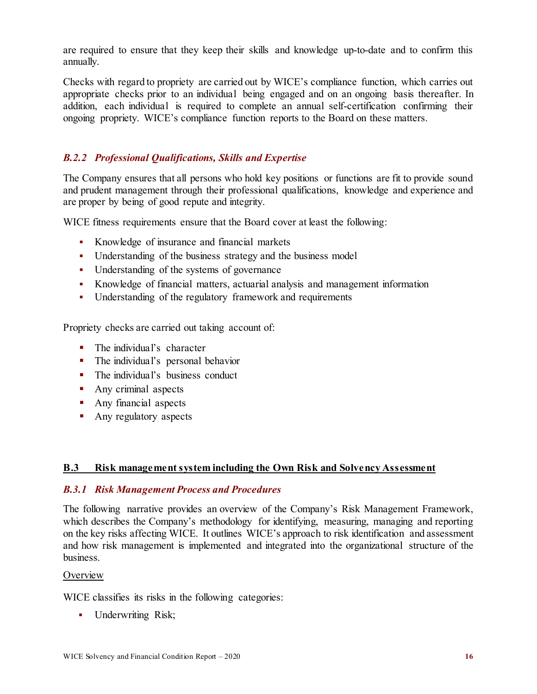are required to ensure that they keep their skills and knowledge up-to-date and to confirm this annually.

Checks with regard to propriety are carried out by WICE's compliance function, which carries out appropriate checks prior to an individual being engaged and on an ongoing basis thereafter. In addition, each individual is required to complete an annual self-certification confirming their ongoing propriety. WICE's compliance function reports to the Board on these matters.

### *B.2.2 Professional Qualifications, Skills and Expertise*

The Company ensures that all persons who hold key positions or functions are fit to provide sound and prudent management through their professional qualifications, knowledge and experience and are proper by being of good repute and integrity.

WICE fitness requirements ensure that the Board cover at least the following:

- Knowledge of insurance and financial markets
- Understanding of the business strategy and the business model
- Understanding of the systems of governance
- Knowledge of financial matters, actuarial analysis and management information
- Understanding of the regulatory framework and requirements

Propriety checks are carried out taking account of:

- The individual's character
- The individual's personal behavior
- The individual's business conduct
- **Any criminal aspects**
- Any financial aspects
- Any regulatory aspects

#### <span id="page-18-0"></span>**B.3 Risk management system including the Own Risk and Solvency Assessment**

#### *B.3.1 Risk Management Process and Procedures*

The following narrative provides an overview of the Company's Risk Management Framework, which describes the Company's methodology for identifying, measuring, managing and reporting on the key risks affecting WICE. It outlines WICE's approach to risk identification and assessment and how risk management is implemented and integrated into the organizational structure of the business.

#### **Overview**

WICE classifies its risks in the following categories:

• Underwriting Risk;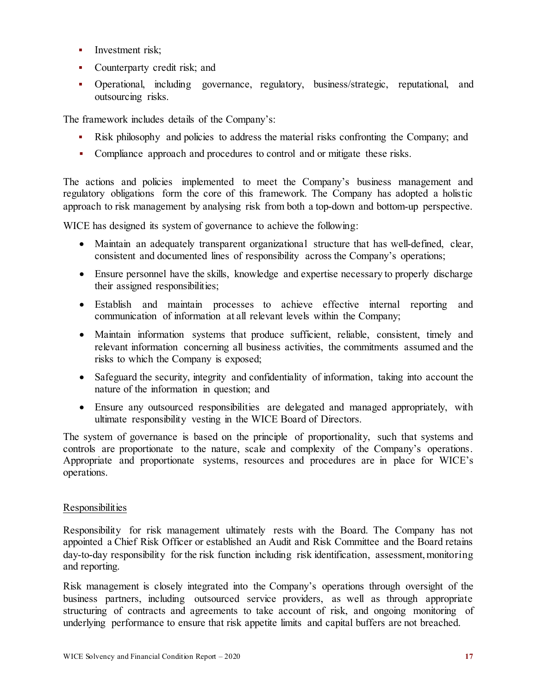- Investment risk;
- Counterparty credit risk; and
- Operational, including governance, regulatory, business/strategic, reputational, and outsourcing risks.

The framework includes details of the Company's:

- Risk philosophy and policies to address the material risks confronting the Company; and
- Compliance approach and procedures to control and or mitigate these risks.

The actions and policies implemented to meet the Company's business management and regulatory obligations form the core of this framework. The Company has adopted a holistic approach to risk management by analysing risk from both a top-down and bottom-up perspective.

WICE has designed its system of governance to achieve the following:

- Maintain an adequately transparent organizational structure that has well-defined, clear, consistent and documented lines of responsibility across the Company's operations;
- Ensure personnel have the skills, knowledge and expertise necessary to properly discharge their assigned responsibilities;
- Establish and maintain processes to achieve effective internal reporting and communication of information at all relevant levels within the Company;
- Maintain information systems that produce sufficient, reliable, consistent, timely and relevant information concerning all business activities, the commitments assumed and the risks to which the Company is exposed;
- Safeguard the security, integrity and confidentiality of information, taking into account the nature of the information in question; and
- Ensure any outsourced responsibilities are delegated and managed appropriately, with ultimate responsibility vesting in the WICE Board of Directors.

The system of governance is based on the principle of proportionality, such that systems and controls are proportionate to the nature, scale and complexity of the Company's operations. Appropriate and proportionate systems, resources and procedures are in place for WICE's operations.

#### Responsibilities

Responsibility for risk management ultimately rests with the Board. The Company has not appointed a Chief Risk Officer or established an Audit and Risk Committee and the Board retains day-to-day responsibility for the risk function including risk identification, assessment, monitoring and reporting.

Risk management is closely integrated into the Company's operations through oversight of the business partners, including outsourced service providers, as well as through appropriate structuring of contracts and agreements to take account of risk, and ongoing monitoring of underlying performance to ensure that risk appetite limits and capital buffers are not breached.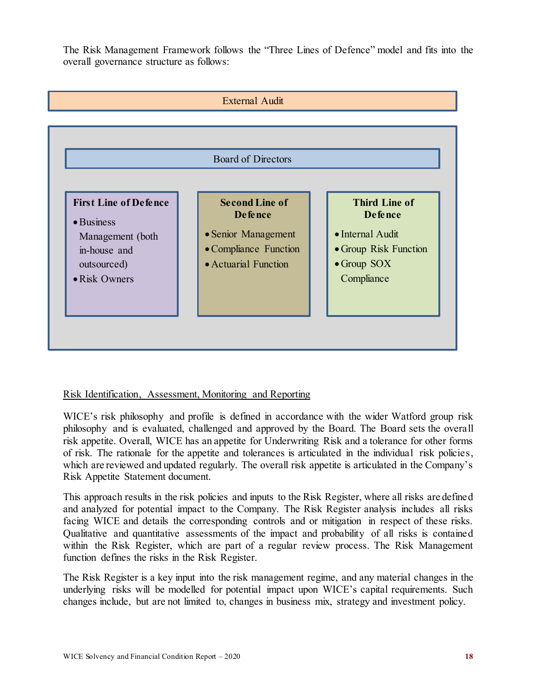The Risk Management Framework follows the "Three Lines of Defence" model and fits into the overall governance structure as follows:



#### Risk Identification, Assessment, Monitoring and Reporting

WICE's risk philosophy and profile is defined in accordance with the wider Watford group risk philosophy and is evaluated, challenged and approved by the Board. The Board sets the overall risk appetite. Overall, WICE has an appetite for Underwriting Risk and a tolerance for other forms of risk. The rationale for the appetite and tolerances is articulated in the individual risk policies, which are reviewed and updated regularly. The overall risk appetite is articulated in the Company's Risk Appetite Statement document.

This approach results in the risk policies and inputs to the Risk Register, where all risks are defined and analyzed for potential impact to the Company. The Risk Register analysis includes all risks facing WICE and details the corresponding controls and or mitigation in respect of these risks. Qualitative and quantitative assessments of the impact and probability of all risks is contained within the Risk Register, which are part of a regular review process. The Risk Management function defines the risks in the Risk Register.

The Risk Register is a key input into the risk management regime, and any material changes in the underlying risks will be modelled for potential impact upon WICE's capital requirements. Such changes include, but are not limited to, changes in business mix, strategy and investment policy.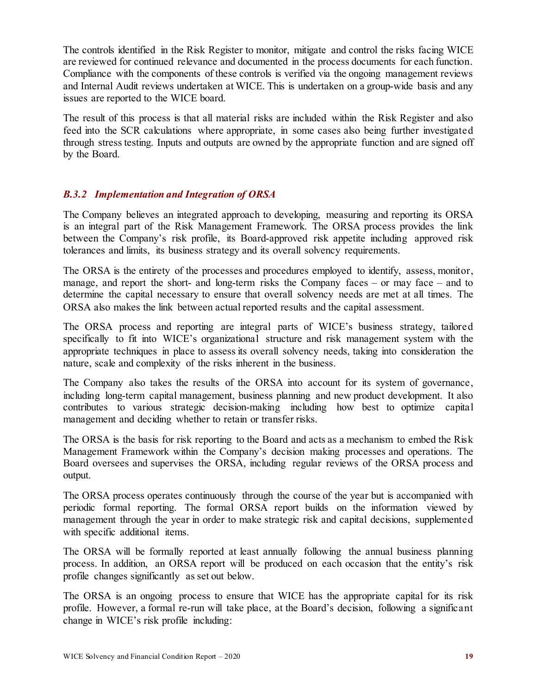The controls identified in the Risk Register to monitor, mitigate and control the risks facing WICE are reviewed for continued relevance and documented in the process documents for each function. Compliance with the components of these controls is verified via the ongoing management reviews and Internal Audit reviews undertaken at WICE. This is undertaken on a group-wide basis and any issues are reported to the WICE board.

The result of this process is that all material risks are included within the Risk Register and also feed into the SCR calculations where appropriate, in some cases also being further investigated through stress testing. Inputs and outputs are owned by the appropriate function and are signed off by the Board.

#### *B.3.2 Implementation and Integration of ORSA*

The Company believes an integrated approach to developing, measuring and reporting its ORSA is an integral part of the Risk Management Framework. The ORSA process provides the link between the Company's risk profile, its Board-approved risk appetite including approved risk tolerances and limits, its business strategy and its overall solvency requirements.

The ORSA is the entirety of the processes and procedures employed to identify, assess, monitor, manage, and report the short- and long-term risks the Company faces – or may face – and to determine the capital necessary to ensure that overall solvency needs are met at all times. The ORSA also makes the link between actual reported results and the capital assessment.

The ORSA process and reporting are integral parts of WICE's business strategy, tailored specifically to fit into WICE's organizational structure and risk management system with the appropriate techniques in place to assess its overall solvency needs, taking into consideration the nature, scale and complexity of the risks inherent in the business.

The Company also takes the results of the ORSA into account for its system of governance, including long-term capital management, business planning and new product development. It also contributes to various strategic decision-making including how best to optimize capital management and deciding whether to retain or transfer risks.

The ORSA is the basis for risk reporting to the Board and acts as a mechanism to embed the Risk Management Framework within the Company's decision making processes and operations. The Board oversees and supervises the ORSA, including regular reviews of the ORSA process and output.

The ORSA process operates continuously through the course of the year but is accompanied with periodic formal reporting. The formal ORSA report builds on the information viewed by management through the year in order to make strategic risk and capital decisions, supplemented with specific additional items.

The ORSA will be formally reported at least annually following the annual business planning process. In addition, an ORSA report will be produced on each occasion that the entity's risk profile changes significantly as set out below.

The ORSA is an ongoing process to ensure that WICE has the appropriate capital for its risk profile. However, a formal re-run will take place, at the Board's decision, following a significant change in WICE's risk profile including: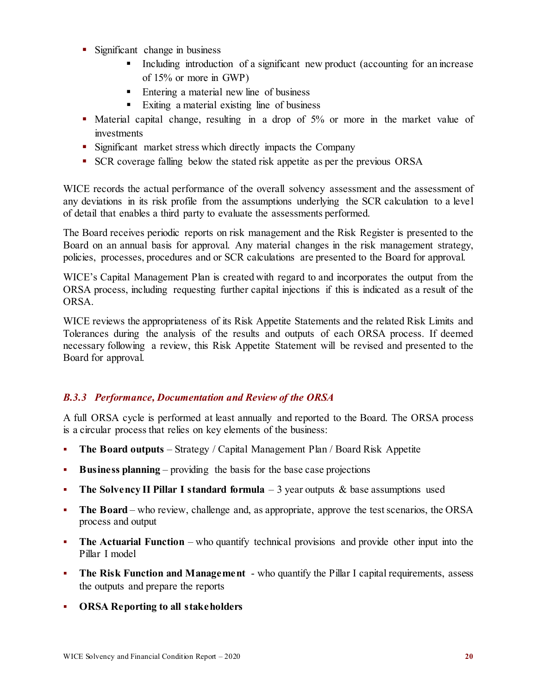- Significant change in business
	- Including introduction of a significant new product (accounting for an increase of 15% or more in GWP)
	- Entering a material new line of business
	- Exiting a material existing line of business
- Material capital change, resulting in a drop of 5% or more in the market value of investments
- **Significant market stress which directly impacts the Company**
- SCR coverage falling below the stated risk appetite as per the previous ORSA

WICE records the actual performance of the overall solvency assessment and the assessment of any deviations in its risk profile from the assumptions underlying the SCR calculation to a level of detail that enables a third party to evaluate the assessments performed.

The Board receives periodic reports on risk management and the Risk Register is presented to the Board on an annual basis for approval. Any material changes in the risk management strategy, policies, processes, procedures and or SCR calculations are presented to the Board for approval.

WICE's Capital Management Plan is created with regard to and incorporates the output from the ORSA process, including requesting further capital injections if this is indicated as a result of the ORSA.

WICE reviews the appropriateness of its Risk Appetite Statements and the related Risk Limits and Tolerances during the analysis of the results and outputs of each ORSA process. If deemed necessary following a review, this Risk Appetite Statement will be revised and presented to the Board for approval.

#### *B.3.3 Performance, Documentation and Review of the ORSA*

A full ORSA cycle is performed at least annually and reported to the Board. The ORSA process is a circular process that relies on key elements of the business:

- **The Board outputs** Strategy / Capital Management Plan / Board Risk Appetite
- **Business planning**  providing the basis for the base case projections
- **The Solvency II Pillar I standard formula** 3 year outputs & base assumptions used
- The Board who review, challenge and, as appropriate, approve the test scenarios, the ORSA process and output
- **The Actuarial Function** who quantify technical provisions and provide other input into the Pillar I model
- **The Risk Function and Management**  who quantify the Pillar I capital requirements, assess the outputs and prepare the reports
- **ORSA Reporting to all stakeholders**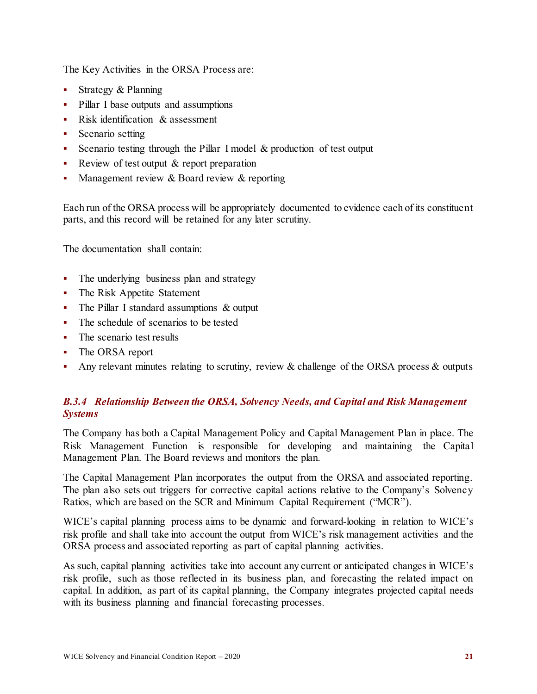The Key Activities in the ORSA Process are:

- Strategy  $&$  Planning
- Pillar I base outputs and assumptions
- Risk identification & assessment
- Scenario setting
- Scenario testing through the Pillar I model  $&$  production of test output
- Review of test output & report preparation
- Management review & Board review & reporting

Each run of the ORSA process will be appropriately documented to evidence each of its constituent parts, and this record will be retained for any later scrutiny.

The documentation shall contain:

- The underlying business plan and strategy
- The Risk Appetite Statement
- The Pillar I standard assumptions & output
- The schedule of scenarios to be tested
- The scenario test results
- The ORSA report
- Any relevant minutes relating to scrutiny, review & challenge of the ORSA process & outputs

### *B.3.4 Relationship Between the ORSA, Solvency Needs, and Capital and Risk Management Systems*

The Company has both a Capital Management Policy and Capital Management Plan in place. The Risk Management Function is responsible for developing and maintaining the Capital Management Plan. The Board reviews and monitors the plan.

The Capital Management Plan incorporates the output from the ORSA and associated reporting. The plan also sets out triggers for corrective capital actions relative to the Company's Solvency Ratios, which are based on the SCR and Minimum Capital Requirement ("MCR").

WICE's capital planning process aims to be dynamic and forward-looking in relation to WICE's risk profile and shall take into account the output from WICE's risk management activities and the ORSA process and associated reporting as part of capital planning activities.

As such, capital planning activities take into account any current or anticipated changes in WICE's risk profile, such as those reflected in its business plan, and forecasting the related impact on capital. In addition, as part of its capital planning, the Company integrates projected capital needs with its business planning and financial forecasting processes.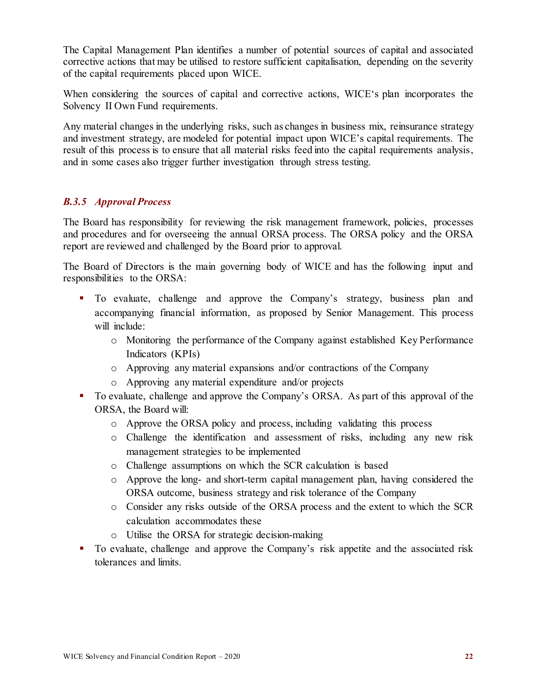The Capital Management Plan identifies a number of potential sources of capital and associated corrective actions that may be utilised to restore sufficient capitalisation, depending on the severity of the capital requirements placed upon WICE.

When considering the sources of capital and corrective actions, WICE's plan incorporates the Solvency II Own Fund requirements.

Any material changes in the underlying risks, such as changes in business mix, reinsurance strategy and investment strategy, are modeled for potential impact upon WICE's capital requirements. The result of this process is to ensure that all material risks feed into the capital requirements analysis, and in some cases also trigger further investigation through stress testing.

#### *B.3.5 Approval Process*

The Board has responsibility for reviewing the risk management framework, policies, processes and procedures and for overseeing the annual ORSA process. The ORSA policy and the ORSA report are reviewed and challenged by the Board prior to approval.

The Board of Directors is the main governing body of WICE and has the following input and responsibilities to the ORSA:

- To evaluate, challenge and approve the Company's strategy, business plan and accompanying financial information, as proposed by Senior Management. This process will include:
	- o Monitoring the performance of the Company against established Key Performance Indicators (KPIs)
	- o Approving any material expansions and/or contractions of the Company
	- o Approving any material expenditure and/or projects
- To evaluate, challenge and approve the Company's ORSA. As part of this approval of the ORSA, the Board will:
	- o Approve the ORSA policy and process, including validating this process
	- o Challenge the identification and assessment of risks, including any new risk management strategies to be implemented
	- o Challenge assumptions on which the SCR calculation is based
	- o Approve the long- and short-term capital management plan, having considered the ORSA outcome, business strategy and risk tolerance of the Company
	- o Consider any risks outside of the ORSA process and the extent to which the SCR calculation accommodates these
	- o Utilise the ORSA for strategic decision-making
- To evaluate, challenge and approve the Company's risk appetite and the associated risk tolerances and limits.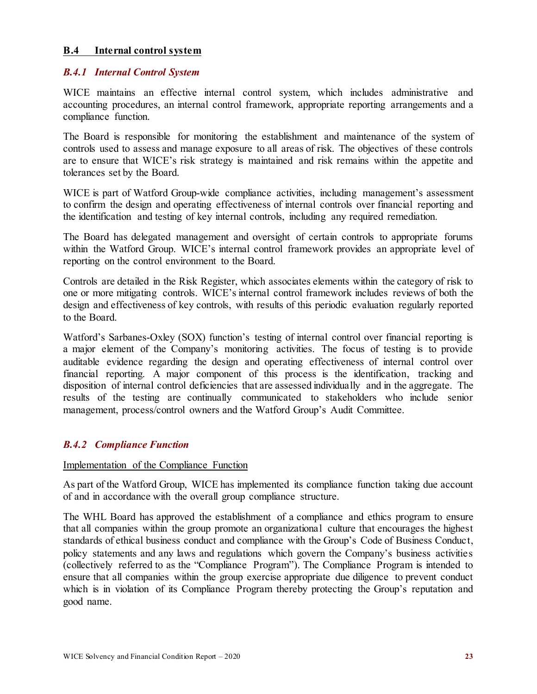#### <span id="page-25-0"></span>**B.4 Internal control system**

#### *B.4.1 Internal Control System*

WICE maintains an effective internal control system, which includes administrative and accounting procedures, an internal control framework, appropriate reporting arrangements and a compliance function.

The Board is responsible for monitoring the establishment and maintenance of the system of controls used to assess and manage exposure to all areas of risk. The objectives of these controls are to ensure that WICE's risk strategy is maintained and risk remains within the appetite and tolerances set by the Board.

WICE is part of Watford Group-wide compliance activities, including management's assessment to confirm the design and operating effectiveness of internal controls over financial reporting and the identification and testing of key internal controls, including any required remediation.

The Board has delegated management and oversight of certain controls to appropriate forums within the Watford Group. WICE's internal control framework provides an appropriate level of reporting on the control environment to the Board.

Controls are detailed in the Risk Register, which associates elements within the category of risk to one or more mitigating controls. WICE's internal control framework includes reviews of both the design and effectiveness of key controls, with results of this periodic evaluation regularly reported to the Board.

Watford's Sarbanes-Oxley (SOX) function's testing of internal control over financial reporting is a major element of the Company's monitoring activities. The focus of testing is to provide auditable evidence regarding the design and operating effectiveness of internal control over financial reporting. A major component of this process is the identification, tracking and disposition of internal control deficiencies that are assessed individually and in the aggregate. The results of the testing are continually communicated to stakeholders who include senior management, process/control owners and the Watford Group's Audit Committee.

#### *B.4.2 Compliance Function*

#### Implementation of the Compliance Function

As part of the Watford Group, WICE has implemented its compliance function taking due account of and in accordance with the overall group compliance structure.

The WHL Board has approved the establishment of a compliance and ethics program to ensure that all companies within the group promote an organizational culture that encourages the highest standards of ethical business conduct and compliance with the Group's Code of Business Conduct, policy statements and any laws and regulations which govern the Company's business activities (collectively referred to as the "Compliance Program"). The Compliance Program is intended to ensure that all companies within the group exercise appropriate due diligence to prevent conduct which is in violation of its Compliance Program thereby protecting the Group's reputation and good name.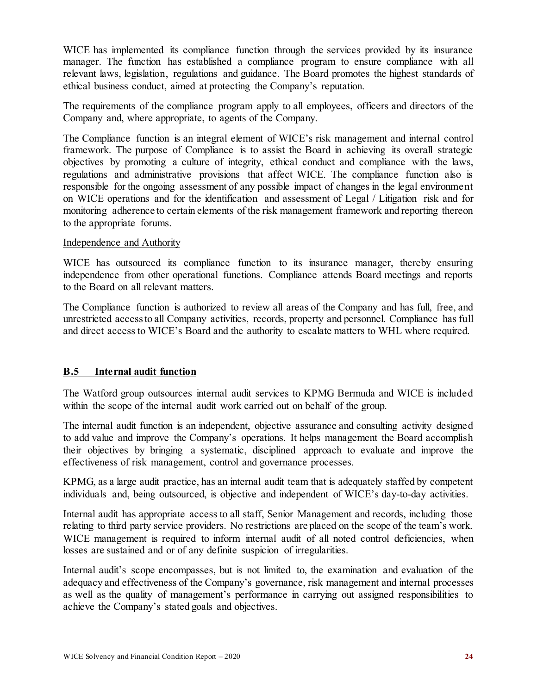WICE has implemented its compliance function through the services provided by its insurance manager. The function has established a compliance program to ensure compliance with all relevant laws, legislation, regulations and guidance. The Board promotes the highest standards of ethical business conduct, aimed at protecting the Company's reputation.

The requirements of the compliance program apply to all employees, officers and directors of the Company and, where appropriate, to agents of the Company.

The Compliance function is an integral element of WICE's risk management and internal control framework. The purpose of Compliance is to assist the Board in achieving its overall strategic objectives by promoting a culture of integrity, ethical conduct and compliance with the laws, regulations and administrative provisions that affect WICE. The compliance function also is responsible for the ongoing assessment of any possible impact of changes in the legal environment on WICE operations and for the identification and assessment of Legal / Litigation risk and for monitoring adherence to certain elements of the risk management framework and reporting thereon to the appropriate forums.

#### Independence and Authority

WICE has outsourced its compliance function to its insurance manager, thereby ensuring independence from other operational functions. Compliance attends Board meetings and reports to the Board on all relevant matters.

The Compliance function is authorized to review all areas of the Company and has full, free, and unrestricted access to all Company activities, records, property and personnel. Compliance has full and direct access to WICE's Board and the authority to escalate matters to WHL where required.

#### <span id="page-26-0"></span>**B.5 Internal audit function**

The Watford group outsources internal audit services to KPMG Bermuda and WICE is included within the scope of the internal audit work carried out on behalf of the group.

The internal audit function is an independent, objective assurance and consulting activity designed to add value and improve the Company's operations. It helps management the Board accomplish their objectives by bringing a systematic, disciplined approach to evaluate and improve the effectiveness of risk management, control and governance processes.

KPMG, as a large audit practice, has an internal audit team that is adequately staffed by competent individuals and, being outsourced, is objective and independent of WICE's day-to-day activities.

Internal audit has appropriate access to all staff, Senior Management and records, including those relating to third party service providers. No restrictions are placed on the scope of the team's work. WICE management is required to inform internal audit of all noted control deficiencies, when losses are sustained and or of any definite suspicion of irregularities.

Internal audit's scope encompasses, but is not limited to, the examination and evaluation of the adequacy and effectiveness of the Company's governance, risk management and internal processes as well as the quality of management's performance in carrying out assigned responsibilities to achieve the Company's stated goals and objectives.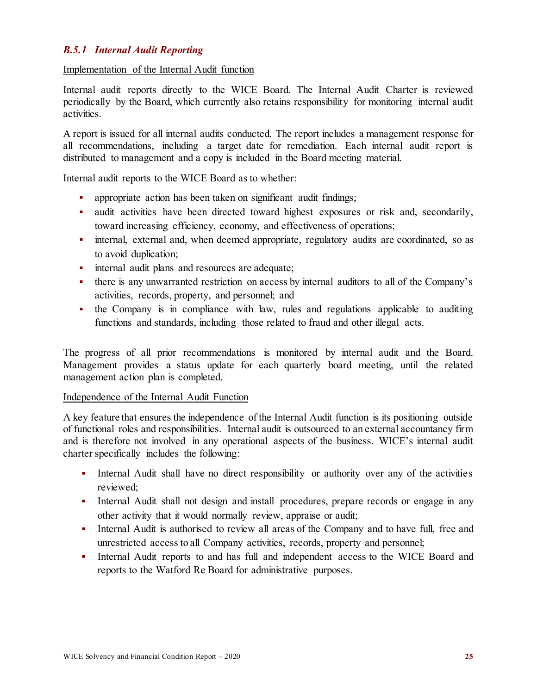#### *B.5.1 Internal Audit Reporting*

#### Implementation of the Internal Audit function

Internal audit reports directly to the WICE Board. The Internal Audit Charter is reviewed periodically by the Board, which currently also retains responsibility for monitoring internal audit activities.

A report is issued for all internal audits conducted. The report includes a management response for all recommendations, including a target date for remediation. Each internal audit report is distributed to management and a copy is included in the Board meeting material.

Internal audit reports to the WICE Board as to whether:

- appropriate action has been taken on significant audit findings;
- audit activities have been directed toward highest exposures or risk and, secondarily, toward increasing efficiency, economy, and effectiveness of operations;
- internal, external and, when deemed appropriate, regulatory audits are coordinated, so as to avoid duplication;
- **i** internal audit plans and resources are adequate;
- there is any unwarranted restriction on access by internal auditors to all of the Company's activities, records, property, and personnel; and
- the Company is in compliance with law, rules and regulations applicable to auditing functions and standards, including those related to fraud and other illegal acts.

The progress of all prior recommendations is monitored by internal audit and the Board. Management provides a status update for each quarterly board meeting, until the related management action plan is completed.

#### Independence of the Internal Audit Function

A key feature that ensures the independence of the Internal Audit function is its positioning outside of functional roles and responsibilities. Internal audit is outsourced to an external accountancy firm and is therefore not involved in any operational aspects of the business. WICE's internal audit charter specifically includes the following:

- Internal Audit shall have no direct responsibility or authority over any of the activities reviewed;
- Internal Audit shall not design and install procedures, prepare records or engage in any other activity that it would normally review, appraise or audit;
- Internal Audit is authorised to review all areas of the Company and to have full, free and unrestricted access to all Company activities, records, property and personnel;
- Internal Audit reports to and has full and independent access to the WICE Board and reports to the Watford Re Board for administrative purposes.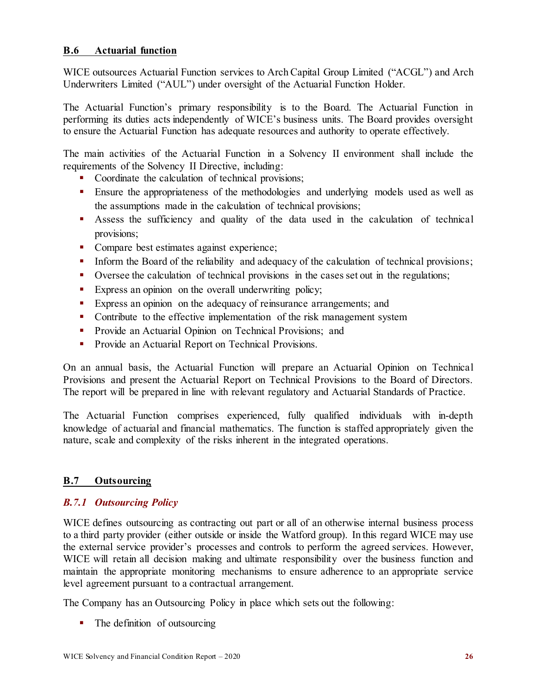<span id="page-28-0"></span>WICE outsources Actuarial Function services to Arch Capital Group Limited ("ACGL") and Arch Underwriters Limited ("AUL") under oversight of the Actuarial Function Holder.

The Actuarial Function's primary responsibility is to the Board. The Actuarial Function in performing its duties acts independently of WICE's business units. The Board provides oversight to ensure the Actuarial Function has adequate resources and authority to operate effectively.

The main activities of the Actuarial Function in a Solvency II environment shall include the requirements of the Solvency II Directive, including:

- Coordinate the calculation of technical provisions;
- Ensure the appropriateness of the methodologies and underlying models used as well as the assumptions made in the calculation of technical provisions;
- Assess the sufficiency and quality of the data used in the calculation of technical provisions;
- Compare best estimates against experience;
- Inform the Board of the reliability and adequacy of the calculation of technical provisions;
- Oversee the calculation of technical provisions in the cases set out in the regulations;
- Express an opinion on the overall underwriting policy;
- Express an opinion on the adequacy of reinsurance arrangements; and
- Contribute to the effective implementation of the risk management system
- **Provide an Actuarial Opinion on Technical Provisions; and**
- **Provide an Actuarial Report on Technical Provisions.**

On an annual basis, the Actuarial Function will prepare an Actuarial Opinion on Technical Provisions and present the Actuarial Report on Technical Provisions to the Board of Directors. The report will be prepared in line with relevant regulatory and Actuarial Standards of Practice.

The Actuarial Function comprises experienced, fully qualified individuals with in-depth knowledge of actuarial and financial mathematics. The function is staffed appropriately given the nature, scale and complexity of the risks inherent in the integrated operations.

#### <span id="page-28-1"></span>**B.7 Outsourcing**

#### *B.7.1 Outsourcing Policy*

WICE defines outsourcing as contracting out part or all of an otherwise internal business process to a third party provider (either outside or inside the Watford group). In this regard WICE may use the external service provider's processes and controls to perform the agreed services. However, WICE will retain all decision making and ultimate responsibility over the business function and maintain the appropriate monitoring mechanisms to ensure adherence to an appropriate service level agreement pursuant to a contractual arrangement.

The Company has an Outsourcing Policy in place which sets out the following:

• The definition of outsourcing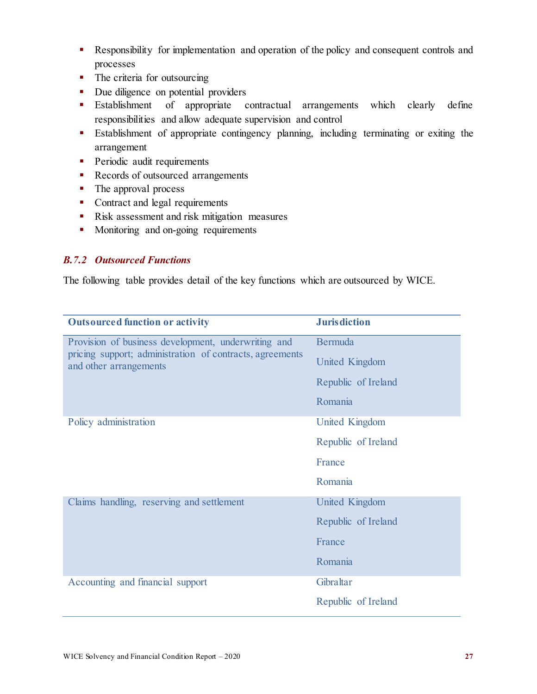- Responsibility for implementation and operation of the policy and consequent controls and processes
- The criteria for outsourcing
- Due diligence on potential providers
- Establishment of appropriate contractual arrangements which clearly define responsibilities and allow adequate supervision and control
- Establishment of appropriate contingency planning, including terminating or exiting the arrangement
- **Periodic audit requirements**
- Records of outsourced arrangements
- The approval process
- Contract and legal requirements
- Risk assessment and risk mitigation measures
- **Monitoring and on-going requirements**

#### *B.7.2 Outsourced Functions*

The following table provides detail of the key functions which are outsourced by WICE.

| <b>Outsourced function or activity</b>                                             | <b>Jurisdiction</b>   |
|------------------------------------------------------------------------------------|-----------------------|
| Provision of business development, underwriting and                                | <b>Bermuda</b>        |
| pricing support; administration of contracts, agreements<br>and other arrangements | United Kingdom        |
|                                                                                    | Republic of Ireland   |
|                                                                                    | Romania               |
| Policy administration                                                              | <b>United Kingdom</b> |
|                                                                                    | Republic of Ireland   |
|                                                                                    | France                |
|                                                                                    | Romania               |
| Claims handling, reserving and settlement                                          | <b>United Kingdom</b> |
|                                                                                    | Republic of Ireland   |
|                                                                                    | France                |
|                                                                                    | Romania               |
| Accounting and financial support                                                   | Gibraltar             |
|                                                                                    | Republic of Ireland   |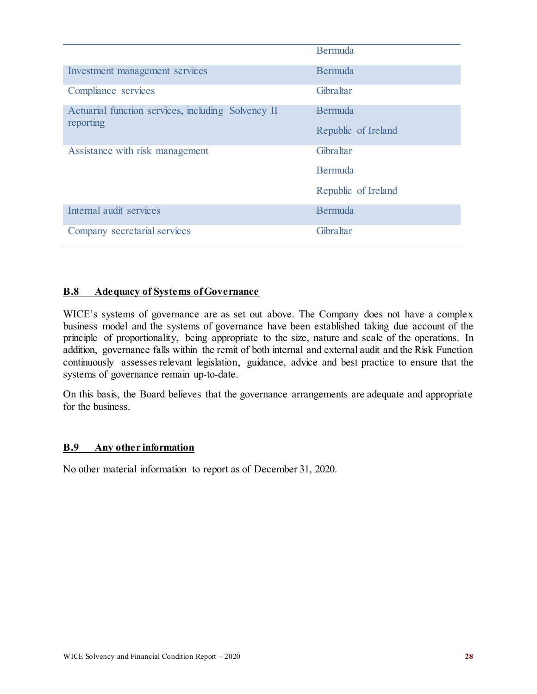|                                                                 | Bermuda             |
|-----------------------------------------------------------------|---------------------|
| Investment management services                                  | Bermuda             |
| Compliance services                                             | Gibraltar           |
| Actuarial function services, including Solvency II<br>reporting | Bermuda             |
|                                                                 | Republic of Ireland |
| Assistance with risk management                                 | Gibraltar           |
|                                                                 | Bermuda             |
|                                                                 | Republic of Ireland |
| Internal audit services                                         | Bermuda             |
| Company secretarial services                                    | Gibraltar           |

#### **B.8 Adequacy of Systems of Governance**

WICE's systems of governance are as set out above. The Company does not have a complex business model and the systems of governance have been established taking due account of the principle of proportionality, being appropriate to the size, nature and scale of the operations. In addition, governance falls within the remit of both internal and external audit and the Risk Function continuously assesses relevant legislation, guidance, advice and best practice to ensure that the systems of governance remain up-to-date.

On this basis, the Board believes that the governance arrangements are adequate and appropriate for the business.

#### <span id="page-30-0"></span>**B.9 Any other information**

No other material information to report as of December 31, 2020.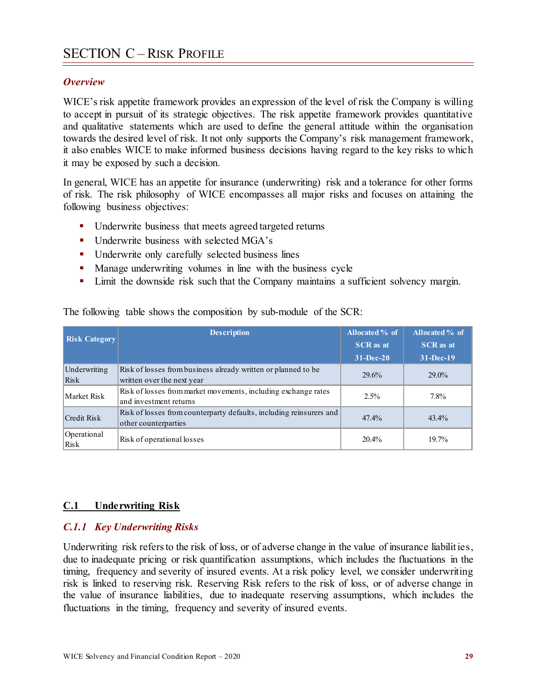#### <span id="page-31-0"></span>*Overview*

WICE's risk appetite framework provides an expression of the level of risk the Company is willing to accept in pursuit of its strategic objectives. The risk appetite framework provides quantitative and qualitative statements which are used to define the general attitude within the organisation towards the desired level of risk. It not only supports the Company's risk management framework, it also enables WICE to make informed business decisions having regard to the key risks to which it may be exposed by such a decision.

In general, WICE has an appetite for insurance (underwriting) risk and a tolerance for other forms of risk. The risk philosophy of WICE encompasses all major risks and focuses on attaining the following business objectives:

- **•** Underwrite business that meets agreed targeted returns
- Underwrite business with selected MGA's
- **Underwrite only carefully selected business lines**
- **Manage underwriting volumes in line with the business cycle**
- **EXECUTE:** Limit the downside risk such that the Company maintains a sufficient solvency margin.

| <b>Risk Category</b> | <b>Description</b>                                                                          | Allocated % of<br><b>SCR</b> as at | Allocated % of<br><b>SCR</b> as at |
|----------------------|---------------------------------------------------------------------------------------------|------------------------------------|------------------------------------|
|                      |                                                                                             | $31 - Dec-20$                      | 31-Dec-19                          |
| Underwriting<br>Risk | Risk of losses from business already written or planned to be<br>written over the next year | 29.6%                              | $29.0\%$                           |
| Market Risk          | Risk of losses from market movements, including exchange rates<br>and investment returns    | 2.5%                               | 7.8%                               |
| Credit Risk          | Risk of losses from counterparty defaults, including reinsurers and<br>other counterparties | 47.4%                              | $43.4\%$                           |
| Operational<br>Risk  | Risk of operational losses                                                                  | 20.4%                              | 19.7%                              |

The following table shows the composition by sub-module of the SCR:

#### <span id="page-31-1"></span>**C.1 Underwriting Risk**

#### *C.1.1 Key Underwriting Risks*

Underwriting risk refers to the risk of loss, or of adverse change in the value of insurance liabilities, due to inadequate pricing or risk quantification assumptions, which includes the fluctuations in the timing, frequency and severity of insured events. At a risk policy level, we consider underwriting risk is linked to reserving risk. Reserving Risk refers to the risk of loss, or of adverse change in the value of insurance liabilities, due to inadequate reserving assumptions, which includes the fluctuations in the timing, frequency and severity of insured events.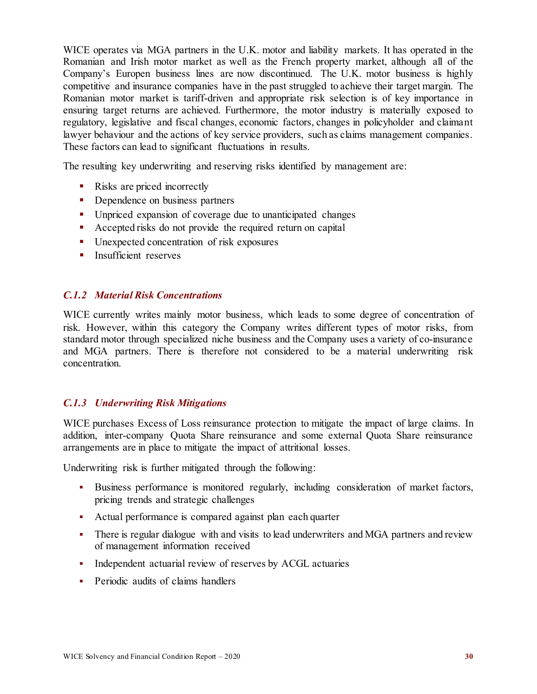WICE operates via MGA partners in the U.K. motor and liability markets. It has operated in the Romanian and Irish motor market as well as the French property market, although all of the Company's Europen business lines are now discontinued. The U.K. motor business is highly competitive and insurance companies have in the past struggled to achieve their target margin. The Romanian motor market is tariff-driven and appropriate risk selection is of key importance in ensuring target returns are achieved. Furthermore, the motor industry is materially exposed to regulatory, legislative and fiscal changes, economic factors, changes in policyholder and claimant lawyer behaviour and the actions of key service providers, such as claims management companies. These factors can lead to significant fluctuations in results.

The resulting key underwriting and reserving risks identified by management are:

- Risks are priced incorrectly
- Dependence on business partners
- **Unpriced expansion of coverage due to unanticipated changes**
- Accepted risks do not provide the required return on capital
- Unexpected concentration of risk exposures
- **Insufficient reserves**

#### *C.1.2 Material Risk Concentrations*

WICE currently writes mainly motor business, which leads to some degree of concentration of risk. However, within this category the Company writes different types of motor risks, from standard motor through specialized niche business and the Company uses a variety of co-insurance and MGA partners. There is therefore not considered to be a material underwriting risk concentration.

#### *C.1.3 Underwriting Risk Mitigations*

WICE purchases Excess of Loss reinsurance protection to mitigate the impact of large claims. In addition, inter-company Quota Share reinsurance and some external Quota Share reinsurance arrangements are in place to mitigate the impact of attritional losses.

Underwriting risk is further mitigated through the following:

- Business performance is monitored regularly, including consideration of market factors, pricing trends and strategic challenges
- Actual performance is compared against plan each quarter
- There is regular dialogue with and visits to lead underwriters and MGA partners and review of management information received
- Independent actuarial review of reserves by ACGL actuaries
- Periodic audits of claims handlers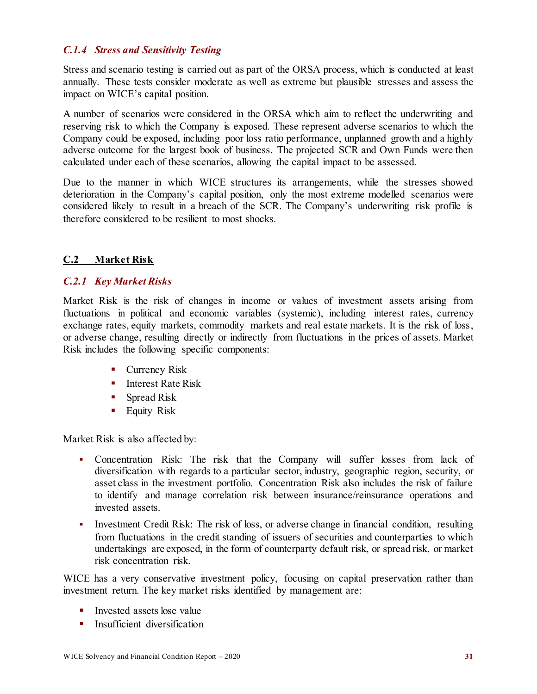#### *C.1.4 Stress and Sensitivity Testing*

Stress and scenario testing is carried out as part of the ORSA process, which is conducted at least annually. These tests consider moderate as well as extreme but plausible stresses and assess the impact on WICE's capital position.

A number of scenarios were considered in the ORSA which aim to reflect the underwriting and reserving risk to which the Company is exposed. These represent adverse scenarios to which the Company could be exposed, including poor loss ratio performance, unplanned growth and a highly adverse outcome for the largest book of business. The projected SCR and Own Funds were then calculated under each of these scenarios, allowing the capital impact to be assessed.

Due to the manner in which WICE structures its arrangements, while the stresses showed deterioration in the Company's capital position, only the most extreme modelled scenarios were considered likely to result in a breach of the SCR. The Company's underwriting risk profile is therefore considered to be resilient to most shocks.

#### <span id="page-33-0"></span>**C.2 Market Risk**

#### *C.2.1 Key Market Risks*

Market Risk is the risk of changes in income or values of investment assets arising from fluctuations in political and economic variables (systemic), including interest rates, currency exchange rates, equity markets, commodity markets and real estate markets. It is the risk of loss, or adverse change, resulting directly or indirectly from fluctuations in the prices of assets. Market Risk includes the following specific components:

- **Currency Risk**
- $\blacksquare$  Interest Rate Risk
- Spread Risk
- **Equity Risk**

Market Risk is also affected by:

- Concentration Risk: The risk that the Company will suffer losses from lack of diversification with regards to a particular sector, industry, geographic region, security, or asset class in the investment portfolio. Concentration Risk also includes the risk of failure to identify and manage correlation risk between insurance/reinsurance operations and invested assets.
- Investment Credit Risk: The risk of loss, or adverse change in financial condition, resulting from fluctuations in the credit standing of issuers of securities and counterparties to which undertakings are exposed, in the form of counterparty default risk, or spread risk, or market risk concentration risk.

WICE has a very conservative investment policy, focusing on capital preservation rather than investment return. The key market risks identified by management are:

- $\blacksquare$  Invested assets lose value
- **Insufficient diversification**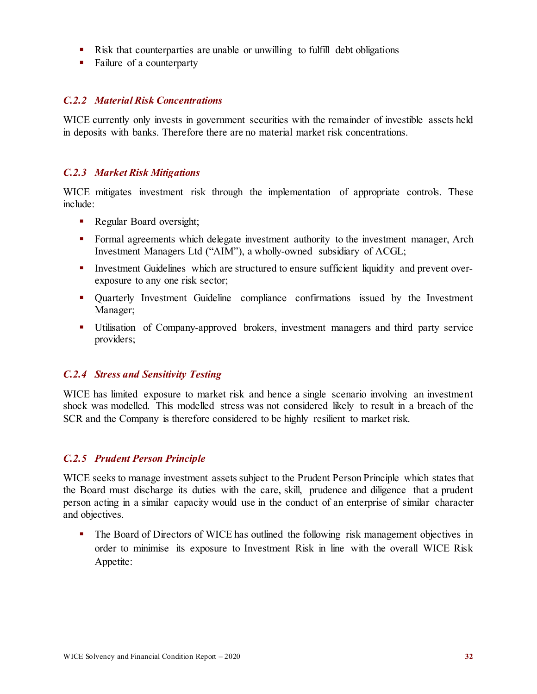- Risk that counterparties are unable or unwilling to fulfill debt obligations
- Failure of a counterparty

#### *C.2.2 Material Risk Concentrations*

WICE currently only invests in government securities with the remainder of investible assets held in deposits with banks. Therefore there are no material market risk concentrations.

#### *C.2.3 Market Risk Mitigations*

WICE mitigates investment risk through the implementation of appropriate controls. These include:

- Regular Board oversight;
- Formal agreements which delegate investment authority to the investment manager, Arch Investment Managers Ltd ("AIM"), a wholly-owned subsidiary of ACGL;
- Investment Guidelines which are structured to ensure sufficient liquidity and prevent overexposure to any one risk sector;
- Quarterly Investment Guideline compliance confirmations issued by the Investment Manager;
- Utilisation of Company-approved brokers, investment managers and third party service providers;

#### *C.2.4 Stress and Sensitivity Testing*

WICE has limited exposure to market risk and hence a single scenario involving an investment shock was modelled. This modelled stress was not considered likely to result in a breach of the SCR and the Company is therefore considered to be highly resilient to market risk.

#### *C.2.5 Prudent Person Principle*

WICE seeks to manage investment assets subject to the Prudent Person Principle which states that the Board must discharge its duties with the care, skill, prudence and diligence that a prudent person acting in a similar capacity would use in the conduct of an enterprise of similar character and objectives.

• The Board of Directors of WICE has outlined the following risk management objectives in order to minimise its exposure to Investment Risk in line with the overall WICE Risk Appetite: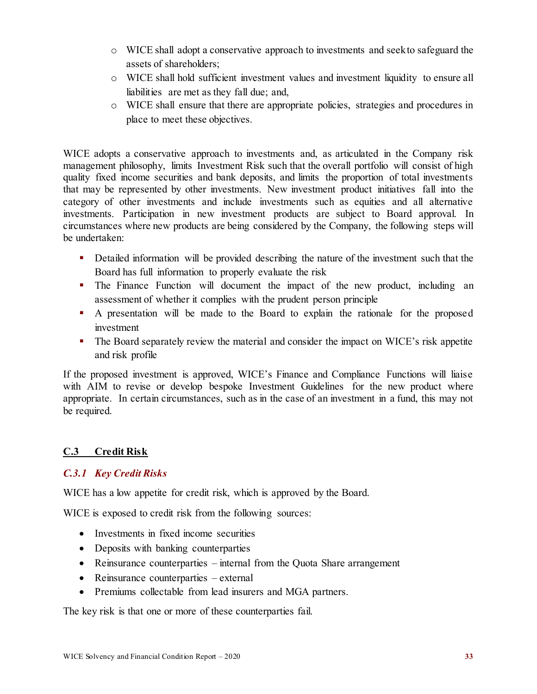- o WICE shall adopt a conservative approach to investments and seek to safeguard the assets of shareholders;
- o WICE shall hold sufficient investment values and investment liquidity to ensure all liabilities are met as they fall due; and,
- o WICE shall ensure that there are appropriate policies, strategies and procedures in place to meet these objectives.

WICE adopts a conservative approach to investments and, as articulated in the Company risk management philosophy, limits Investment Risk such that the overall portfolio will consist of high quality fixed income securities and bank deposits, and limits the proportion of total investments that may be represented by other investments. New investment product initiatives fall into the category of other investments and include investments such as equities and all alternative investments. Participation in new investment products are subject to Board approval. In circumstances where new products are being considered by the Company, the following steps will be undertaken:

- Detailed information will be provided describing the nature of the investment such that the Board has full information to properly evaluate the risk
- The Finance Function will document the impact of the new product, including an assessment of whether it complies with the prudent person principle
- A presentation will be made to the Board to explain the rationale for the proposed investment
- The Board separately review the material and consider the impact on WICE's risk appetite and risk profile

If the proposed investment is approved, WICE's Finance and Compliance Functions will liaise with AIM to revise or develop bespoke Investment Guidelines for the new product where appropriate. In certain circumstances, such as in the case of an investment in a fund, this may not be required.

### <span id="page-35-0"></span>**C.3 Credit Risk**

### *C.3.1 Key Credit Risks*

WICE has a low appetite for credit risk, which is approved by the Board.

WICE is exposed to credit risk from the following sources:

- Investments in fixed income securities
- Deposits with banking counterparties
- Reinsurance counterparties internal from the Quota Share arrangement
- Reinsurance counterparties external
- Premiums collectable from lead insurers and MGA partners.

The key risk is that one or more of these counterparties fail.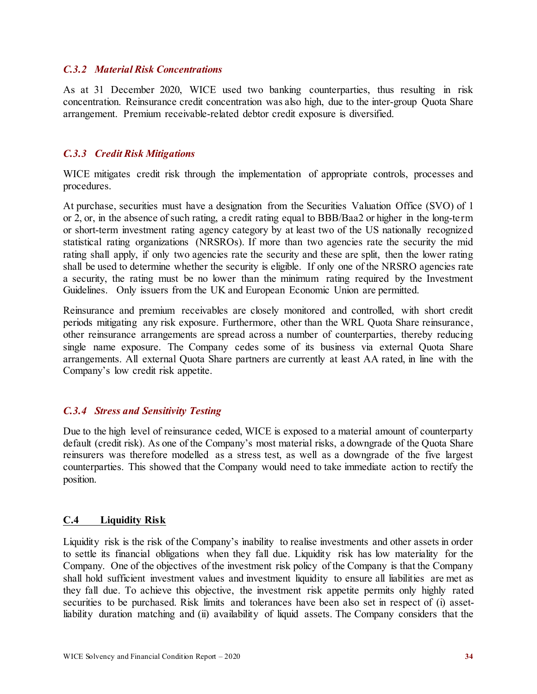#### *C.3.2 Material Risk Concentrations*

As at 31 December 2020, WICE used two banking counterparties, thus resulting in risk concentration. Reinsurance credit concentration was also high, due to the inter-group Quota Share arrangement. Premium receivable-related debtor credit exposure is diversified.

#### *C.3.3 Credit Risk Mitigations*

WICE mitigates credit risk through the implementation of appropriate controls, processes and procedures.

At purchase, securities must have a designation from the Securities Valuation Office (SVO) of 1 or 2, or, in the absence of such rating, a credit rating equal to BBB/Baa2 or higher in the long-term or short-term investment rating agency category by at least two of the US nationally recognized statistical rating organizations (NRSROs). If more than two agencies rate the security the mid rating shall apply, if only two agencies rate the security and these are split, then the lower rating shall be used to determine whether the security is eligible. If only one of the NRSRO agencies rate a security, the rating must be no lower than the minimum rating required by the Investment Guidelines. Only issuers from the UK and European Economic Union are permitted.

Reinsurance and premium receivables are closely monitored and controlled, with short credit periods mitigating any risk exposure. Furthermore, other than the WRL Quota Share reinsurance, other reinsurance arrangements are spread across a number of counterparties, thereby reducing single name exposure. The Company cedes some of its business via external Quota Share arrangements. All external Quota Share partners are currently at least AA rated, in line with the Company's low credit risk appetite.

#### *C.3.4 Stress and Sensitivity Testing*

Due to the high level of reinsurance ceded, WICE is exposed to a material amount of counterparty default (credit risk). As one of the Company's most material risks, a downgrade of the Quota Share reinsurers was therefore modelled as a stress test, as well as a downgrade of the five largest counterparties. This showed that the Company would need to take immediate action to rectify the position.

#### <span id="page-36-0"></span>**C.4 Liquidity Risk**

Liquidity risk is the risk of the Company's inability to realise investments and other assets in order to settle its financial obligations when they fall due. Liquidity risk has low materiality for the Company. One of the objectives of the investment risk policy of the Company is that the Company shall hold sufficient investment values and investment liquidity to ensure all liabilities are met as they fall due. To achieve this objective, the investment risk appetite permits only highly rated securities to be purchased. Risk limits and tolerances have been also set in respect of (i) assetliability duration matching and (ii) availability of liquid assets. The Company considers that the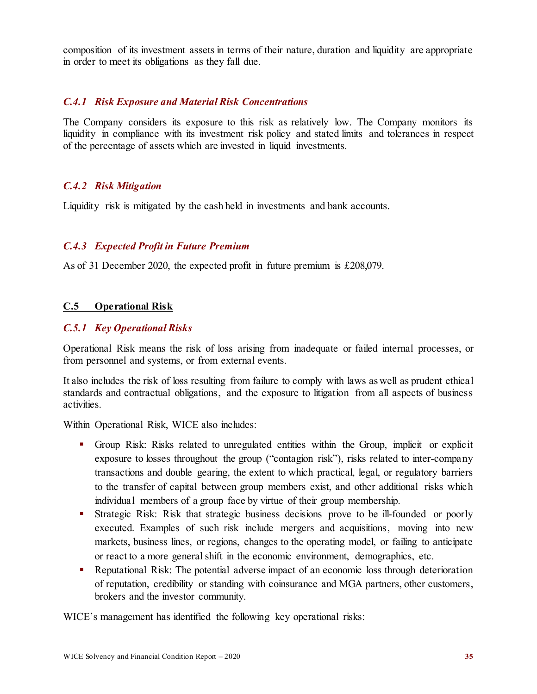composition of its investment assets in terms of their nature, duration and liquidity are appropriate in order to meet its obligations as they fall due.

#### *C.4.1 Risk Exposure and Material Risk Concentrations*

The Company considers its exposure to this risk as relatively low. The Company monitors its liquidity in compliance with its investment risk policy and stated limits and tolerances in respect of the percentage of assets which are invested in liquid investments.

#### *C.4.2 Risk Mitigation*

Liquidity risk is mitigated by the cash held in investments and bank accounts.

#### *C.4.3 Expected Profit in Future Premium*

As of 31 December 2020, the expected profit in future premium is £208,079.

#### <span id="page-37-0"></span>**C.5 Operational Risk**

#### *C.5.1 Key Operational Risks*

Operational Risk means the risk of loss arising from inadequate or failed internal processes, or from personnel and systems, or from external events.

It also includes the risk of loss resulting from failure to comply with laws as well as prudent ethical standards and contractual obligations, and the exposure to litigation from all aspects of business activities.

Within Operational Risk, WICE also includes:

- Group Risk: Risks related to unregulated entities within the Group, implicit or explicit exposure to losses throughout the group ("contagion risk"), risks related to inter-company transactions and double gearing, the extent to which practical, legal, or regulatory barriers to the transfer of capital between group members exist, and other additional risks which individual members of a group face by virtue of their group membership.
- Strategic Risk: Risk that strategic business decisions prove to be ill-founded or poorly executed. Examples of such risk include mergers and acquisitions, moving into new markets, business lines, or regions, changes to the operating model, or failing to anticipate or react to a more general shift in the economic environment, demographics, etc.
- Reputational Risk: The potential adverse impact of an economic loss through deterioration of reputation, credibility or standing with coinsurance and MGA partners, other customers, brokers and the investor community.

WICE's management has identified the following key operational risks: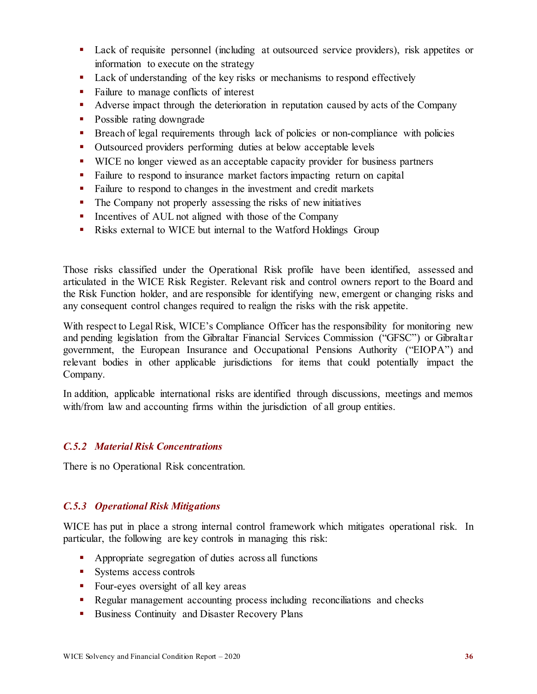- Lack of requisite personnel (including at outsourced service providers), risk appetites or information to execute on the strategy
- Lack of understanding of the key risks or mechanisms to respond effectively
- Failure to manage conflicts of interest
- Adverse impact through the deterioration in reputation caused by acts of the Company
- Possible rating downgrade
- **Breach of legal requirements through lack of policies or non-compliance with policies**
- Outsourced providers performing duties at below acceptable levels
- WICE no longer viewed as an acceptable capacity provider for business partners
- Failure to respond to insurance market factors impacting return on capital
- Failure to respond to changes in the investment and credit markets
- The Company not properly assessing the risks of new initiatives
- **IDED** Incentives of AUL not aligned with those of the Company
- **Risks external to WICE but internal to the Watford Holdings Group**

Those risks classified under the Operational Risk profile have been identified, assessed and articulated in the WICE Risk Register. Relevant risk and control owners report to the Board and the Risk Function holder, and are responsible for identifying new, emergent or changing risks and any consequent control changes required to realign the risks with the risk appetite.

With respect to Legal Risk, WICE's Compliance Officer has the responsibility for monitoring new and pending legislation from the Gibraltar Financial Services Commission ("GFSC") or Gibraltar government, the European Insurance and Occupational Pensions Authority ("EIOPA") and relevant bodies in other applicable jurisdictions for items that could potentially impact the Company.

In addition, applicable international risks are identified through discussions, meetings and memos with/from law and accounting firms within the jurisdiction of all group entities.

#### *C.5.2 Material Risk Concentrations*

There is no Operational Risk concentration.

#### *C.5.3 Operational Risk Mitigations*

WICE has put in place a strong internal control framework which mitigates operational risk. In particular, the following are key controls in managing this risk:

- Appropriate segregation of duties across all functions
- Systems access controls
- Four-eyes oversight of all key areas
- Regular management accounting process including reconciliations and checks
- Business Continuity and Disaster Recovery Plans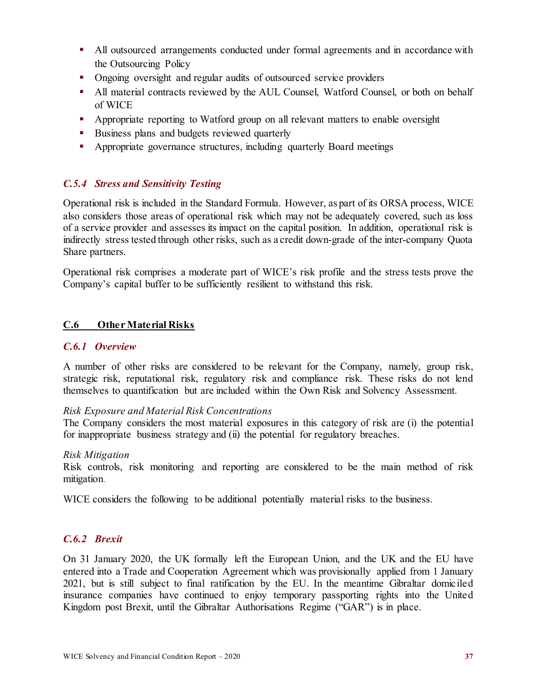- All outsourced arrangements conducted under formal agreements and in accordance with the Outsourcing Policy
- Ongoing oversight and regular audits of outsourced service providers
- All material contracts reviewed by the AUL Counsel, Watford Counsel, or both on behalf of WICE
- **•** Appropriate reporting to Watford group on all relevant matters to enable oversight
- Business plans and budgets reviewed quarterly
- Appropriate governance structures, including quarterly Board meetings

#### *C.5.4 Stress and Sensitivity Testing*

Operational risk is included in the Standard Formula. However, as part of its ORSA process, WICE also considers those areas of operational risk which may not be adequately covered, such as loss of a service provider and assesses its impact on the capital position. In addition, operational risk is indirectly stress tested through other risks, such as a credit down-grade of the inter-company Quota Share partners.

Operational risk comprises a moderate part of WICE's risk profile and the stress tests prove the Company's capital buffer to be sufficiently resilient to withstand this risk.

#### <span id="page-39-0"></span>**C.6 Other Material Risks**

#### *C.6.1 Overview*

A number of other risks are considered to be relevant for the Company, namely, group risk, strategic risk, reputational risk, regulatory risk and compliance risk. These risks do not lend themselves to quantification but are included within the Own Risk and Solvency Assessment.

#### *Risk Exposure and Material Risk Concentrations*

The Company considers the most material exposures in this category of risk are (i) the potential for inappropriate business strategy and (ii) the potential for regulatory breaches.

#### *Risk Mitigation*

Risk controls, risk monitoring and reporting are considered to be the main method of risk mitigation.

WICE considers the following to be additional potentially material risks to the business.

#### *C.6.2 Brexit*

On 31 January 2020, the UK formally left the European Union, and the UK and the EU have entered into a Trade and Cooperation Agreement which was provisionally applied from 1 January 2021, but is still subject to final ratification by the EU. In the meantime Gibraltar domiciled insurance companies have continued to enjoy temporary passporting rights into the United Kingdom post Brexit, until the Gibraltar Authorisations Regime ("GAR") is in place.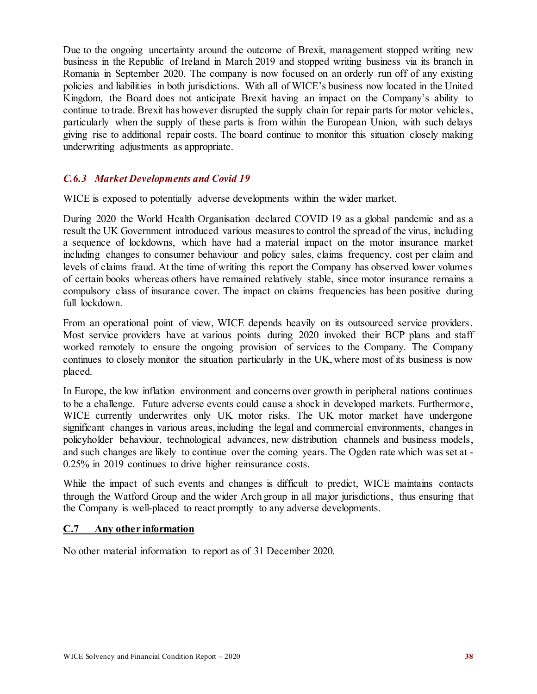Due to the ongoing uncertainty around the outcome of Brexit, management stopped writing new business in the Republic of Ireland in March 2019 and stopped writing business via its branch in Romania in September 2020. The company is now focused on an orderly run off of any existing policies and liabilities in both jurisdictions. With all of WICE's business now located in the United Kingdom, the Board does not anticipate Brexit having an impact on the Company's ability to continue to trade. Brexit has however disrupted the supply chain for repair parts for motor vehicles, particularly when the supply of these parts is from within the European Union, with such delays giving rise to additional repair costs. The board continue to monitor this situation closely making underwriting adjustments as appropriate.

#### *C.6.3 Market Developments and Covid 19*

WICE is exposed to potentially adverse developments within the wider market.

During 2020 the World Health Organisation declared COVID 19 as a global pandemic and as a result the UK Government introduced various measures to control the spread of the virus, including a sequence of lockdowns, which have had a material impact on the motor insurance market including changes to consumer behaviour and policy sales, claims frequency, cost per claim and levels of claims fraud. At the time of writing this report the Company has observed lower volumes of certain books whereas others have remained relatively stable, since motor insurance remains a compulsory class of insurance cover. The impact on claims frequencies has been positive during full lockdown.

From an operational point of view, WICE depends heavily on its outsourced service providers. Most service providers have at various points during 2020 invoked their BCP plans and staff worked remotely to ensure the ongoing provision of services to the Company. The Company continues to closely monitor the situation particularly in the UK, where most of its business is now placed.

In Europe, the low inflation environment and concerns over growth in peripheral nations continues to be a challenge. Future adverse events could cause a shock in developed markets. Furthermore, WICE currently underwrites only UK motor risks. The UK motor market have undergone significant changes in various areas, including the legal and commercial environments, changes in policyholder behaviour, technological advances, new distribution channels and business models, and such changes are likely to continue over the coming years. The Ogden rate which was set at - 0.25% in 2019 continues to drive higher reinsurance costs.

While the impact of such events and changes is difficult to predict, WICE maintains contacts through the Watford Group and the wider Arch group in all major jurisdictions, thus ensuring that the Company is well-placed to react promptly to any adverse developments.

#### <span id="page-40-0"></span>**C.7 Any other information**

No other material information to report as of 31 December 2020.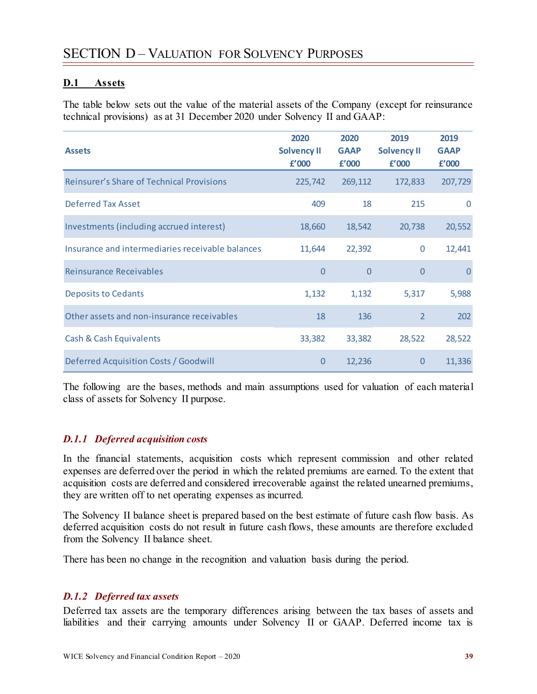#### <span id="page-41-1"></span><span id="page-41-0"></span>**D.1 Assets**

The table below sets out the value of the material assets of the Company (except for reinsurance technical provisions) as at 31 December 2020 under Solvency II and GAAP:

| <b>Assets</b>                                    | 2020<br><b>Solvency II</b><br>f'000 | 2020<br><b>GAAP</b><br>f'000 | 2019<br><b>Solvency II</b><br>f'000 | 2019<br><b>GAAP</b><br>f'000 |
|--------------------------------------------------|-------------------------------------|------------------------------|-------------------------------------|------------------------------|
| <b>Reinsurer's Share of Technical Provisions</b> | 225,742                             | 269,112                      | 172,833                             | 207,729                      |
| <b>Deferred Tax Asset</b>                        | 409                                 | 18                           | 215                                 | $\Omega$                     |
| Investments (including accrued interest)         | 18,660                              | 18,542                       | 20,738                              | 20,552                       |
| Insurance and intermediaries receivable balances | 11,644                              | 22,392                       | $\mathbf 0$                         | 12,441                       |
| <b>Reinsurance Receivables</b>                   | $\overline{0}$                      | $\overline{0}$               | $\overline{0}$                      | $\Omega$                     |
| <b>Deposits to Cedants</b>                       | 1,132                               | 1,132                        | 5,317                               | 5,988                        |
| Other assets and non-insurance receivables       | 18                                  | 136                          | $\overline{2}$                      | 202                          |
| <b>Cash &amp; Cash Equivalents</b>               | 33,382                              | 33,382                       | 28,522                              | 28,522                       |
| Deferred Acquisition Costs / Goodwill            | $\overline{0}$                      | 12,236                       | $\overline{0}$                      | 11,336                       |

The following are the bases, methods and main assumptions used for valuation of each material class of assets for Solvency II purpose.

#### *D.1.1 Deferred acquisition costs*

In the financial statements, acquisition costs which represent commission and other related expenses are deferred over the period in which the related premiums are earned. To the extent that acquisition costs are deferred and considered irrecoverable against the related unearned premiums, they are written off to net operating expenses as incurred.

The Solvency II balance sheet is prepared based on the best estimate of future cash flow basis. As deferred acquisition costs do not result in future cash flows, these amounts are therefore excluded from the Solvency II balance sheet.

There has been no change in the recognition and valuation basis during the period.

#### *D.1.2 Deferred tax assets*

Deferred tax assets are the temporary differences arising between the tax bases of assets and liabilities and their carrying amounts under Solvency II or GAAP. Deferred income tax is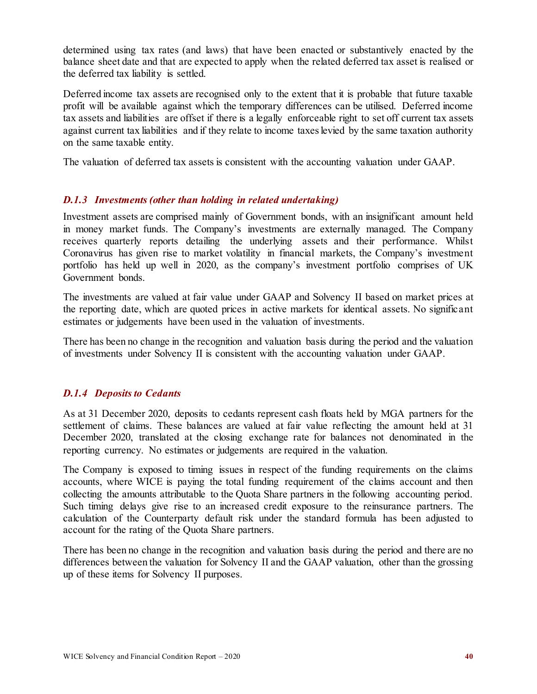determined using tax rates (and laws) that have been enacted or substantively enacted by the balance sheet date and that are expected to apply when the related deferred tax asset is realised or the deferred tax liability is settled.

Deferred income tax assets are recognised only to the extent that it is probable that future taxable profit will be available against which the temporary differences can be utilised. Deferred income tax assets and liabilities are offset if there is a legally enforceable right to set off current tax assets against current tax liabilities and if they relate to income taxes levied by the same taxation authority on the same taxable entity.

The valuation of deferred tax assets is consistent with the accounting valuation under GAAP.

#### *D.1.3 Investments (other than holding in related undertaking)*

Investment assets are comprised mainly of Government bonds, with an insignificant amount held in money market funds. The Company's investments are externally managed. The Company receives quarterly reports detailing the underlying assets and their performance. Whilst Coronavirus has given rise to market volatility in financial markets, the Company's investment portfolio has held up well in 2020, as the company's investment portfolio comprises of UK Government bonds.

The investments are valued at fair value under GAAP and Solvency II based on market prices at the reporting date, which are quoted prices in active markets for identical assets. No significant estimates or judgements have been used in the valuation of investments.

There has been no change in the recognition and valuation basis during the period and the valuation of investments under Solvency II is consistent with the accounting valuation under GAAP.

#### *D.1.4 Deposits to Cedants*

As at 31 December 2020, deposits to cedants represent cash floats held by MGA partners for the settlement of claims. These balances are valued at fair value reflecting the amount held at 31 December 2020, translated at the closing exchange rate for balances not denominated in the reporting currency. No estimates or judgements are required in the valuation.

The Company is exposed to timing issues in respect of the funding requirements on the claims accounts, where WICE is paying the total funding requirement of the claims account and then collecting the amounts attributable to the Quota Share partners in the following accounting period. Such timing delays give rise to an increased credit exposure to the reinsurance partners. The calculation of the Counterparty default risk under the standard formula has been adjusted to account for the rating of the Quota Share partners.

There has been no change in the recognition and valuation basis during the period and there are no differences between the valuation for Solvency II and the GAAP valuation, other than the grossing up of these items for Solvency II purposes.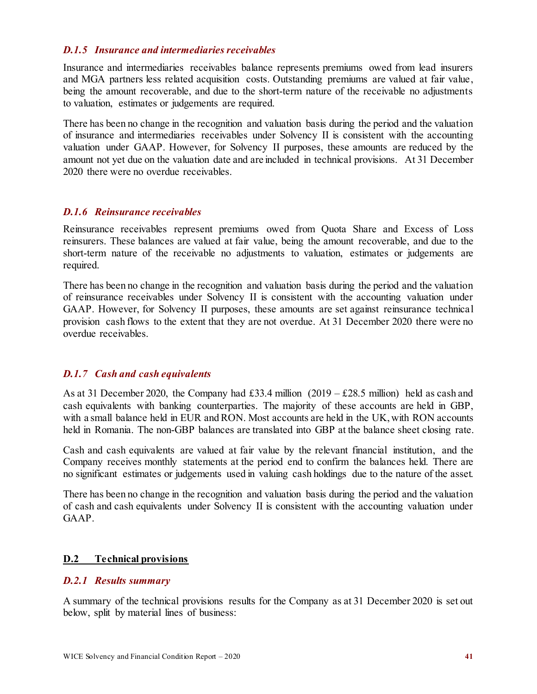#### *D.1.5 Insurance and intermediaries receivables*

Insurance and intermediaries receivables balance represents premiums owed from lead insurers and MGA partners less related acquisition costs. Outstanding premiums are valued at fair value, being the amount recoverable, and due to the short-term nature of the receivable no adjustments to valuation, estimates or judgements are required.

There has been no change in the recognition and valuation basis during the period and the valuation of insurance and intermediaries receivables under Solvency II is consistent with the accounting valuation under GAAP. However, for Solvency II purposes, these amounts are reduced by the amount not yet due on the valuation date and are included in technical provisions. At 31 December 2020 there were no overdue receivables.

#### *D.1.6 Reinsurance receivables*

Reinsurance receivables represent premiums owed from Quota Share and Excess of Loss reinsurers. These balances are valued at fair value, being the amount recoverable, and due to the short-term nature of the receivable no adjustments to valuation, estimates or judgements are required.

There has been no change in the recognition and valuation basis during the period and the valuation of reinsurance receivables under Solvency II is consistent with the accounting valuation under GAAP. However, for Solvency II purposes, these amounts are set against reinsurance technical provision cash flows to the extent that they are not overdue. At 31 December 2020 there were no overdue receivables.

#### *D.1.7 Cash and cash equivalents*

As at 31 December 2020, the Company had £33.4 million  $(2019 - \text{\textsterling}28.5 \text{ million})$  held as cash and cash equivalents with banking counterparties. The majority of these accounts are held in GBP, with a small balance held in EUR and RON. Most accounts are held in the UK, with RON accounts held in Romania. The non-GBP balances are translated into GBP at the balance sheet closing rate.

Cash and cash equivalents are valued at fair value by the relevant financial institution, and the Company receives monthly statements at the period end to confirm the balances held. There are no significant estimates or judgements used in valuing cash holdings due to the nature of the asset.

There has been no change in the recognition and valuation basis during the period and the valuation of cash and cash equivalents under Solvency II is consistent with the accounting valuation under GAAP.

#### <span id="page-43-0"></span>**D.2 Technical provisions**

#### *D.2.1 Results summary*

A summary of the technical provisions results for the Company as at 31 December 2020 is set out below, split by material lines of business: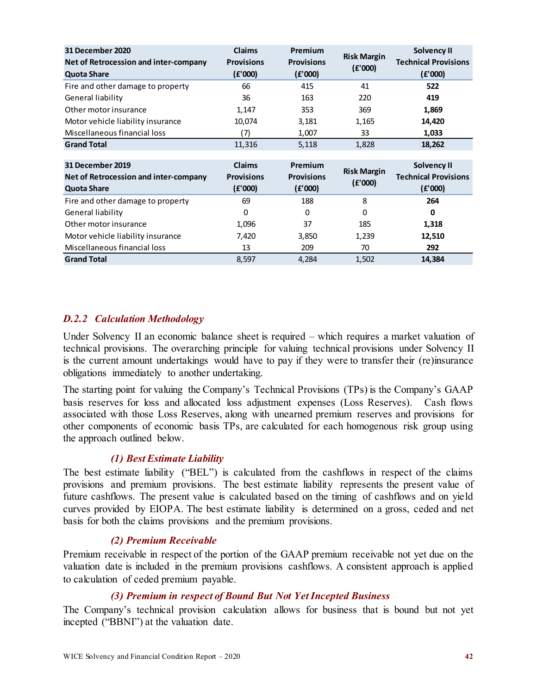| 31 December 2020                      | <b>Claims</b>     | Premium           |                    | <b>Solvency II</b>          |
|---------------------------------------|-------------------|-------------------|--------------------|-----------------------------|
| Net of Retrocession and inter-company | <b>Provisions</b> | <b>Provisions</b> | <b>Risk Margin</b> | <b>Technical Provisions</b> |
| <b>Quota Share</b>                    | (E'000)           | (E'000)           | (E'000)            | (E'000)                     |
| Fire and other damage to property     | 66                | 415               | 41                 | 522                         |
| General liability                     | 36                | 163               | 220                | 419                         |
| Other motor insurance                 | 1,147             | 353               | 369                | 1,869                       |
| Motor vehicle liability insurance     | 10,074            | 3,181             | 1,165              | 14,420                      |
| Miscellaneous financial loss          | (7)               | 1,007             | 33                 | 1,033                       |
| <b>Grand Total</b>                    | 11,316            | 5,118             | 1,828              | 18,262                      |
|                                       |                   |                   |                    |                             |
| <b>31 December 2019</b>               | <b>Claims</b>     | Premium           | <b>Risk Margin</b> | Solvency II                 |
| Net of Retrocession and inter-company |                   |                   |                    |                             |
|                                       | <b>Provisions</b> | <b>Provisions</b> |                    | <b>Technical Provisions</b> |
| <b>Quota Share</b>                    | (E'000)           | (E'000)           | (E'000)            | (f'000)                     |
| Fire and other damage to property     | 69                | 188               | 8                  | 264                         |
| General liability                     | 0                 | 0                 | 0                  | 0                           |
| Other motor insurance                 | 1,096             | 37                | 185                | 1,318                       |
| Motor vehicle liability insurance     | 7,420             | 3,850             | 1,239              | 12,510                      |
| Miscellaneous financial loss          | 13                | 209               | 70                 | 292                         |

#### *D.2.2 Calculation Methodology*

Under Solvency II an economic balance sheet is required – which requires a market valuation of technical provisions. The overarching principle for valuing technical provisions under Solvency II is the current amount undertakings would have to pay if they were to transfer their (re)insurance obligations immediately to another undertaking.

The starting point for valuing the Company's Technical Provisions (TPs) is the Company's GAAP basis reserves for loss and allocated loss adjustment expenses (Loss Reserves). Cash flows associated with those Loss Reserves, along with unearned premium reserves and provisions for other components of economic basis TPs, are calculated for each homogenous risk group using the approach outlined below.

#### *(1) Best Estimate Liability*

The best estimate liability ("BEL") is calculated from the cashflows in respect of the claims provisions and premium provisions. The best estimate liability represents the present value of future cashflows. The present value is calculated based on the timing of cashflows and on yield curves provided by EIOPA. The best estimate liability is determined on a gross, ceded and net basis for both the claims provisions and the premium provisions.

#### *(2) Premium Receivable*

Premium receivable in respect of the portion of the GAAP premium receivable not yet due on the valuation date is included in the premium provisions cashflows. A consistent approach is applied to calculation of ceded premium payable.

#### *(3) Premium in respect of Bound But Not Yet Incepted Business*

The Company's technical provision calculation allows for business that is bound but not yet incepted ("BBNI") at the valuation date.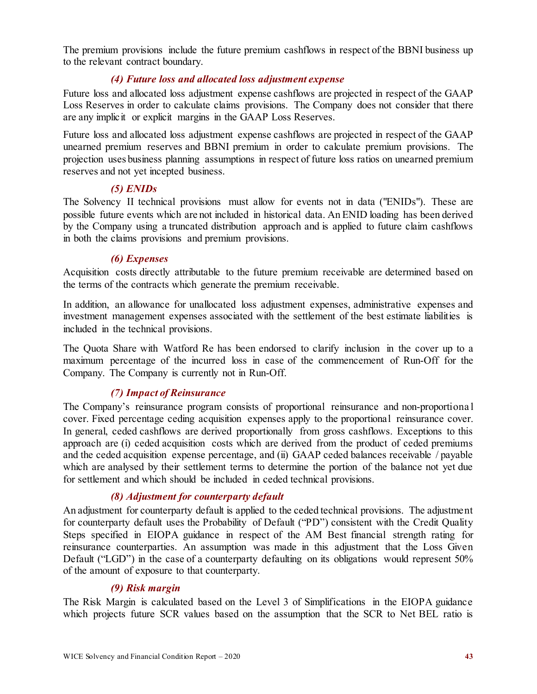The premium provisions include the future premium cashflows in respect of the BBNI business up to the relevant contract boundary.

#### *(4) Future loss and allocated loss adjustment expense*

Future loss and allocated loss adjustment expense cashflows are projected in respect of the GAAP Loss Reserves in order to calculate claims provisions. The Company does not consider that there are any implicit or explicit margins in the GAAP Loss Reserves.

Future loss and allocated loss adjustment expense cashflows are projected in respect of the GAAP unearned premium reserves and BBNI premium in order to calculate premium provisions. The projection uses business planning assumptions in respect of future loss ratios on unearned premium reserves and not yet incepted business.

### *(5) ENIDs*

The Solvency II technical provisions must allow for events not in data ("ENIDs"). These are possible future events which are not included in historical data. An ENID loading has been derived by the Company using a truncated distribution approach and is applied to future claim cashflows in both the claims provisions and premium provisions.

#### *(6) Expenses*

Acquisition costs directly attributable to the future premium receivable are determined based on the terms of the contracts which generate the premium receivable.

In addition, an allowance for unallocated loss adjustment expenses, administrative expenses and investment management expenses associated with the settlement of the best estimate liabilities is included in the technical provisions.

The Quota Share with Watford Re has been endorsed to clarify inclusion in the cover up to a maximum percentage of the incurred loss in case of the commencement of Run-Off for the Company. The Company is currently not in Run-Off.

### *(7) Impact of Reinsurance*

The Company's reinsurance program consists of proportional reinsurance and non-proportiona l cover. Fixed percentage ceding acquisition expenses apply to the proportional reinsurance cover. In general, ceded cashflows are derived proportionally from gross cashflows. Exceptions to this approach are (i) ceded acquisition costs which are derived from the product of ceded premiums and the ceded acquisition expense percentage, and (ii) GAAP ceded balances receivable / payable which are analysed by their settlement terms to determine the portion of the balance not yet due for settlement and which should be included in ceded technical provisions.

#### *(8) Adjustment for counterparty default*

An adjustment for counterparty default is applied to the ceded technical provisions. The adjustment for counterparty default uses the Probability of Default ("PD") consistent with the Credit Quality Steps specified in EIOPA guidance in respect of the AM Best financial strength rating for reinsurance counterparties. An assumption was made in this adjustment that the Loss Given Default ("LGD") in the case of a counterparty defaulting on its obligations would represent 50% of the amount of exposure to that counterparty.

#### *(9) Risk margin*

The Risk Margin is calculated based on the Level 3 of Simplifications in the EIOPA guidance which projects future SCR values based on the assumption that the SCR to Net BEL ratio is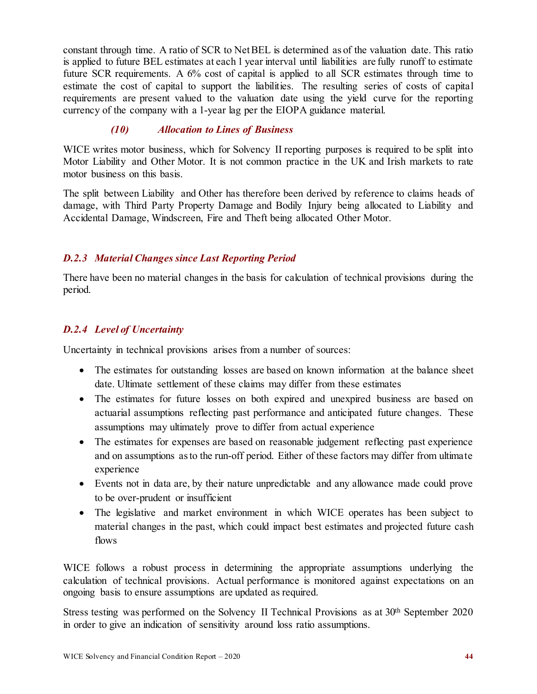constant through time. A ratio of SCR to Net BEL is determined as of the valuation date. This ratio is applied to future BEL estimates at each 1 year interval until liabilities are fully runoff to estimate future SCR requirements. A 6% cost of capital is applied to all SCR estimates through time to estimate the cost of capital to support the liabilities. The resulting series of costs of capital requirements are present valued to the valuation date using the yield curve for the reporting currency of the company with a 1-year lag per the EIOPA guidance material.

### *(10) Allocation to Lines of Business*

WICE writes motor business, which for Solvency II reporting purposes is required to be split into Motor Liability and Other Motor. It is not common practice in the UK and Irish markets to rate motor business on this basis.

The split between Liability and Other has therefore been derived by reference to claims heads of damage, with Third Party Property Damage and Bodily Injury being allocated to Liability and Accidental Damage, Windscreen, Fire and Theft being allocated Other Motor.

### *D.2.3 Material Changes since Last Reporting Period*

There have been no material changes in the basis for calculation of technical provisions during the period.

### *D.2.4 Level of Uncertainty*

Uncertainty in technical provisions arises from a number of sources:

- The estimates for outstanding losses are based on known information at the balance sheet date. Ultimate settlement of these claims may differ from these estimates
- The estimates for future losses on both expired and unexpired business are based on actuarial assumptions reflecting past performance and anticipated future changes. These assumptions may ultimately prove to differ from actual experience
- The estimates for expenses are based on reasonable judgement reflecting past experience and on assumptions as to the run-off period. Either of these factors may differ from ultimate experience
- Events not in data are, by their nature unpredictable and any allowance made could prove to be over-prudent or insufficient
- The legislative and market environment in which WICE operates has been subject to material changes in the past, which could impact best estimates and projected future cash flows

WICE follows a robust process in determining the appropriate assumptions underlying the calculation of technical provisions. Actual performance is monitored against expectations on an ongoing basis to ensure assumptions are updated as required.

Stress testing was performed on the Solvency II Technical Provisions as at 30<sup>th</sup> September 2020 in order to give an indication of sensitivity around loss ratio assumptions.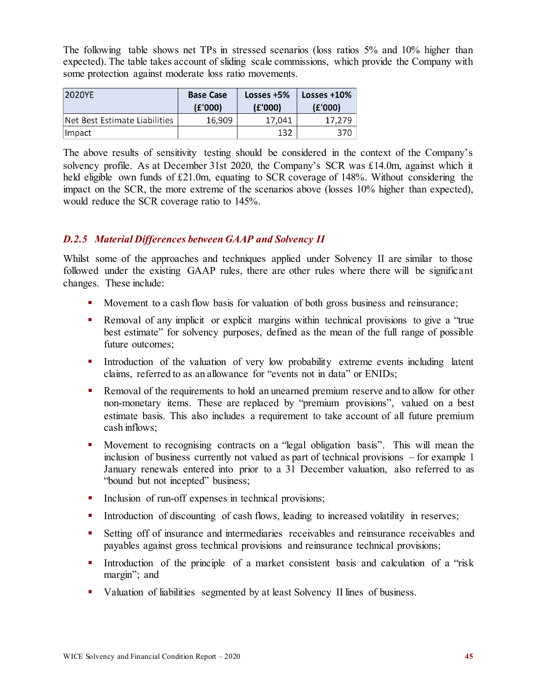The following table shows net TPs in stressed scenarios (loss ratios 5% and 10% higher than expected). The table takes account of sliding scale commissions, which provide the Company with some protection against moderate loss ratio movements.

| 2020YE                        | <b>Base Case</b><br>(E'000) | Losses +5%<br>(E'000) | Losses $+10%$<br>(E'000) |
|-------------------------------|-----------------------------|-----------------------|--------------------------|
| Net Best Estimate Liabilities | 16.909                      | 17.041                | 17.279                   |
| Impact                        |                             | 132                   | 370                      |

The above results of sensitivity testing should be considered in the context of the Company's solvency profile. As at December 31st 2020, the Company's SCR was £14.0m, against which it held eligible own funds of £21.0m, equating to SCR coverage of 148%. Without considering the impact on the SCR, the more extreme of the scenarios above (losses 10% higher than expected), would reduce the SCR coverage ratio to 145%.

#### *D.2.5 Material Differences between GAAP and Solvency II*

Whilst some of the approaches and techniques applied under Solvency II are similar to those followed under the existing GAAP rules, there are other rules where there will be significant changes. These include:

- Movement to a cash flow basis for valuation of both gross business and reinsurance;
- Removal of any implicit or explicit margins within technical provisions to give a "true best estimate" for solvency purposes, defined as the mean of the full range of possible future outcomes;
- Introduction of the valuation of very low probability extreme events including latent claims, referred to as an allowance for "events not in data" or ENIDs;
- **Removal of the requirements to hold an unearned premium reserve and to allow for other** non-monetary items. These are replaced by "premium provisions", valued on a best estimate basis. This also includes a requirement to take account of all future premium cash inflows;
- Movement to recognising contracts on a "legal obligation basis". This will mean the inclusion of business currently not valued as part of technical provisions – for example 1 January renewals entered into prior to a 31 December valuation, also referred to as "bound but not incepted" business;
- Inclusion of run-off expenses in technical provisions;
- Introduction of discounting of cash flows, leading to increased volatility in reserves;
- Setting off of insurance and intermediaries receivables and reinsurance receivables and payables against gross technical provisions and reinsurance technical provisions;
- Introduction of the principle of a market consistent basis and calculation of a "risk" margin"; and
- Valuation of liabilities segmented by at least Solvency II lines of business.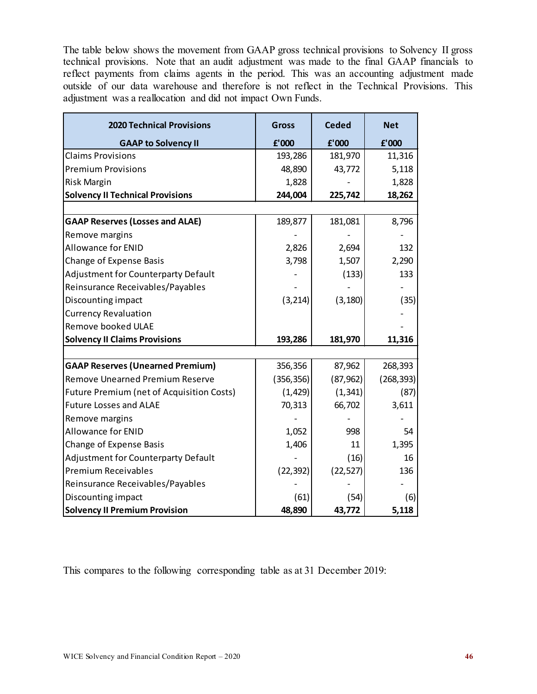The table below shows the movement from GAAP gross technical provisions to Solvency II gross technical provisions. Note that an audit adjustment was made to the final GAAP financials to reflect payments from claims agents in the period. This was an accounting adjustment made outside of our data warehouse and therefore is not reflect in the Technical Provisions. This adjustment was a reallocation and did not impact Own Funds.

| <b>2020 Technical Provisions</b>                 | <b>Gross</b> | <b>Ceded</b> | <b>Net</b> |
|--------------------------------------------------|--------------|--------------|------------|
| <b>GAAP to Solvency II</b>                       | £'000        | E'000        | £'000      |
| <b>Claims Provisions</b>                         | 193,286      | 181,970      | 11,316     |
| <b>Premium Provisions</b>                        | 48,890       | 43,772       | 5,118      |
| Risk Margin                                      | 1,828        |              | 1,828      |
| <b>Solvency II Technical Provisions</b>          | 244,004      | 225,742      | 18,262     |
|                                                  |              |              |            |
| <b>GAAP Reserves (Losses and ALAE)</b>           | 189,877      | 181,081      | 8,796      |
| Remove margins                                   |              |              |            |
| Allowance for ENID                               | 2,826        | 2,694        | 132        |
| <b>Change of Expense Basis</b>                   | 3,798        | 1,507        | 2,290      |
| Adjustment for Counterparty Default              |              | (133)        | 133        |
| Reinsurance Receivables/Payables                 |              |              |            |
| Discounting impact                               | (3, 214)     | (3, 180)     | (35)       |
| <b>Currency Revaluation</b>                      |              |              |            |
| Remove booked ULAE                               |              |              |            |
| <b>Solvency II Claims Provisions</b>             | 193,286      | 181,970      | 11,316     |
|                                                  |              |              |            |
| <b>GAAP Reserves (Unearned Premium)</b>          | 356,356      | 87,962       | 268,393    |
| <b>Remove Unearned Premium Reserve</b>           | (356, 356)   | (87, 962)    | (268, 393) |
| <b>Future Premium (net of Acquisition Costs)</b> | (1, 429)     | (1, 341)     | (87)       |
| <b>Future Losses and ALAE</b>                    | 70,313       | 66,702       | 3,611      |
| Remove margins                                   |              |              |            |
| <b>Allowance for ENID</b>                        | 1,052        | 998          | 54         |
| Change of Expense Basis                          | 1,406        | 11           | 1,395      |
| <b>Adjustment for Counterparty Default</b>       |              | (16)         | 16         |
| <b>Premium Receivables</b>                       | (22, 392)    | (22, 527)    | 136        |
| Reinsurance Receivables/Payables                 |              |              |            |
| Discounting impact                               | (61)         | (54)         | (6)        |
| <b>Solvency II Premium Provision</b>             | 48,890       | 43,772       | 5,118      |

This compares to the following corresponding table as at 31 December 2019: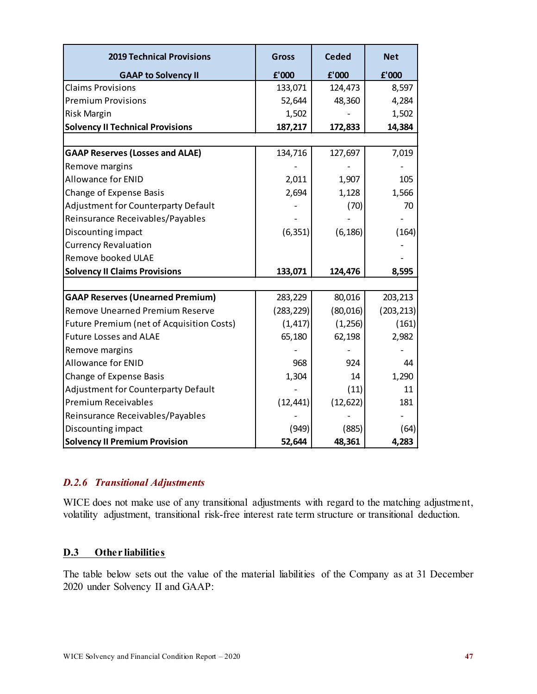| <b>2019 Technical Provisions</b>                 | <b>Gross</b> | Ceded     | <b>Net</b> |
|--------------------------------------------------|--------------|-----------|------------|
| <b>GAAP to Solvency II</b>                       | f'000        | £'000     | f'000      |
| <b>Claims Provisions</b>                         | 133,071      | 124,473   | 8,597      |
| <b>Premium Provisions</b>                        | 52,644       | 48,360    | 4,284      |
| Risk Margin                                      | 1,502        |           | 1,502      |
| <b>Solvency II Technical Provisions</b>          | 187,217      | 172,833   | 14,384     |
|                                                  |              |           |            |
| <b>GAAP Reserves (Losses and ALAE)</b>           | 134,716      | 127,697   | 7,019      |
| Remove margins                                   |              |           |            |
| <b>Allowance for ENID</b>                        | 2,011        | 1,907     | 105        |
| Change of Expense Basis                          | 2,694        | 1,128     | 1,566      |
| <b>Adjustment for Counterparty Default</b>       |              | (70)      | 70         |
| Reinsurance Receivables/Payables                 |              |           |            |
| Discounting impact                               | (6, 351)     | (6, 186)  | (164)      |
| <b>Currency Revaluation</b>                      |              |           |            |
| Remove booked ULAE                               |              |           |            |
| <b>Solvency II Claims Provisions</b>             | 133,071      | 124,476   | 8,595      |
|                                                  |              |           |            |
| <b>GAAP Reserves (Unearned Premium)</b>          | 283,229      | 80,016    | 203,213    |
| <b>Remove Unearned Premium Reserve</b>           | (283, 229)   | (80, 016) | (203, 213) |
| <b>Future Premium (net of Acquisition Costs)</b> | (1, 417)     | (1,256)   | (161)      |
| <b>Future Losses and ALAE</b>                    | 65,180       | 62,198    | 2,982      |
| Remove margins                                   |              |           |            |
| <b>Allowance for ENID</b>                        | 968          | 924       | 44         |
| Change of Expense Basis                          | 1,304        | 14        | 1,290      |
| Adjustment for Counterparty Default              |              | (11)      | 11         |
| <b>Premium Receivables</b>                       | (12, 441)    | (12, 622) | 181        |
| Reinsurance Receivables/Payables                 |              |           |            |
| Discounting impact                               | (949)        | (885)     | (64)       |
| <b>Solvency II Premium Provision</b>             | 52,644       | 48,361    | 4,283      |

### *D.2.6 Transitional Adjustments*

WICE does not make use of any transitional adjustments with regard to the matching adjustment, volatility adjustment, transitional risk-free interest rate term structure or transitional deduction.

### <span id="page-49-0"></span>**D.3 Other liabilities**

The table below sets out the value of the material liabilities of the Company as at 31 December 2020 under Solvency II and GAAP: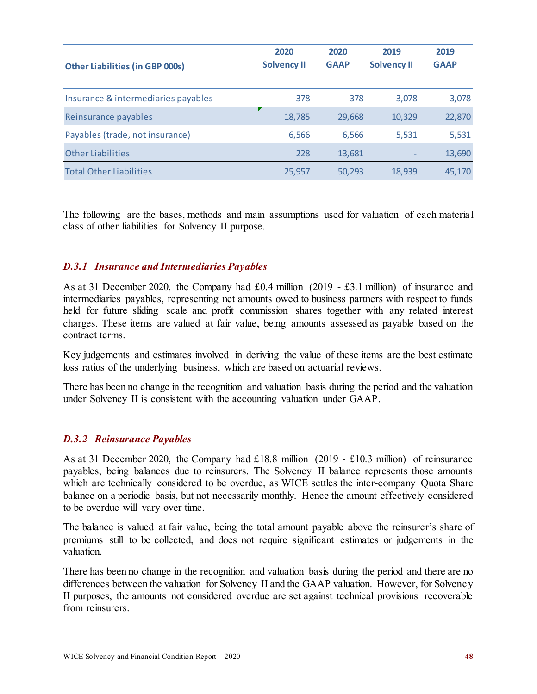| <b>Other Liabilities (in GBP 000s)</b> | 2020<br><b>Solvency II</b> | 2020<br><b>GAAP</b> | 2019<br><b>Solvency II</b> | 2019<br><b>GAAP</b> |
|----------------------------------------|----------------------------|---------------------|----------------------------|---------------------|
| Insurance & intermediaries payables    | 378                        | 378                 | 3,078                      | 3,078               |
| Reinsurance payables                   | 18,785                     | 29,668              | 10,329                     | 22,870              |
| Payables (trade, not insurance)        | 6,566                      | 6,566               | 5,531                      | 5,531               |
| <b>Other Liabilities</b>               | 228                        | 13,681              |                            | 13,690              |
| <b>Total Other Liabilities</b>         | 25,957                     | 50,293              | 18,939                     | 45,170              |

The following are the bases, methods and main assumptions used for valuation of each material class of other liabilities for Solvency II purpose.

#### *D.3.1 Insurance and Intermediaries Payables*

As at 31 December 2020, the Company had £0.4 million (2019 - £3.1 million) of insurance and intermediaries payables, representing net amounts owed to business partners with respect to funds held for future sliding scale and profit commission shares together with any related interest charges. These items are valued at fair value, being amounts assessed as payable based on the contract terms.

Key judgements and estimates involved in deriving the value of these items are the best estimate loss ratios of the underlying business, which are based on actuarial reviews.

There has been no change in the recognition and valuation basis during the period and the valuation under Solvency II is consistent with the accounting valuation under GAAP.

#### *D.3.2 Reinsurance Payables*

As at 31 December 2020, the Company had £18.8 million (2019 - £10.3 million) of reinsurance payables, being balances due to reinsurers. The Solvency II balance represents those amounts which are technically considered to be overdue, as WICE settles the inter-company Quota Share balance on a periodic basis, but not necessarily monthly. Hence the amount effectively considered to be overdue will vary over time.

The balance is valued at fair value, being the total amount payable above the reinsurer's share of premiums still to be collected, and does not require significant estimates or judgements in the valuation.

There has been no change in the recognition and valuation basis during the period and there are no differences between the valuation for Solvency II and the GAAP valuation. However, for Solvency II purposes, the amounts not considered overdue are set against technical provisions recoverable from reinsurers.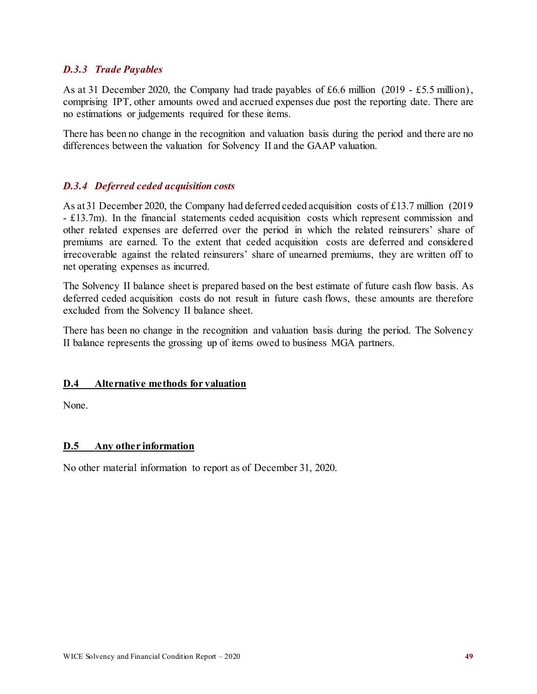#### *D.3.3 Trade Payables*

As at 31 December 2020, the Company had trade payables of £6.6 million (2019 - £5.5 million), comprising IPT, other amounts owed and accrued expenses due post the reporting date. There are no estimations or judgements required for these items.

There has been no change in the recognition and valuation basis during the period and there are no differences between the valuation for Solvency II and the GAAP valuation.

#### *D.3.4 Deferred ceded acquisition costs*

As at 31 December 2020, the Company had deferred ceded acquisition costs of £13.7 million (2019 - £13.7m). In the financial statements ceded acquisition costs which represent commission and other related expenses are deferred over the period in which the related reinsurers' share of premiums are earned. To the extent that ceded acquisition costs are deferred and considered irrecoverable against the related reinsurers' share of unearned premiums, they are written off to net operating expenses as incurred.

The Solvency II balance sheet is prepared based on the best estimate of future cash flow basis. As deferred ceded acquisition costs do not result in future cash flows, these amounts are therefore excluded from the Solvency II balance sheet.

There has been no change in the recognition and valuation basis during the period. The Solvency II balance represents the grossing up of items owed to business MGA partners.

#### <span id="page-51-0"></span>**D.4 Alternative methods for valuation**

None.

#### <span id="page-51-1"></span>**D.5 Any other information**

No other material information to report as of December 31, 2020.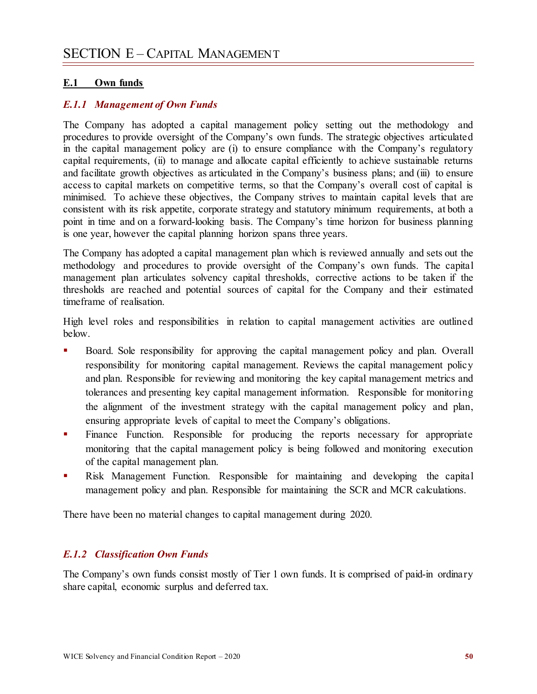#### <span id="page-52-1"></span><span id="page-52-0"></span>**E.1 Own funds**

#### *E.1.1 Management of Own Funds*

The Company has adopted a capital management policy setting out the methodology and procedures to provide oversight of the Company's own funds. The strategic objectives articulated in the capital management policy are (i) to ensure compliance with the Company's regulatory capital requirements, (ii) to manage and allocate capital efficiently to achieve sustainable returns and facilitate growth objectives as articulated in the Company's business plans; and (iii) to ensure access to capital markets on competitive terms, so that the Company's overall cost of capital is minimised. To achieve these objectives, the Company strives to maintain capital levels that are consistent with its risk appetite, corporate strategy and statutory minimum requirements, at both a point in time and on a forward-looking basis. The Company's time horizon for business planning is one year, however the capital planning horizon spans three years.

The Company has adopted a capital management plan which is reviewed annually and sets out the methodology and procedures to provide oversight of the Company's own funds. The capital management plan articulates solvency capital thresholds, corrective actions to be taken if the thresholds are reached and potential sources of capital for the Company and their estimated timeframe of realisation.

High level roles and responsibilities in relation to capital management activities are outlined below.

- Board. Sole responsibility for approving the capital management policy and plan. Overall responsibility for monitoring capital management. Reviews the capital management policy and plan. Responsible for reviewing and monitoring the key capital management metrics and tolerances and presenting key capital management information. Responsible for monitoring the alignment of the investment strategy with the capital management policy and plan, ensuring appropriate levels of capital to meet the Company's obligations.
- **Finance Function.** Responsible for producing the reports necessary for appropriate monitoring that the capital management policy is being followed and monitoring execution of the capital management plan.
- Risk Management Function. Responsible for maintaining and developing the capital management policy and plan. Responsible for maintaining the SCR and MCR calculations.

There have been no material changes to capital management during 2020.

#### *E.1.2 Classification Own Funds*

The Company's own funds consist mostly of Tier 1 own funds. It is comprised of paid-in ordinary share capital, economic surplus and deferred tax.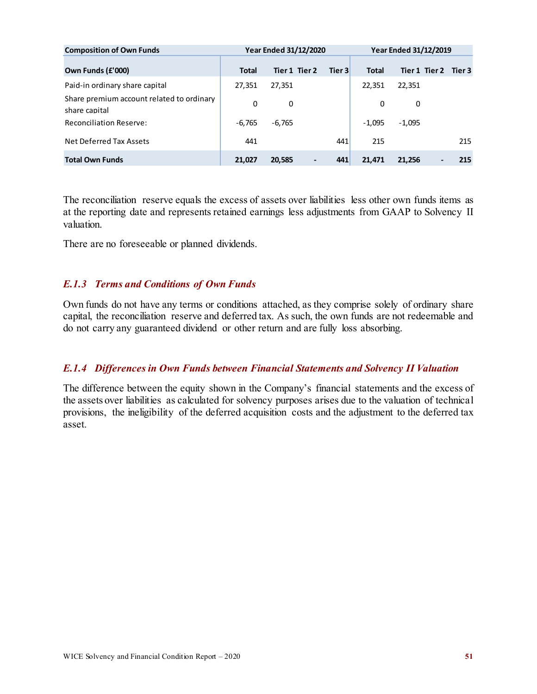| <b>Composition of Own Funds</b>                            |          | <b>Year Ended 31/12/2020</b> |        |              | <b>Year Ended 31/12/2019</b> |     |
|------------------------------------------------------------|----------|------------------------------|--------|--------------|------------------------------|-----|
| Own Funds (£'000)                                          | Total    | Tier 1 Tier 2                | Tier 3 | <b>Total</b> | Tier 1 Tier 2 Tier 3         |     |
| Paid-in ordinary share capital                             | 27,351   | 27,351                       |        | 22,351       | 22,351                       |     |
| Share premium account related to ordinary<br>share capital | 0        | 0                            |        | 0            | 0                            |     |
| <b>Reconciliation Reserve:</b>                             | $-6,765$ | $-6,765$                     |        | $-1,095$     | $-1,095$                     |     |
| Net Deferred Tax Assets                                    | 441      |                              | 441    | 215          |                              | 215 |
| <b>Total Own Funds</b>                                     | 21,027   | 20,585                       | 441    | 21.471       | 21.256                       | 215 |

The reconciliation reserve equals the excess of assets over liabilities less other own funds items as at the reporting date and represents retained earnings less adjustments from GAAP to Solvency II valuation.

There are no foreseeable or planned dividends.

#### *E.1.3 Terms and Conditions of Own Funds*

Own funds do not have any terms or conditions attached, as they comprise solely of ordinary share capital, the reconciliation reserve and deferred tax. As such, the own funds are not redeemable and do not carry any guaranteed dividend or other return and are fully loss absorbing.

#### *E.1.4 Differences in Own Funds between Financial Statements and Solvency II Valuation*

The difference between the equity shown in the Company's financial statements and the excess of the assets over liabilities as calculated for solvency purposes arises due to the valuation of technical provisions, the ineligibility of the deferred acquisition costs and the adjustment to the deferred tax asset.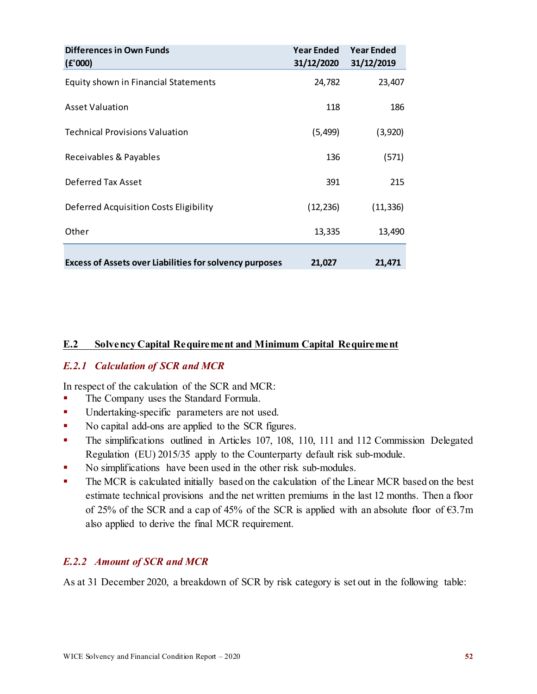| Differences in Own Funds<br>(E'000)                            | <b>Year Ended</b><br>31/12/2020 | <b>Year Ended</b><br>31/12/2019 |
|----------------------------------------------------------------|---------------------------------|---------------------------------|
| Equity shown in Financial Statements                           | 24,782                          | 23,407                          |
| <b>Asset Valuation</b>                                         | 118                             | 186                             |
| <b>Technical Provisions Valuation</b>                          | (5, 499)                        | (3,920)                         |
| Receivables & Payables                                         | 136                             | (571)                           |
| Deferred Tax Asset                                             | 391                             | 215                             |
| Deferred Acquisition Costs Eligibility                         | (12, 236)                       | (11, 336)                       |
| Other                                                          | 13,335                          | 13,490                          |
| <b>Excess of Assets over Liabilities for solvency purposes</b> | 21,027                          | 21,471                          |

#### <span id="page-54-0"></span>**E.2 Solvency Capital Requirement and Minimum Capital Requirement**

#### *E.2.1 Calculation of SCR and MCR*

In respect of the calculation of the SCR and MCR:

- The Company uses the Standard Formula.
- **Undertaking-specific parameters are not used.**
- No capital add-ons are applied to the SCR figures.
- The simplifications outlined in Articles 107, 108, 110, 111 and 112 Commission Delegated Regulation (EU) 2015/35 apply to the Counterparty default risk sub-module.
- No simplifications have been used in the other risk sub-modules.
- The MCR is calculated initially based on the calculation of the Linear MCR based on the best estimate technical provisions and the net written premiums in the last 12 months. Then a floor of 25% of the SCR and a cap of 45% of the SCR is applied with an absolute floor of  $\epsilon$ 3.7m also applied to derive the final MCR requirement.

#### *E.2.2 Amount of SCR and MCR*

As at 31 December 2020, a breakdown of SCR by risk category is set out in the following table: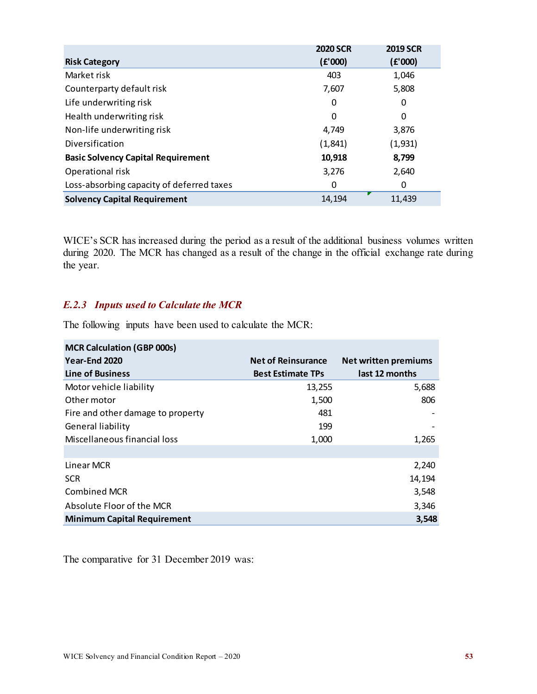|                                           | <b>2020 SCR</b> | <b>2019 SCR</b> |
|-------------------------------------------|-----------------|-----------------|
| <b>Risk Category</b>                      | (E'000)         | (E'000)         |
| Market risk                               | 403             | 1,046           |
| Counterparty default risk                 | 7,607           | 5,808           |
| Life underwriting risk                    | 0               | 0               |
| Health underwriting risk                  | 0               | 0               |
| Non-life underwriting risk                | 4,749           | 3,876           |
| Diversification                           | (1,841)         | (1,931)         |
| <b>Basic Solvency Capital Requirement</b> | 10,918          | 8,799           |
| Operational risk                          | 3,276           | 2,640           |
| Loss-absorbing capacity of deferred taxes | 0               | 0               |
| <b>Solvency Capital Requirement</b>       | 14,194          | 11,439          |

WICE's SCR has increased during the period as a result of the additional business volumes written during 2020. The MCR has changed as a result of the change in the official exchange rate during the year.

### *E.2.3 Inputs used to Calculate the MCR*

The following inputs have been used to calculate the MCR:

| <b>MCR Calculation (GBP 000s)</b>  |                           |                             |
|------------------------------------|---------------------------|-----------------------------|
| Year-End 2020                      | <b>Net of Reinsurance</b> | <b>Net written premiums</b> |
| <b>Line of Business</b>            | <b>Best Estimate TPs</b>  | last 12 months              |
| Motor vehicle liability            | 13,255                    | 5,688                       |
| Other motor                        | 1,500                     | 806                         |
| Fire and other damage to property  | 481                       |                             |
| <b>General liability</b>           | 199                       |                             |
| Miscellaneous financial loss       | 1,000                     | 1,265                       |
|                                    |                           |                             |
| Linear MCR                         |                           | 2,240                       |
| <b>SCR</b>                         |                           | 14,194                      |
| <b>Combined MCR</b>                |                           | 3,548                       |
| Absolute Floor of the MCR          |                           | 3,346                       |
| <b>Minimum Capital Requirement</b> |                           | 3,548                       |

The comparative for 31 December 2019 was: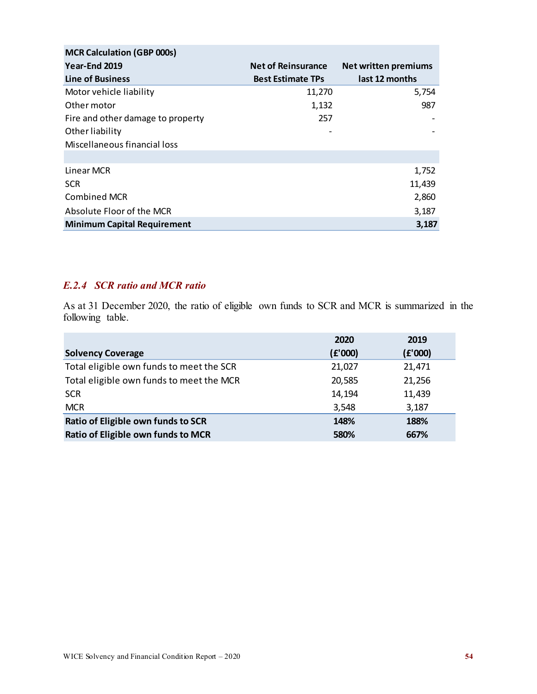| <b>MCR Calculation (GBP 000s)</b>  |                           |                             |
|------------------------------------|---------------------------|-----------------------------|
| Year-End 2019                      | <b>Net of Reinsurance</b> | <b>Net written premiums</b> |
| <b>Line of Business</b>            | <b>Best Estimate TPs</b>  | last 12 months              |
| Motor vehicle liability            | 11,270                    | 5,754                       |
| Other motor                        | 1,132                     | 987                         |
| Fire and other damage to property  | 257                       |                             |
| Other liability                    |                           |                             |
| Miscellaneous financial loss       |                           |                             |
|                                    |                           |                             |
| Linear MCR                         |                           | 1,752                       |
| <b>SCR</b>                         |                           | 11,439                      |
| <b>Combined MCR</b>                |                           | 2,860                       |
| Absolute Floor of the MCR          |                           | 3,187                       |
| <b>Minimum Capital Requirement</b> |                           | 3,187                       |

#### *E.2.4 SCR ratio and MCR ratio*

As at 31 December 2020, the ratio of eligible own funds to SCR and MCR is summarized in the following table.

|                                          | 2020    | 2019    |
|------------------------------------------|---------|---------|
| <b>Solvency Coverage</b>                 | (E'000) | (E'000) |
| Total eligible own funds to meet the SCR | 21,027  | 21,471  |
| Total eligible own funds to meet the MCR | 20,585  | 21,256  |
| <b>SCR</b>                               | 14,194  | 11,439  |
| <b>MCR</b>                               | 3,548   | 3,187   |
| Ratio of Eligible own funds to SCR       | 148%    | 188%    |
| Ratio of Eligible own funds to MCR       | 580%    | 667%    |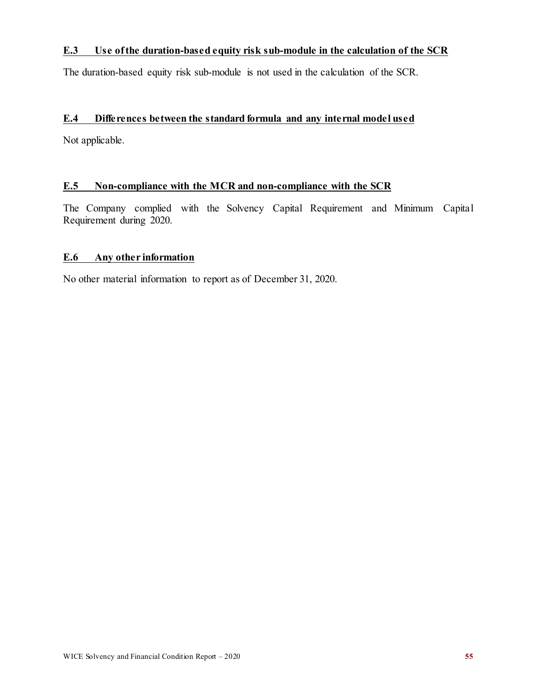#### <span id="page-57-0"></span>**E.3 Use of the duration-based equity risk sub-module in the calculation of the SCR**

The duration-based equity risk sub-module is not used in the calculation of the SCR.

#### <span id="page-57-1"></span>**E.4 Differences between the standard formula and any internal model used**

Not applicable.

#### <span id="page-57-2"></span>**E.5 Non-compliance with the MCR and non-compliance with the SCR**

The Company complied with the Solvency Capital Requirement and Minimum Capital Requirement during 2020.

#### <span id="page-57-3"></span>**E.6 Any other information**

No other material information to report as of December 31, 2020.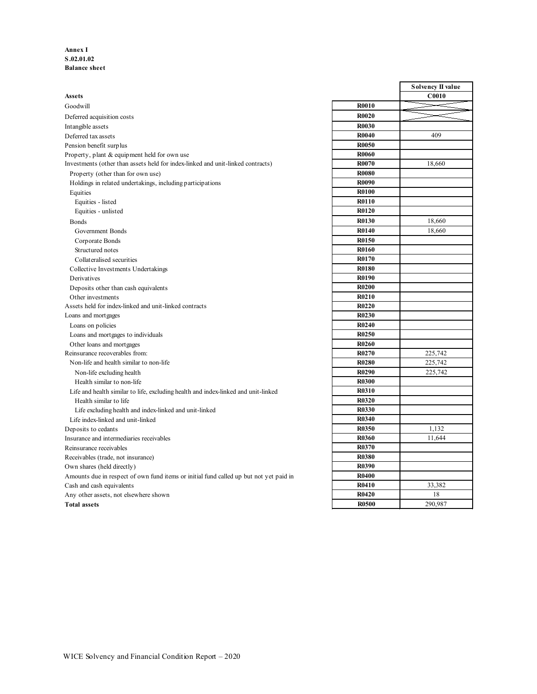#### **Annex I S.02.01.02 Balance sheet**

|                                                                                        |              | эогуенсу п у |
|----------------------------------------------------------------------------------------|--------------|--------------|
| <b>Assets</b>                                                                          |              | <b>C0010</b> |
| Goodwill                                                                               | <b>R0010</b> |              |
| Deferred acquisition costs                                                             | <b>R0020</b> |              |
| Intangible assets                                                                      | <b>R0030</b> |              |
| Deferred tax assets                                                                    | <b>R0040</b> | 409          |
| Pension benefit surplus                                                                | <b>R0050</b> |              |
| Property, plant & equipment held for own use                                           | <b>R0060</b> |              |
| Investments (other than assets held for index-linked and unit-linked contracts)        | <b>R0070</b> | 18.660       |
| Property (other than for own use)                                                      | <b>R0080</b> |              |
| Holdings in related undertakings, including participations                             | <b>R0090</b> |              |
| Equities                                                                               | <b>R0100</b> |              |
| Equities - listed                                                                      | R0110        |              |
| Equities - unlisted                                                                    | <b>R0120</b> |              |
| <b>Bonds</b>                                                                           | <b>R0130</b> | 18,660       |
| Government Bonds                                                                       | <b>R0140</b> | 18,660       |
| Corporate Bonds                                                                        | <b>R0150</b> |              |
| Structured notes                                                                       | <b>R0160</b> |              |
| Collateralised securities                                                              | <b>R0170</b> |              |
| Collective Investments Undertakings                                                    | <b>R0180</b> |              |
| Derivatives                                                                            | <b>R0190</b> |              |
| Deposits other than cash equivalents                                                   | <b>R0200</b> |              |
| Other investments                                                                      | <b>R0210</b> |              |
| Assets held for index-linked and unit-linked contracts                                 | <b>R0220</b> |              |
| Loans and mortgages                                                                    | <b>R0230</b> |              |
| Loans on policies                                                                      | <b>R0240</b> |              |
| Loans and mortgages to individuals                                                     | <b>R0250</b> |              |
| Other loans and mortgages                                                              | <b>R0260</b> |              |
| Reinsurance recoverables from:                                                         | <b>R0270</b> | 225,742      |
| Non-life and health similar to non-life                                                | <b>R0280</b> | 225,742      |
| Non-life excluding health                                                              | <b>R0290</b> | 225,742      |
| Health similar to non-life                                                             | <b>R0300</b> |              |
| Life and health similar to life, excluding health and index-linked and unit-linked     | <b>R0310</b> |              |
| Health similar to life                                                                 | <b>R0320</b> |              |
| Life excluding health and index-linked and unit-linked                                 | <b>R0330</b> |              |
| Life index-linked and unit-linked                                                      | <b>R0340</b> |              |
| Deposits to cedants                                                                    | <b>R0350</b> | 1,132        |
| Insurance and intermediaries receivables                                               | <b>R0360</b> | 11,644       |
| Reinsurance receivables                                                                | R0370        |              |
| Receivables (trade, not insurance)                                                     | <b>R0380</b> |              |
| Own shares (held directly)                                                             | <b>R0390</b> |              |
| Amounts due in respect of own fund items or initial fund called up but not yet paid in | <b>R0400</b> |              |
| Cash and cash equivalents                                                              | <b>R0410</b> | 33,382       |
| Any other assets, not elsewhere shown                                                  | <b>R0420</b> | 18           |
| <b>Total assets</b>                                                                    | <b>R0500</b> | 290,987      |
|                                                                                        |              |              |

|              | Solvency II value |
|--------------|-------------------|
|              | C0010             |
| <b>R0010</b> |                   |
| <b>R0020</b> |                   |
| <b>R0030</b> |                   |
| <b>R0040</b> | 409               |
| <b>R0050</b> |                   |
| <b>R0060</b> |                   |
| R0070        | 18,660            |
| <b>R0080</b> |                   |
| <b>R0090</b> |                   |
| <b>R0100</b> |                   |
| R0110        |                   |
| R0120        |                   |
| <b>R0130</b> | 18,660            |
| R0140        | 18,660            |
| R0150        |                   |
| <b>R0160</b> |                   |
| R0170        |                   |
| <b>R0180</b> |                   |
| R0190        |                   |
| <b>R0200</b> |                   |
| R0210        |                   |
| <b>R0220</b> |                   |
| <b>R0230</b> |                   |
| <b>R0240</b> |                   |
| R0250        |                   |
| <b>R0260</b> |                   |
| R0270        | 225,742           |
| <b>R0280</b> | 225,742           |
| R0290        | 225,742           |
| <b>R0300</b> |                   |
| R0310        |                   |
| R0320        |                   |
| <b>R0330</b> |                   |
| <b>R0340</b> |                   |
| <b>R0350</b> | 1,132             |
| R0360        | 11,644            |
| R0370        |                   |
| <b>R0380</b> |                   |
| <b>R0390</b> |                   |
| <b>R0400</b> |                   |
| R0410        | 33,382            |
| R0420        | 18                |
| <b>R0500</b> | 290,987           |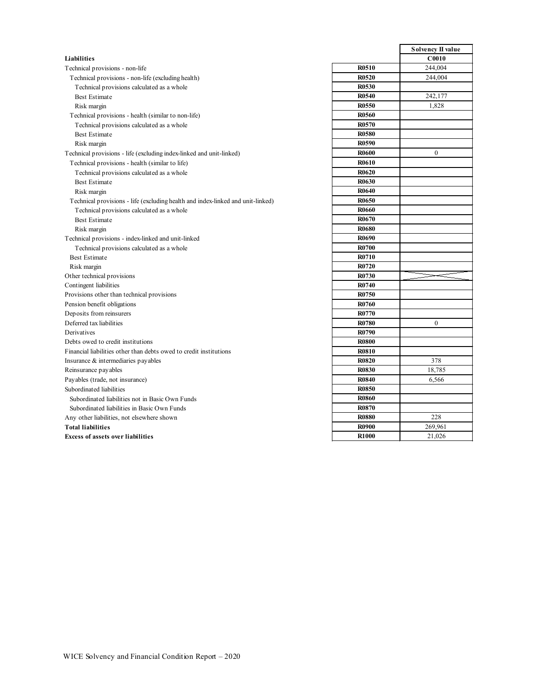|                                                                                 |              | Solvency II v |
|---------------------------------------------------------------------------------|--------------|---------------|
| Liabilities                                                                     |              | <b>C0010</b>  |
| Technical provisions - non-life                                                 | <b>R0510</b> | 244,004       |
| Technical provisions - non-life (excluding health)                              | <b>R0520</b> | 244,004       |
| Technical provisions calculated as a whole                                      | <b>R0530</b> |               |
| <b>Best Estimate</b>                                                            | <b>R0540</b> | 242,177       |
| Risk margin                                                                     | <b>R0550</b> | 1,828         |
| Technical provisions - health (similar to non-life)                             | <b>R0560</b> |               |
| Technical provisions calculated as a whole                                      | R0570        |               |
| <b>Best Estimate</b>                                                            | <b>R0580</b> |               |
| Risk margin                                                                     | R0590        |               |
| Technical provisions - life (excluding index-linked and unit-linked)            | <b>R0600</b> | $\mathbf{0}$  |
| Technical provisions - health (similar to life)                                 | <b>R0610</b> |               |
| Technical provisions calculated as a whole                                      | <b>R0620</b> |               |
| <b>Best Estimate</b>                                                            | R0630        |               |
| Risk margin                                                                     | <b>R0640</b> |               |
| Technical provisions - life (excluding health and index-linked and unit-linked) | <b>R0650</b> |               |
| Technical provisions calculated as a whole                                      | R0660        |               |
| <b>Best Estimate</b>                                                            | R0670        |               |
| Risk margin                                                                     | <b>R0680</b> |               |
| Technical provisions - index-linked and unit-linked                             | <b>R0690</b> |               |
| Technical provisions calculated as a whole                                      | <b>R0700</b> |               |
| <b>Best Estimate</b>                                                            | <b>R0710</b> |               |
| Risk margin                                                                     | R0720        |               |
| Other technical provisions                                                      | R0730        |               |
| Contingent liabilities                                                          | R0740        |               |
| Provisions other than technical provisions                                      | R0750        |               |
| Pension benefit obligations                                                     | <b>R0760</b> |               |
| Deposits from reinsurers                                                        | R0770        |               |
| Deferred tax liabilities                                                        | <b>R0780</b> | $\mathbf{0}$  |
| Derivatives                                                                     | R0790        |               |
| Debts owed to credit institutions                                               | <b>R0800</b> |               |
| Financial liabilities other than debts owed to credit institutions              | <b>R0810</b> |               |
| Insurance & intermediaries payables                                             | <b>R0820</b> | 378           |
| Reinsurance payables                                                            | <b>R0830</b> | 18,785        |
| Payables (trade, not insurance)                                                 | <b>R0840</b> | 6,566         |
| Subordinated liabilities                                                        | <b>R0850</b> |               |
| Subordinated liabilities not in Basic Own Funds                                 | <b>R0860</b> |               |
| Subordinated liabilities in Basic Own Funds                                     | <b>R0870</b> |               |
| Any other liabilities, not elsewhere shown                                      | <b>R0880</b> | 228           |
| <b>Total liabilities</b>                                                        | <b>R0900</b> | 269,961       |
| <b>Excess of assets over liabilities</b>                                        | <b>R1000</b> | 21,026        |
|                                                                                 |              |               |

|              | Solvency II value |
|--------------|-------------------|
|              | C0010             |
| R0510        | 244,004           |
| <b>R0520</b> | 244,004           |
| <b>R0530</b> |                   |
| R0540        | 242,177           |
| <b>R0550</b> | 1,828             |
| <b>R0560</b> |                   |
| R0570        |                   |
| <b>R0580</b> |                   |
| <b>R0590</b> |                   |
| <b>R0600</b> | 0                 |
| <b>R0610</b> |                   |
| R0620        |                   |
| <b>R0630</b> |                   |
| R0640        |                   |
| <b>R0650</b> |                   |
| R0660        |                   |
| R0670        |                   |
| <b>R0680</b> |                   |
| <b>R0690</b> |                   |
| R0700        |                   |
| R0710        |                   |
| R0720        |                   |
| R0730        |                   |
| R0740        |                   |
| R0750        |                   |
| R0760        |                   |
| R0770        |                   |
| <b>R0780</b> | 0                 |
| R0790        |                   |
| <b>R0800</b> |                   |
| <b>R0810</b> |                   |
| <b>R0820</b> | 378               |
| <b>R0830</b> | 18,785            |
| <b>R0840</b> | 6,566             |
| <b>R0850</b> |                   |
| <b>R0860</b> |                   |
| <b>R0870</b> |                   |
| <b>R0880</b> | 228               |
| R0900        | 269,961           |
| <b>R1000</b> | 21,026            |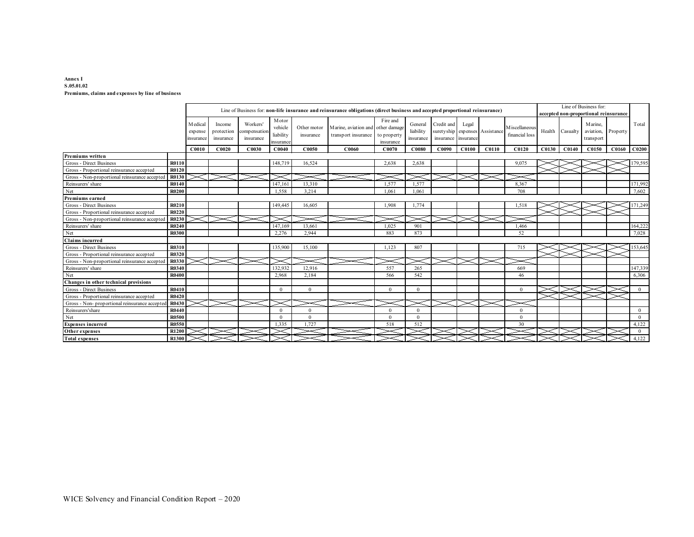#### **Annex I S.05.01.02 Premiums, claims and expenses by line of business**

|                                                |              |                                  |                                   |                                       |                                            |                          | Line of Business for: non-life insurance and reinsurance obligations (direct business and accepted proportional reinsurance) |                                      |                                   |                                                                     |       |       |                                  |        |          | Line of Business for:<br>accepted non-proportional reinsurance |          |                |
|------------------------------------------------|--------------|----------------------------------|-----------------------------------|---------------------------------------|--------------------------------------------|--------------------------|------------------------------------------------------------------------------------------------------------------------------|--------------------------------------|-----------------------------------|---------------------------------------------------------------------|-------|-------|----------------------------------|--------|----------|----------------------------------------------------------------|----------|----------------|
|                                                |              | M edical<br>expense<br>insurance | Income<br>protection<br>insurance | Workers'<br>compensation<br>insurance | Motor<br>vehicle<br>liability<br>insurance | Other motor<br>insurance | Marine, aviation and other damage<br>transport insurance                                                                     | Fire and<br>to property<br>insurance | General<br>liability<br>insurance | Credit and<br>suretyship expenses Assistance<br>insurance insurance | Legal |       | M iscellaneous<br>financial loss | Health | Casualty | Marine.<br>aviation,<br>transport                              | Property | Total          |
|                                                |              | C0010                            | C0020                             | C0030                                 | CO <sub>040</sub>                          | C0050                    | C0060                                                                                                                        | C0070                                | C0080                             | C0090                                                               | C0100 | C0110 | C <sub>0120</sub>                | C0130  | CO140    | C0150                                                          | C0160    | C0200          |
| Premiums written                               |              |                                  |                                   |                                       |                                            |                          |                                                                                                                              |                                      |                                   |                                                                     |       |       |                                  |        |          |                                                                |          |                |
| Gross - Direct Business                        | <b>R0110</b> |                                  |                                   |                                       | 148,719                                    | 16,524                   |                                                                                                                              | 2,638                                | 2,638                             |                                                                     |       |       | 9,075                            |        |          |                                                                |          | 179,595        |
| Gross - Proportional reinsurance accepted      | <b>R0120</b> |                                  |                                   |                                       |                                            |                          |                                                                                                                              |                                      |                                   |                                                                     |       |       |                                  |        |          |                                                                |          |                |
| Gross - Non-proportional reinsurance accepted  | R0130        |                                  |                                   |                                       |                                            |                          |                                                                                                                              |                                      |                                   |                                                                     |       |       |                                  |        |          |                                                                |          |                |
| Reinsurers' share                              | R0140        |                                  |                                   |                                       | 147,161                                    | 13,310                   |                                                                                                                              | 1,577                                | 1.577                             |                                                                     |       |       | 8,367                            |        |          |                                                                |          | 171,992        |
| Net                                            | <b>R0200</b> |                                  |                                   |                                       | 1,558                                      | 3,214                    |                                                                                                                              | 1.061                                | 1.061                             |                                                                     |       |       | 708                              |        |          |                                                                |          | 7,602          |
| Premiums earned                                |              |                                  |                                   |                                       |                                            |                          |                                                                                                                              |                                      |                                   |                                                                     |       |       |                                  |        |          |                                                                |          |                |
| Gross - Direct Business                        | R0210        |                                  |                                   |                                       | 149,445                                    | 16,605                   |                                                                                                                              | 1.908                                | 1.774                             |                                                                     |       |       | 1,518                            |        |          |                                                                |          | 171,249        |
| Gross - Proportional reinsurance accepted      | R0220        |                                  |                                   |                                       |                                            |                          |                                                                                                                              |                                      |                                   |                                                                     |       |       |                                  |        |          |                                                                |          |                |
| Gross - Non-proportional reinsurance accepted  | R0230        |                                  |                                   |                                       |                                            |                          |                                                                                                                              |                                      |                                   |                                                                     |       |       |                                  |        |          |                                                                |          |                |
| Reinsurers' share                              | R0240        |                                  |                                   |                                       | 147.169                                    | 13,661                   |                                                                                                                              | 1.025                                | 901                               |                                                                     |       |       | 1.466                            |        |          |                                                                |          | 164,222        |
| Net                                            | <b>R0300</b> |                                  |                                   |                                       | 2.276                                      | 2.944                    |                                                                                                                              | 883                                  | 873                               |                                                                     |       |       | 52                               |        |          |                                                                |          | 7,028          |
| <b>Claims incurred</b>                         |              |                                  |                                   |                                       |                                            |                          |                                                                                                                              |                                      |                                   |                                                                     |       |       |                                  |        |          |                                                                |          |                |
| Gross - Direct Business                        | R0310        |                                  |                                   |                                       | 135,900                                    | 15,100                   |                                                                                                                              | 1,123                                | 807                               |                                                                     |       |       | 715                              |        |          |                                                                |          | 153,645        |
| Gross - Proportional reinsurance accepted      | R0320        |                                  |                                   |                                       |                                            |                          |                                                                                                                              |                                      |                                   |                                                                     |       |       |                                  |        |          |                                                                |          |                |
| Gross - Non-proportional reinsurance accepted  | R0330        |                                  |                                   |                                       |                                            |                          |                                                                                                                              |                                      |                                   |                                                                     |       |       |                                  |        |          |                                                                |          |                |
| Reinsurers' share                              | R0340        |                                  |                                   |                                       | 132,932                                    | 12,916                   |                                                                                                                              | 557                                  | 265                               |                                                                     |       |       | 669                              |        |          |                                                                |          | 147,339        |
| Net                                            | <b>R0400</b> |                                  |                                   |                                       | 2.968                                      | 2,184                    |                                                                                                                              | 566                                  | 542                               |                                                                     |       |       | 46                               |        |          |                                                                |          | 6,306          |
| Changes in other technical provisions          |              |                                  |                                   |                                       |                                            |                          |                                                                                                                              |                                      |                                   |                                                                     |       |       |                                  |        |          |                                                                |          |                |
| Gross - Direct Business                        | R0410        |                                  |                                   |                                       | $\Omega$                                   | $\Omega$                 |                                                                                                                              | $\Omega$                             | $\Omega$                          |                                                                     |       |       | $\theta$                         |        |          |                                                                |          | $\Omega$       |
| Gross - Proportional reinsurance accepted      | R0420        |                                  |                                   |                                       |                                            |                          |                                                                                                                              |                                      |                                   |                                                                     |       |       |                                  |        |          |                                                                |          |                |
| Gross - Non- proportional reinsurance accepted | R0430        |                                  |                                   |                                       |                                            |                          |                                                                                                                              |                                      |                                   |                                                                     |       |       |                                  |        |          |                                                                |          |                |
| Reinsurers'share                               | R0440        |                                  |                                   |                                       | $\Omega$                                   | $\Omega$                 |                                                                                                                              | $\Omega$                             | $\Omega$                          |                                                                     |       |       | $\Omega$                         |        |          |                                                                |          | $\overline{0}$ |
| Net                                            | <b>R0500</b> |                                  |                                   |                                       | $\Omega$                                   | $\Omega$                 |                                                                                                                              | $\Omega$                             | $\Omega$                          |                                                                     |       |       | $\theta$                         |        |          |                                                                |          | $\overline{0}$ |
| <b>Expenses incurred</b>                       | <b>R0550</b> |                                  |                                   |                                       | 1.335                                      | 1,727                    |                                                                                                                              | 518                                  | 512                               |                                                                     |       |       | 30                               |        |          |                                                                |          | 4,122          |
| Other expenses                                 | R1200        |                                  |                                   |                                       |                                            |                          |                                                                                                                              |                                      |                                   |                                                                     |       |       |                                  |        |          |                                                                |          | $\overline{0}$ |
| <b>Total expenses</b>                          | R1300        |                                  |                                   |                                       |                                            |                          |                                                                                                                              |                                      |                                   |                                                                     |       |       |                                  |        |          |                                                                |          | 4,122          |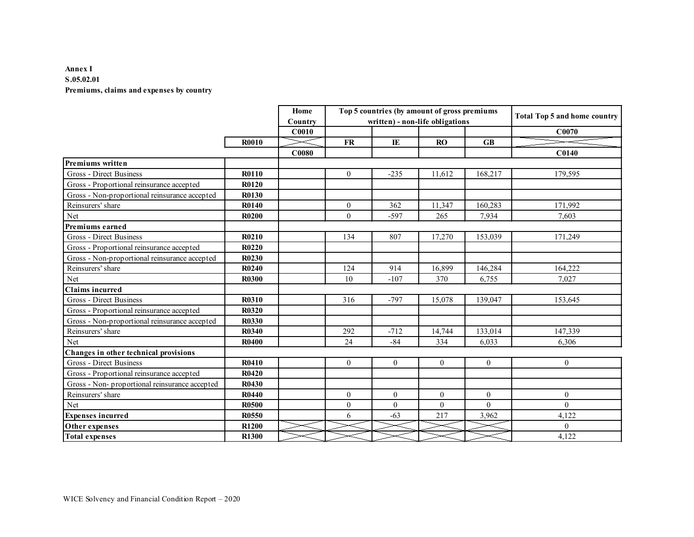#### **Annex I S.05.02.01 Premiums, claims and expenses by country**

|                                               |              | Home<br>Country |                  |                  | Top 5 countries (by amount of gross premiums<br>written) - non-life obligations |           | <b>Total Top 5 and home country</b> |
|-----------------------------------------------|--------------|-----------------|------------------|------------------|---------------------------------------------------------------------------------|-----------|-------------------------------------|
|                                               |              | C0010           |                  |                  |                                                                                 |           | C0070                               |
|                                               | R0010        |                 | <b>FR</b>        | IE               | RO                                                                              | <b>GB</b> |                                     |
|                                               |              | <b>C0080</b>    |                  |                  |                                                                                 |           | C0140                               |
| Premiums written                              |              |                 |                  |                  |                                                                                 |           |                                     |
| Gross - Direct Business                       | <b>R0110</b> |                 | $\overline{0}$   | $-235$           | 11,612                                                                          | 168,217   | 179,595                             |
| Gross - Proportional reinsurance accepted     | R0120        |                 |                  |                  |                                                                                 |           |                                     |
| Gross - Non-proportional reinsurance accepted | R0130        |                 |                  |                  |                                                                                 |           |                                     |
| Reinsurers' share                             | <b>R0140</b> |                 | $\boldsymbol{0}$ | 362              | 11,347                                                                          | 160,283   | 171,992                             |
| Net                                           | <b>R0200</b> |                 | $\Omega$         | $-597$           | 265                                                                             | 7,934     | 7,603                               |
| <b>Premiums earned</b>                        |              |                 |                  |                  |                                                                                 |           |                                     |
| Gross - Direct Business                       | R0210        |                 | 134              | 807              | 17,270                                                                          | 153,039   | 171,249                             |
| Gross - Proportional reinsurance accepted     | R0220        |                 |                  |                  |                                                                                 |           |                                     |
| Gross - Non-proportional reinsurance accepted | <b>R0230</b> |                 |                  |                  |                                                                                 |           |                                     |
| Reinsurers' share                             | R0240        |                 | 124              | 914              | 16,899                                                                          | 146,284   | 164,222                             |
| Net                                           | <b>R0300</b> |                 | 10               | $-107$           | 370                                                                             | 6,755     | 7,027                               |
| <b>Claims incurred</b>                        |              |                 |                  |                  |                                                                                 |           |                                     |
| Gross - Direct Business                       | <b>R0310</b> |                 | 316              | $-797$           | 15,078                                                                          | 139,047   | 153,645                             |
| Gross - Proportional reinsurance accepted     | <b>R0320</b> |                 |                  |                  |                                                                                 |           |                                     |
| Gross - Non-proportional reinsurance accepted | R0330        |                 |                  |                  |                                                                                 |           |                                     |
| Reinsurers' share                             | <b>R0340</b> |                 | 292              | $-712$           | 14,744                                                                          | 133,014   | 147,339                             |
| Net                                           | <b>R0400</b> |                 | 24               | $-84$            | 334                                                                             | 6,033     | 6,306                               |
| Changes in other technical provisions         |              |                 |                  |                  |                                                                                 |           |                                     |
| Gross - Direct Business                       | R0410        |                 | $\theta$         | $\theta$         | $\theta$                                                                        | $\theta$  | $\Omega$                            |
| Gross - Proportional reinsurance accepted     | R0420        |                 |                  |                  |                                                                                 |           |                                     |
| Gross - Non-proportional reinsurance accepted | R0430        |                 |                  |                  |                                                                                 |           |                                     |
| Reinsurers' share                             | <b>R0440</b> |                 | $\overline{0}$   | $\mathbf{0}$     | $\theta$                                                                        | $\theta$  | $\theta$                            |
| Net                                           | <b>R0500</b> |                 | $\boldsymbol{0}$ | $\boldsymbol{0}$ | $\theta$                                                                        | $\Omega$  | $\Omega$                            |
| <b>Expenses incurred</b>                      | R0550        |                 | 6                | $-63$            | 217                                                                             | 3,962     | 4,122                               |
| Other expenses                                | <b>R1200</b> |                 |                  |                  |                                                                                 |           | $\Omega$                            |
| <b>Total expenses</b>                         | <b>R1300</b> |                 |                  |                  |                                                                                 |           | 4,122                               |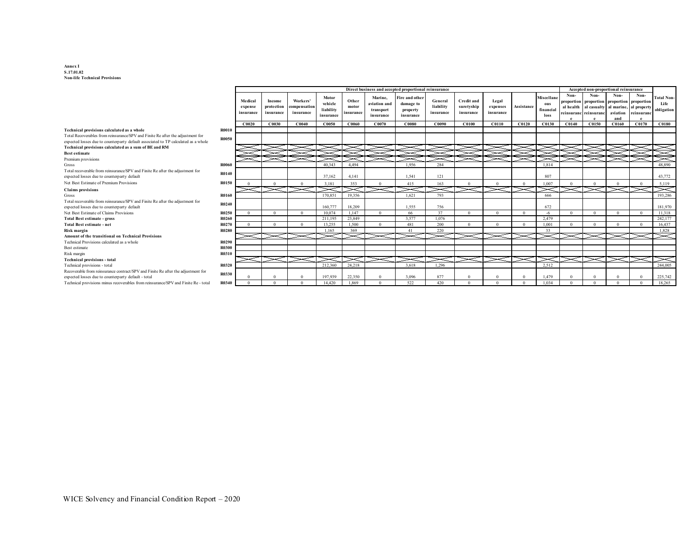#### **Annex I S.17.01.02 Non-life Technical Provisions**

| Non-<br>Non-<br>Non.<br><b>Miscellane</b><br>Motor<br>Marine.<br>Fire and other<br><b>Total Non-</b><br>Workers'<br>Medical<br>Other<br><b>Credit and</b><br>Legal<br>General<br>Income<br>proportion proportion proportion proportion<br>vehicle<br>aviation and<br>damage to<br>Life<br>ous<br>liability<br>Assistance<br>al health al casualty<br>protection<br>compensation<br>suretyship<br>al marine, al property<br>motor<br>expense<br>expenses<br>liability<br>obligation<br>financial<br>transport<br>property<br>aviation<br>insurance<br>reinsuranc<br>insurance<br>insurance<br>insurance<br>insurance<br>insurance<br>insurance<br>reinsuranc reinsuranc<br>insurance<br>insurance<br>insurance<br>loss<br>and<br>CO <sub>040</sub><br>C0060<br>CO070<br>C0130<br>C0140<br>C0150<br>C0160<br>C <sub>0170</sub><br>C0180<br>CO <sub>020</sub><br>C0030<br>C0050<br>C0080<br>C0090<br>C0100<br>C0110<br>C0120<br><b>R0010</b><br><b>R0050</b><br><b>R0060</b><br>40,343<br>4.494<br>1.956<br>284<br>48,890<br>1.814<br>R0140<br>4.141<br>807<br>37.162<br>1.541<br>121<br>43,772<br><b>R0150</b><br>353<br>163<br>3.181<br>415<br>1.007<br>5,119<br>19,356<br>193,286<br><b>R0160</b><br>170,851<br>1.621<br>793<br>666<br>Total recoverable from reinsurance/SPV and Finite Re after the adjustment for<br>R0240<br>expected losses due to counterparty default<br>160,777<br>18.209<br>1.555<br>756<br>672<br>181,970<br>Net Best Estimate of Claims Provisions<br><b>R0250</b><br>1.147<br>66<br>37<br>10,074<br>11.318<br>$\Omega$<br>$\mathbf{0}$<br>$\Omega$<br>$\Omega$<br>$\Omega$<br>$^{\circ}$<br>$\Omega$<br>$\Omega$<br>$\Omega$<br>$\sqrt{ }$<br>$\Omega$<br>$-6$<br>3.577<br>23,849<br>1.076<br>2.479<br>242,177<br><b>R0260</b><br>211,195<br>13.255<br>481<br>200<br>1.500<br>1.001<br>16.437<br>R0270<br>$\Omega$<br>$\Omega$<br>$\Omega$<br>$\Omega$<br>$\Omega$<br>$\Omega$<br>$\Omega$<br>$\Omega$<br>$\Omega$<br>369<br>220<br>1,828<br><b>R0280</b><br>1.165<br>41<br>33<br><b>R0290</b><br><b>R0300</b><br>R0310<br>244,005<br>1,296<br>2,512<br><b>R0320</b><br>212,360<br>24,218<br>3.618<br>R0330<br>expected losses due to counterparty default - total<br>197,939<br>22,350<br>3,096<br>225,742<br>877<br>1,479<br>1.869<br>522<br>420<br>18.265<br>Technical provisions minus recoverables from reinsurance/SPV and Finite Re - total<br>R0340<br>14.420<br>1.034<br>$\Omega$<br>$\Omega$<br>$\Omega$<br>$\Omega$ |                                                                                    |  |  |  | Direct business and accepted proportional reinsurance |  |  |  | Accepted non-proportional reinsurance |  |  |
|------------------------------------------------------------------------------------------------------------------------------------------------------------------------------------------------------------------------------------------------------------------------------------------------------------------------------------------------------------------------------------------------------------------------------------------------------------------------------------------------------------------------------------------------------------------------------------------------------------------------------------------------------------------------------------------------------------------------------------------------------------------------------------------------------------------------------------------------------------------------------------------------------------------------------------------------------------------------------------------------------------------------------------------------------------------------------------------------------------------------------------------------------------------------------------------------------------------------------------------------------------------------------------------------------------------------------------------------------------------------------------------------------------------------------------------------------------------------------------------------------------------------------------------------------------------------------------------------------------------------------------------------------------------------------------------------------------------------------------------------------------------------------------------------------------------------------------------------------------------------------------------------------------------------------------------------------------------------------------------------------------------------------------------------------------------------------------------------------------------------------------------------------------------------------------------------------------------------------------------------------------------------------------------------------------------------------------------------------------------------------------------------------------------------------------------------------------|------------------------------------------------------------------------------------|--|--|--|-------------------------------------------------------|--|--|--|---------------------------------------|--|--|
|                                                                                                                                                                                                                                                                                                                                                                                                                                                                                                                                                                                                                                                                                                                                                                                                                                                                                                                                                                                                                                                                                                                                                                                                                                                                                                                                                                                                                                                                                                                                                                                                                                                                                                                                                                                                                                                                                                                                                                                                                                                                                                                                                                                                                                                                                                                                                                                                                                                            |                                                                                    |  |  |  |                                                       |  |  |  |                                       |  |  |
|                                                                                                                                                                                                                                                                                                                                                                                                                                                                                                                                                                                                                                                                                                                                                                                                                                                                                                                                                                                                                                                                                                                                                                                                                                                                                                                                                                                                                                                                                                                                                                                                                                                                                                                                                                                                                                                                                                                                                                                                                                                                                                                                                                                                                                                                                                                                                                                                                                                            |                                                                                    |  |  |  |                                                       |  |  |  |                                       |  |  |
|                                                                                                                                                                                                                                                                                                                                                                                                                                                                                                                                                                                                                                                                                                                                                                                                                                                                                                                                                                                                                                                                                                                                                                                                                                                                                                                                                                                                                                                                                                                                                                                                                                                                                                                                                                                                                                                                                                                                                                                                                                                                                                                                                                                                                                                                                                                                                                                                                                                            | Technical provisions calculated as a whole                                         |  |  |  |                                                       |  |  |  |                                       |  |  |
|                                                                                                                                                                                                                                                                                                                                                                                                                                                                                                                                                                                                                                                                                                                                                                                                                                                                                                                                                                                                                                                                                                                                                                                                                                                                                                                                                                                                                                                                                                                                                                                                                                                                                                                                                                                                                                                                                                                                                                                                                                                                                                                                                                                                                                                                                                                                                                                                                                                            | Total Recoverables from reinsurance/SPV and Finite Re after the adjustment for     |  |  |  |                                                       |  |  |  |                                       |  |  |
|                                                                                                                                                                                                                                                                                                                                                                                                                                                                                                                                                                                                                                                                                                                                                                                                                                                                                                                                                                                                                                                                                                                                                                                                                                                                                                                                                                                                                                                                                                                                                                                                                                                                                                                                                                                                                                                                                                                                                                                                                                                                                                                                                                                                                                                                                                                                                                                                                                                            | expected losses due to counterparty default associated to TP calculated as a whole |  |  |  |                                                       |  |  |  |                                       |  |  |
|                                                                                                                                                                                                                                                                                                                                                                                                                                                                                                                                                                                                                                                                                                                                                                                                                                                                                                                                                                                                                                                                                                                                                                                                                                                                                                                                                                                                                                                                                                                                                                                                                                                                                                                                                                                                                                                                                                                                                                                                                                                                                                                                                                                                                                                                                                                                                                                                                                                            | Technical provisions calculated as a sum of BE and RM                              |  |  |  |                                                       |  |  |  |                                       |  |  |
|                                                                                                                                                                                                                                                                                                                                                                                                                                                                                                                                                                                                                                                                                                                                                                                                                                                                                                                                                                                                                                                                                                                                                                                                                                                                                                                                                                                                                                                                                                                                                                                                                                                                                                                                                                                                                                                                                                                                                                                                                                                                                                                                                                                                                                                                                                                                                                                                                                                            | <b>Best estimate</b>                                                               |  |  |  |                                                       |  |  |  |                                       |  |  |
|                                                                                                                                                                                                                                                                                                                                                                                                                                                                                                                                                                                                                                                                                                                                                                                                                                                                                                                                                                                                                                                                                                                                                                                                                                                                                                                                                                                                                                                                                                                                                                                                                                                                                                                                                                                                                                                                                                                                                                                                                                                                                                                                                                                                                                                                                                                                                                                                                                                            | Premium provisions                                                                 |  |  |  |                                                       |  |  |  |                                       |  |  |
|                                                                                                                                                                                                                                                                                                                                                                                                                                                                                                                                                                                                                                                                                                                                                                                                                                                                                                                                                                                                                                                                                                                                                                                                                                                                                                                                                                                                                                                                                                                                                                                                                                                                                                                                                                                                                                                                                                                                                                                                                                                                                                                                                                                                                                                                                                                                                                                                                                                            | Gross                                                                              |  |  |  |                                                       |  |  |  |                                       |  |  |
|                                                                                                                                                                                                                                                                                                                                                                                                                                                                                                                                                                                                                                                                                                                                                                                                                                                                                                                                                                                                                                                                                                                                                                                                                                                                                                                                                                                                                                                                                                                                                                                                                                                                                                                                                                                                                                                                                                                                                                                                                                                                                                                                                                                                                                                                                                                                                                                                                                                            | Total recoverable from reinsurance/SPV and Finite Re after the adjustment for      |  |  |  |                                                       |  |  |  |                                       |  |  |
|                                                                                                                                                                                                                                                                                                                                                                                                                                                                                                                                                                                                                                                                                                                                                                                                                                                                                                                                                                                                                                                                                                                                                                                                                                                                                                                                                                                                                                                                                                                                                                                                                                                                                                                                                                                                                                                                                                                                                                                                                                                                                                                                                                                                                                                                                                                                                                                                                                                            | expected losses due to counterparty default                                        |  |  |  |                                                       |  |  |  |                                       |  |  |
|                                                                                                                                                                                                                                                                                                                                                                                                                                                                                                                                                                                                                                                                                                                                                                                                                                                                                                                                                                                                                                                                                                                                                                                                                                                                                                                                                                                                                                                                                                                                                                                                                                                                                                                                                                                                                                                                                                                                                                                                                                                                                                                                                                                                                                                                                                                                                                                                                                                            | Net Best Estimate of Premium Provisions                                            |  |  |  |                                                       |  |  |  |                                       |  |  |
|                                                                                                                                                                                                                                                                                                                                                                                                                                                                                                                                                                                                                                                                                                                                                                                                                                                                                                                                                                                                                                                                                                                                                                                                                                                                                                                                                                                                                                                                                                                                                                                                                                                                                                                                                                                                                                                                                                                                                                                                                                                                                                                                                                                                                                                                                                                                                                                                                                                            | <b>Claims</b> provisions                                                           |  |  |  |                                                       |  |  |  |                                       |  |  |
|                                                                                                                                                                                                                                                                                                                                                                                                                                                                                                                                                                                                                                                                                                                                                                                                                                                                                                                                                                                                                                                                                                                                                                                                                                                                                                                                                                                                                                                                                                                                                                                                                                                                                                                                                                                                                                                                                                                                                                                                                                                                                                                                                                                                                                                                                                                                                                                                                                                            | Gross                                                                              |  |  |  |                                                       |  |  |  |                                       |  |  |
|                                                                                                                                                                                                                                                                                                                                                                                                                                                                                                                                                                                                                                                                                                                                                                                                                                                                                                                                                                                                                                                                                                                                                                                                                                                                                                                                                                                                                                                                                                                                                                                                                                                                                                                                                                                                                                                                                                                                                                                                                                                                                                                                                                                                                                                                                                                                                                                                                                                            |                                                                                    |  |  |  |                                                       |  |  |  |                                       |  |  |
|                                                                                                                                                                                                                                                                                                                                                                                                                                                                                                                                                                                                                                                                                                                                                                                                                                                                                                                                                                                                                                                                                                                                                                                                                                                                                                                                                                                                                                                                                                                                                                                                                                                                                                                                                                                                                                                                                                                                                                                                                                                                                                                                                                                                                                                                                                                                                                                                                                                            |                                                                                    |  |  |  |                                                       |  |  |  |                                       |  |  |
|                                                                                                                                                                                                                                                                                                                                                                                                                                                                                                                                                                                                                                                                                                                                                                                                                                                                                                                                                                                                                                                                                                                                                                                                                                                                                                                                                                                                                                                                                                                                                                                                                                                                                                                                                                                                                                                                                                                                                                                                                                                                                                                                                                                                                                                                                                                                                                                                                                                            |                                                                                    |  |  |  |                                                       |  |  |  |                                       |  |  |
|                                                                                                                                                                                                                                                                                                                                                                                                                                                                                                                                                                                                                                                                                                                                                                                                                                                                                                                                                                                                                                                                                                                                                                                                                                                                                                                                                                                                                                                                                                                                                                                                                                                                                                                                                                                                                                                                                                                                                                                                                                                                                                                                                                                                                                                                                                                                                                                                                                                            | <b>Total Best estimate - gross</b>                                                 |  |  |  |                                                       |  |  |  |                                       |  |  |
|                                                                                                                                                                                                                                                                                                                                                                                                                                                                                                                                                                                                                                                                                                                                                                                                                                                                                                                                                                                                                                                                                                                                                                                                                                                                                                                                                                                                                                                                                                                                                                                                                                                                                                                                                                                                                                                                                                                                                                                                                                                                                                                                                                                                                                                                                                                                                                                                                                                            | <b>Total Best estimate - net</b>                                                   |  |  |  |                                                       |  |  |  |                                       |  |  |
|                                                                                                                                                                                                                                                                                                                                                                                                                                                                                                                                                                                                                                                                                                                                                                                                                                                                                                                                                                                                                                                                                                                                                                                                                                                                                                                                                                                                                                                                                                                                                                                                                                                                                                                                                                                                                                                                                                                                                                                                                                                                                                                                                                                                                                                                                                                                                                                                                                                            | Risk margin                                                                        |  |  |  |                                                       |  |  |  |                                       |  |  |
|                                                                                                                                                                                                                                                                                                                                                                                                                                                                                                                                                                                                                                                                                                                                                                                                                                                                                                                                                                                                                                                                                                                                                                                                                                                                                                                                                                                                                                                                                                                                                                                                                                                                                                                                                                                                                                                                                                                                                                                                                                                                                                                                                                                                                                                                                                                                                                                                                                                            | <b>Amount of the transitional on Technical Provisions</b>                          |  |  |  |                                                       |  |  |  |                                       |  |  |
|                                                                                                                                                                                                                                                                                                                                                                                                                                                                                                                                                                                                                                                                                                                                                                                                                                                                                                                                                                                                                                                                                                                                                                                                                                                                                                                                                                                                                                                                                                                                                                                                                                                                                                                                                                                                                                                                                                                                                                                                                                                                                                                                                                                                                                                                                                                                                                                                                                                            | Technical Provisions calculated as a whole                                         |  |  |  |                                                       |  |  |  |                                       |  |  |
|                                                                                                                                                                                                                                                                                                                                                                                                                                                                                                                                                                                                                                                                                                                                                                                                                                                                                                                                                                                                                                                                                                                                                                                                                                                                                                                                                                                                                                                                                                                                                                                                                                                                                                                                                                                                                                                                                                                                                                                                                                                                                                                                                                                                                                                                                                                                                                                                                                                            | Best estimate                                                                      |  |  |  |                                                       |  |  |  |                                       |  |  |
|                                                                                                                                                                                                                                                                                                                                                                                                                                                                                                                                                                                                                                                                                                                                                                                                                                                                                                                                                                                                                                                                                                                                                                                                                                                                                                                                                                                                                                                                                                                                                                                                                                                                                                                                                                                                                                                                                                                                                                                                                                                                                                                                                                                                                                                                                                                                                                                                                                                            | Risk margin                                                                        |  |  |  |                                                       |  |  |  |                                       |  |  |
|                                                                                                                                                                                                                                                                                                                                                                                                                                                                                                                                                                                                                                                                                                                                                                                                                                                                                                                                                                                                                                                                                                                                                                                                                                                                                                                                                                                                                                                                                                                                                                                                                                                                                                                                                                                                                                                                                                                                                                                                                                                                                                                                                                                                                                                                                                                                                                                                                                                            | <b>Technical provisions - total</b>                                                |  |  |  |                                                       |  |  |  |                                       |  |  |
|                                                                                                                                                                                                                                                                                                                                                                                                                                                                                                                                                                                                                                                                                                                                                                                                                                                                                                                                                                                                                                                                                                                                                                                                                                                                                                                                                                                                                                                                                                                                                                                                                                                                                                                                                                                                                                                                                                                                                                                                                                                                                                                                                                                                                                                                                                                                                                                                                                                            | Technical provisions - total                                                       |  |  |  |                                                       |  |  |  |                                       |  |  |
|                                                                                                                                                                                                                                                                                                                                                                                                                                                                                                                                                                                                                                                                                                                                                                                                                                                                                                                                                                                                                                                                                                                                                                                                                                                                                                                                                                                                                                                                                                                                                                                                                                                                                                                                                                                                                                                                                                                                                                                                                                                                                                                                                                                                                                                                                                                                                                                                                                                            | Recoverable from reinsurance contract/SPV and Finite Re after the adjustment for   |  |  |  |                                                       |  |  |  |                                       |  |  |
|                                                                                                                                                                                                                                                                                                                                                                                                                                                                                                                                                                                                                                                                                                                                                                                                                                                                                                                                                                                                                                                                                                                                                                                                                                                                                                                                                                                                                                                                                                                                                                                                                                                                                                                                                                                                                                                                                                                                                                                                                                                                                                                                                                                                                                                                                                                                                                                                                                                            |                                                                                    |  |  |  |                                                       |  |  |  |                                       |  |  |
|                                                                                                                                                                                                                                                                                                                                                                                                                                                                                                                                                                                                                                                                                                                                                                                                                                                                                                                                                                                                                                                                                                                                                                                                                                                                                                                                                                                                                                                                                                                                                                                                                                                                                                                                                                                                                                                                                                                                                                                                                                                                                                                                                                                                                                                                                                                                                                                                                                                            |                                                                                    |  |  |  |                                                       |  |  |  |                                       |  |  |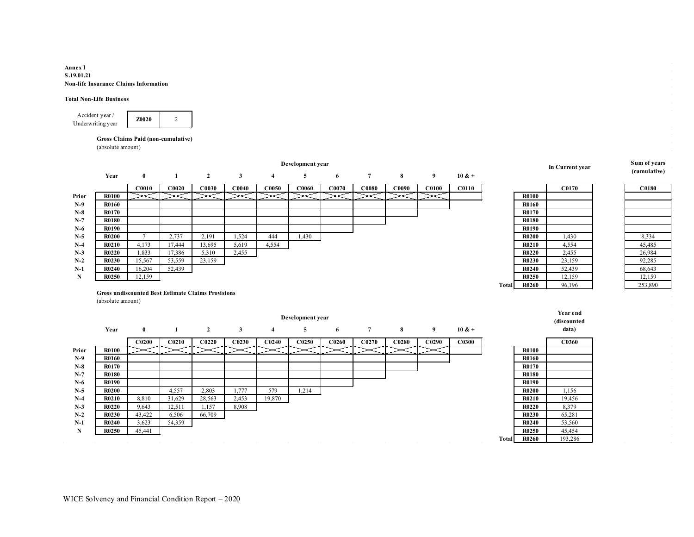#### **Annex I S.19.01.21 Non-life Insurance Claims Information**

#### **Total Non-Life Business**



#### **Gross Claims Paid (non-cumulative)**

(absolute amount)

|       |                   |                                                           |                   |                   |                   |                   | Development year  |                   |                   |       |                   |              |              |              | In Current year | Sum of years |
|-------|-------------------|-----------------------------------------------------------|-------------------|-------------------|-------------------|-------------------|-------------------|-------------------|-------------------|-------|-------------------|--------------|--------------|--------------|-----------------|--------------|
|       | Year              | $\bf{0}$                                                  | 1                 | $\overline{2}$    | $\mathbf{3}$      | $\overline{4}$    | 5                 | 6                 | $\overline{7}$    | 8     | 9                 | $10 & +$     |              |              |                 | (cumulative) |
|       |                   | C0010                                                     | C0020             | C0030             | CO <sub>040</sub> | C0050             | C0060             | CO070             | C0080             | C0090 | C0100             | <b>C0110</b> |              |              | <b>C0170</b>    | C0180        |
| Prior | <b>R0100</b>      |                                                           |                   |                   |                   |                   |                   |                   |                   |       |                   |              |              | <b>R0100</b> |                 |              |
| $N-9$ | <b>R0160</b>      |                                                           |                   |                   |                   |                   |                   |                   |                   |       |                   |              |              | <b>R0160</b> |                 |              |
| $N-8$ | <b>R0170</b>      |                                                           |                   |                   |                   |                   |                   |                   |                   |       |                   |              |              | R0170        |                 |              |
| $N-7$ | <b>R0180</b>      |                                                           |                   |                   |                   |                   |                   |                   |                   |       |                   |              |              | <b>R0180</b> |                 |              |
| $N-6$ | <b>R0190</b>      |                                                           |                   |                   |                   |                   |                   |                   |                   |       |                   |              |              | <b>R0190</b> |                 |              |
| $N-5$ | <b>R0200</b>      | $\mathcal{I}$                                             | 2,737             | 2,191             | 1,524             | 444               | 1,430             |                   |                   |       |                   |              |              | <b>R0200</b> | 1,430           | 8,334        |
| $N-4$ | <b>R0210</b>      | 4,173                                                     | 17,444            | 13,695            | 5,619             | 4,554             |                   |                   |                   |       |                   |              |              | R0210        | 4,554           | 45,485       |
| $N-3$ | <b>R0220</b>      | 1,833                                                     | 17,386            | 5,310             | 2,455             |                   |                   |                   |                   |       |                   |              |              | <b>R0220</b> | 2,455           | 26,984       |
| $N-2$ | <b>R0230</b>      | 15,567                                                    | 53,559            | 23,159            |                   |                   |                   |                   |                   |       |                   |              |              | <b>R0230</b> | 23,159          | 92,285       |
| $N-1$ | <b>R0240</b>      | 16,204                                                    | 52,439            |                   |                   |                   |                   |                   |                   |       |                   |              |              | <b>R0240</b> | 52,439          | 68,643       |
| N     | <b>R0250</b>      | 12,159                                                    |                   |                   |                   |                   |                   |                   |                   |       |                   |              |              | <b>R0250</b> | 12,159          | 12,159       |
|       |                   |                                                           |                   |                   |                   |                   |                   |                   |                   |       |                   |              | <b>Total</b> | <b>R0260</b> | 96,196          | 253,890      |
|       |                   | <b>Gross undiscounted Best Estimate Claims Provisions</b> |                   |                   |                   |                   |                   |                   |                   |       |                   |              |              |              |                 |              |
|       | (absolute amount) |                                                           |                   |                   |                   |                   |                   |                   |                   |       |                   |              |              |              |                 |              |
|       |                   |                                                           |                   |                   |                   |                   |                   |                   |                   |       |                   |              |              |              | Year end        |              |
|       |                   |                                                           |                   |                   |                   |                   | Development year  |                   |                   |       |                   |              |              |              | (discounted     |              |
|       | Year              | $\bf{0}$                                                  | 1                 | $\mathbf{2}$      | $\mathbf{3}$      | 4                 | 5                 | 6                 | $\overline{7}$    | 8     | 9                 | $10 & +$     |              |              | data)           |              |
|       |                   | C <sub>0200</sub>                                         | C <sub>0210</sub> | C <sub>0220</sub> | C0230             | C <sub>0240</sub> | C <sub>0250</sub> | C <sub>0260</sub> | C <sub>0270</sub> | C0280 | C <sub>0290</sub> | <b>C0300</b> |              |              | C0360           |              |
| Prior | <b>R0100</b>      |                                                           |                   |                   |                   |                   |                   |                   |                   |       |                   |              |              | <b>R0100</b> |                 |              |
| $N-9$ | <b>R0160</b>      |                                                           |                   |                   |                   |                   |                   |                   |                   |       |                   |              |              | <b>R0160</b> |                 |              |
| $N-8$ | <b>R0170</b>      |                                                           |                   |                   |                   |                   |                   |                   |                   |       |                   |              |              | R0170        |                 |              |
| $N-7$ | <b>R0180</b>      |                                                           |                   |                   |                   |                   |                   |                   |                   |       |                   |              |              | <b>R0180</b> |                 |              |
| $N-6$ | <b>R0190</b>      |                                                           |                   |                   |                   |                   |                   |                   |                   |       |                   |              |              | <b>R0190</b> |                 |              |
| $N-5$ | <b>R0200</b>      |                                                           | 4,557             | 2,803             | 1,777             | 579               | 1,214             |                   |                   |       |                   |              |              | <b>R0200</b> | 1,156           |              |
| $N-4$ | R0210             | 8.810                                                     | 31.629            | 28.563            | 2,453             | 19,870            |                   |                   |                   |       |                   |              |              | R0210        | 19,456          |              |

**Total R0260** 193,286

**N-3 R0220** 9,643 12,511 1,157 8,908 **R0220** 8,379 **N-2 R0230** 43,422 6,506 66,709 **R0230** 65,281 **N-1 R0240**  $\begin{bmatrix} 3,623 \\ 3,623 \end{bmatrix}$  54,359 **R0240** 53,560 **N R0250** 45,441 **R0250** 45,454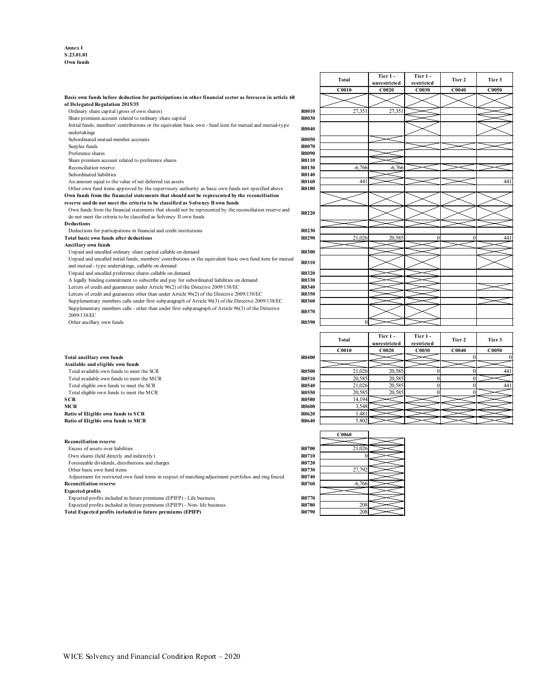**Annex I S.23.01.01 Own funds**

|                                                                                                            |              | <b>C0010</b> | C0020        | C0030      | <b>C0040</b>      | C0050          |
|------------------------------------------------------------------------------------------------------------|--------------|--------------|--------------|------------|-------------------|----------------|
| Basic own funds before deduction for participations in other financial sector as foreseen in article 68    |              |              |              |            |                   |                |
| of Delegated Regulation 2015/35                                                                            |              |              |              |            |                   |                |
| Ordinary share capital (gross of own shares)                                                               | <b>R0010</b> | 27,351       | 27,351       |            |                   |                |
| Share premium account related to ordinary share capital                                                    | R0030        |              |              |            |                   |                |
| Initial funds, members' contributions or the equivalent basic own - fund item for mutual and mutual-type   | <b>R0040</b> |              |              |            |                   |                |
| undertakings                                                                                               |              |              |              |            |                   |                |
| Subordinated mutual member accounts                                                                        | <b>R0050</b> |              |              |            |                   |                |
| Surplus funds                                                                                              | R0070        |              |              |            |                   |                |
| Preference shares                                                                                          | R0090        |              |              |            |                   |                |
| Share premium account related to preference shares                                                         | R0110        |              |              |            |                   |                |
| Reconciliation reserve                                                                                     | R0130        | $-6,766$     | $-6,766$     |            |                   |                |
| Subordinated liabilities                                                                                   | R0140        |              |              |            |                   |                |
| An amount equal to the value of net deferred tax assets                                                    | R0160        | 441          |              |            |                   | 441            |
| Other own fund items approved by the supervisory authority as basic own funds not specified above          | <b>R0180</b> |              |              |            |                   |                |
| Own funds from the financial statements that should not be represented by the reconciliation               |              |              |              |            |                   |                |
| reserve and do not meet the criteria to be classified as Solvency II own funds                             |              |              |              |            |                   |                |
| Own funds from the financial statements that should not be represented by the reconciliation reserve and   | R0220        |              |              |            |                   |                |
| do not meet the criteria to be classified as Solvency II own funds                                         |              |              |              |            |                   |                |
| <b>Deductions</b>                                                                                          |              |              |              |            |                   |                |
| Deductions for participations in financial and credit institutions                                         | R0230        |              |              |            |                   |                |
| Total basic own funds after deductions                                                                     | R0290        | 21,026       | 20.585       | $\theta$   | $\Omega$          | 441            |
| <b>Ancillary own funds</b>                                                                                 |              |              |              |            |                   |                |
| Unpaid and uncalled ordinary share capital callable on demand                                              | R0300        |              |              |            |                   |                |
| Unpaid and uncalled initial funds, members' contributions or the equivalent basic own fund item for mutual | R0310        |              |              |            |                   |                |
| and mutual - type undertakings, callable on demand                                                         |              |              |              |            |                   |                |
| Unpaid and uncalled preference shares callable on demand                                                   | R0320        |              |              |            |                   |                |
| A legally binding commitment to subscribe and pay for subordinated liabilities on demand                   | R0330        |              |              |            |                   |                |
| Letters of credit and guarantees under Article 96(2) of the Directive 2009/138/EC                          | <b>R0340</b> |              |              |            |                   |                |
| Letters of credit and guarantees other than under Article 96(2) of the Directive 2009/138/EC               | R0350        |              |              |            |                   |                |
| Supplementary members calls under first subparagraph of Article 96(3) of the Directive 2009/138/EC         | R0360        |              |              |            |                   |                |
| Supplementary members calls - other than under first subparagraph of Article 96(3) of the Directive        | R0370        |              |              |            |                   |                |
| 2009/138/EC                                                                                                |              |              |              |            |                   |                |
| Other ancillary own funds                                                                                  | R0390        | $\Omega$     |              |            |                   |                |
|                                                                                                            |              |              |              |            |                   |                |
|                                                                                                            |              | Total        | Tier 1-      | Tier 1-    | Tier 2            | Tier 3         |
|                                                                                                            |              |              | unrestricted | restricted |                   |                |
|                                                                                                            |              | C0010        | C0020        | C0030      | CO <sub>040</sub> | C0050          |
| <b>Total ancillary own funds</b>                                                                           | R0400        |              |              |            | $\Omega$          | $\overline{0}$ |
| Available and eligible own funds                                                                           |              |              |              |            |                   |                |
| Total available own funds to meet the SCR                                                                  | <b>R0500</b> | 21,026       | 20,585       | $\Omega$   |                   | 441            |
| Total available own funds to meet the MCR                                                                  | R0510        | 20,585       | 20,585       | $\theta$   | $\Omega$          |                |
| Total eligible own funds to meet the SCR                                                                   | R0540        | 21,026       | 20,585       | $\theta$   | $\Omega$          | 441            |
| Total eligible own funds to meet the MCR                                                                   | R0550        | 20,585       | 20,585       | $\Omega$   | $\Omega$          |                |
| <b>SCR</b>                                                                                                 | <b>R0580</b> | 14,194       |              |            |                   |                |
| <b>MCR</b>                                                                                                 | R0600        | 3.548        |              |            |                   |                |
| Ratio of Eligible own funds to SCR                                                                         | R0620        | 1.481        |              |            |                   |                |
| Ratio of Eligible own funds to MCR                                                                         | R0640        | 5.802        |              |            |                   |                |
|                                                                                                            |              |              |              |            |                   |                |

| <b>Total</b>   | Tier 1-<br>unrestricted | Tier 1-<br>restricted | Tier 2   | Tier 3 |
|----------------|-------------------------|-----------------------|----------|--------|
| C0010          | C0020                   | C0030                 | C0040    | C0050  |
|                |                         |                       |          |        |
| 27,351         | 27,351                  |                       |          |        |
|                |                         |                       |          |        |
|                |                         |                       |          |        |
|                |                         |                       |          |        |
|                |                         |                       |          |        |
| $-6,766$       | $-6,766$                |                       |          |        |
|                |                         |                       |          |        |
| 441            |                         |                       |          |        |
|                |                         |                       |          |        |
|                |                         |                       |          |        |
|                |                         |                       |          |        |
|                |                         |                       |          |        |
| 21,026         | 20,585                  | $\theta$              | $\theta$ |        |
|                |                         |                       |          |        |
|                |                         |                       |          |        |
|                |                         |                       |          |        |
|                |                         |                       |          |        |
|                |                         |                       |          |        |
|                |                         |                       |          |        |
|                |                         |                       |          |        |
|                |                         |                       |          |        |
| $\overline{0}$ |                         |                       |          |        |

|     | Total  | Tier 1-<br>unrestricted | Tier 1-<br>restricted | Tier 2 | Tier 3 |
|-----|--------|-------------------------|-----------------------|--------|--------|
|     | C0010  | C0020                   | C0030                 | C0040  | C0050  |
| 400 |        |                         |                       |        |        |
|     |        |                         |                       |        |        |
| 500 | 21,026 | 20,585                  |                       |        | 441    |
| 510 | 20,585 | 20,585                  |                       |        |        |
| 540 | 21,026 | 20,585                  |                       |        | 441    |
| 550 | 20,585 | 20,585                  |                       |        |        |
| 580 | 14,194 |                         |                       |        |        |
| 500 | 3,548  |                         |                       |        |        |
| 520 | 1.481  |                         |                       |        |        |
| 540 | 5.802  |                         |                       |        |        |

|                                                                                                       |              | <b>C0060</b> |  |
|-------------------------------------------------------------------------------------------------------|--------------|--------------|--|
| <b>Reconciliation reserve</b>                                                                         |              |              |  |
| Excess of assets over liabilities                                                                     | <b>R0700</b> | 21,026       |  |
| Own shares (held directly and indirectly)                                                             | <b>R0710</b> |              |  |
| Foreseeable dividends, distributions and charges                                                      | <b>R0720</b> |              |  |
| Other basic own fund items                                                                            | <b>R0730</b> | 27,792       |  |
| Adjustment for restricted own fund items in respect of matching adjustment portfolios and ring fenced | <b>R0740</b> |              |  |
| <b>Reconciliation reserve</b>                                                                         | <b>R0760</b> | $-6,766$     |  |
| <b>Expected profits</b>                                                                               |              |              |  |
| Expected profits included in future premiums (EPIFP) - Life business                                  | <b>R0770</b> |              |  |
| Expected profits included in future premiums (EPIFP) - Non-life business                              | <b>R0780</b> | 208          |  |
| Total Expected profits included in future premiums (EPIFP)                                            | <b>R0790</b> | 208          |  |
|                                                                                                       |              |              |  |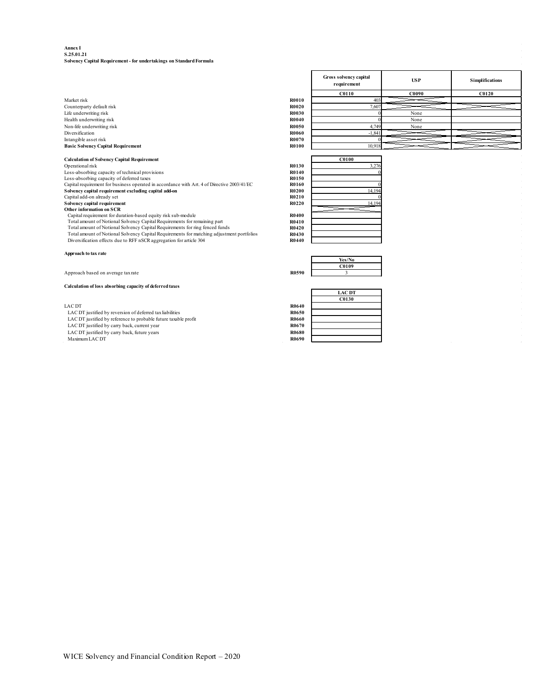#### **Annex I S.25.01.21 Solvency Capital Requirement - for undertakings on Standard Formula**

|                                                                                             |       | <b>Gross solvency capital</b><br>requirement | <b>USP</b> | <b>Simplifications</b> |
|---------------------------------------------------------------------------------------------|-------|----------------------------------------------|------------|------------------------|
|                                                                                             |       | <b>C0110</b>                                 | C0090      | C0120                  |
| Market risk                                                                                 | R0010 | 403                                          |            |                        |
| Counterparty default risk                                                                   | R0020 | 7,60                                         |            |                        |
| Life underwriting risk                                                                      | R0030 |                                              | None       |                        |
| Health underwriting risk                                                                    | R0040 |                                              | None       |                        |
| Non-life underwriting risk                                                                  | R0050 | 4,749                                        | None       |                        |
| Diversification                                                                             | R0060 | $-1,841$                                     |            |                        |
| Intangible asset risk                                                                       | R0070 |                                              |            |                        |
| <b>Basic Solvency Capital Requirement</b>                                                   | R0100 | 10,918                                       |            |                        |
|                                                                                             |       |                                              |            |                        |
| <b>Calculation of Solvency Capital Requirement</b>                                          |       | C0100                                        |            |                        |
| Operational risk                                                                            | R0130 | 3,276                                        |            |                        |
| Loss-absorbing capacity of technical provisions                                             | R0140 |                                              |            |                        |
| Loss-absorbing capacity of deferred taxes                                                   | R0150 |                                              |            |                        |
| Capital requirement for business operated in accordance with Art. 4 of Directive 2003/41/EC | R0160 |                                              |            |                        |
| Solvency capital requirement excluding capital add-on                                       | R0200 | 14,194                                       |            |                        |
| Capital add-on already set                                                                  | R0210 |                                              |            |                        |
| Solvency capital requirement                                                                | R0220 | 14,194                                       |            |                        |
| Other information on SCR                                                                    |       |                                              |            |                        |
| Capital requirement for duration-based equity risk sub-module                               | R0400 |                                              |            |                        |
| Total amount of Notional Solvency Capital Requirements for remaining part                   | R0410 |                                              |            |                        |
| Total amount of Notional Solvency Capital Requirements for ring fenced funds                | R0420 |                                              |            |                        |
| Total amount of Notional Solvency Capital Requirements for matching adjustment portfolios   | R0430 |                                              |            |                        |
| Diversification effects due to RFF nSCR aggregation for article 304                         | R0440 |                                              |            |                        |
|                                                                                             |       |                                              |            |                        |
| Approach to tax rate                                                                        |       |                                              |            |                        |
|                                                                                             |       | Yes/No                                       |            |                        |
|                                                                                             |       | C0109                                        |            |                        |
| Approach based on average tax rate                                                          | R0590 | $\overline{\mathbf{3}}$                      |            |                        |
|                                                                                             |       |                                              |            |                        |
| Calculation of loss absorbing capacity of deferred taxes                                    |       |                                              |            |                        |

LAC DT<br>
LAC DT justified by reversion of deferred tax liabilities<br>
LAC DT justified by veference to probable future taxable profit<br>
LAC DT justified by carry back, current year<br>
LAC DT justified by carry back, future years

|              | <b>LAC DT</b> |
|--------------|---------------|
|              | C0130         |
| <b>R0640</b> |               |
| R0650        |               |
| R0660        |               |
| R0670        |               |
| <b>R0680</b> |               |
| R0690        |               |
|              |               |